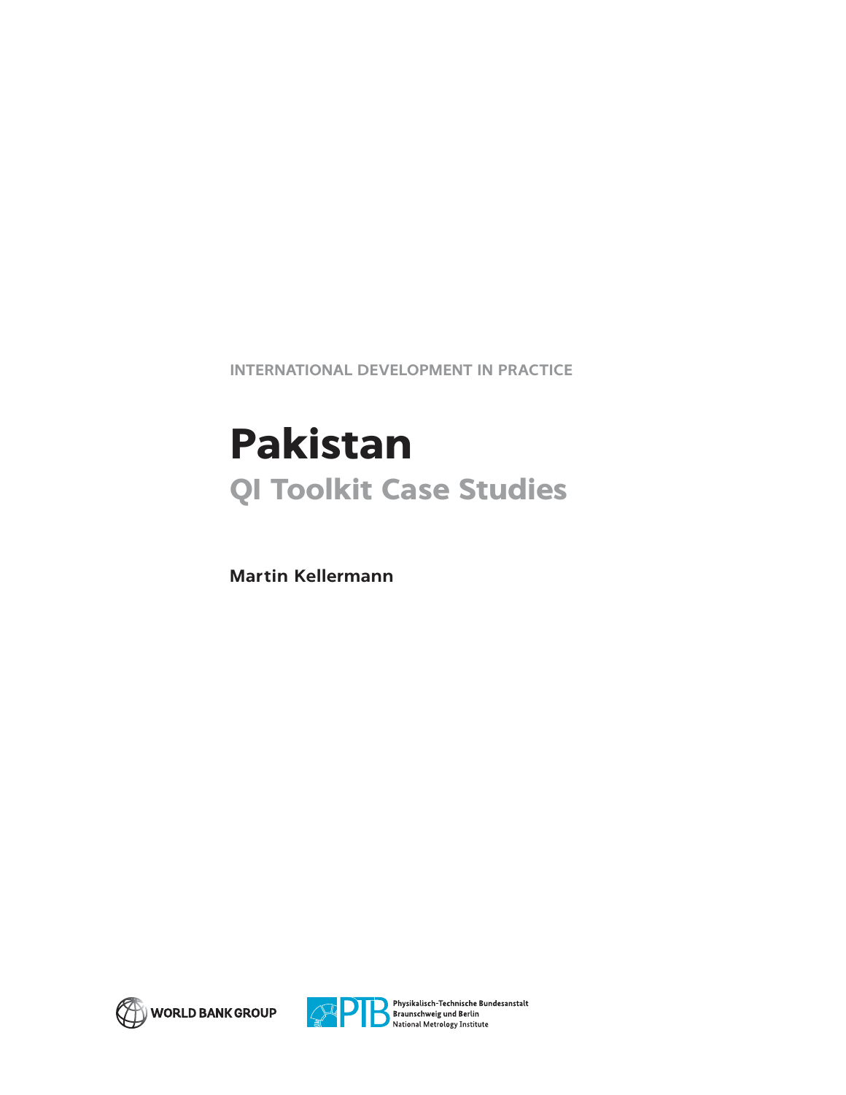**INTERNATIONAL DEVELOPMENT IN PRACTICE**

# **Pakistan QI Toolkit Case Studies**

**Martin Kellermann**





Physikalisch-Technische Bundesanstalt Braunschweig und Berlin<br>National Metrology Institute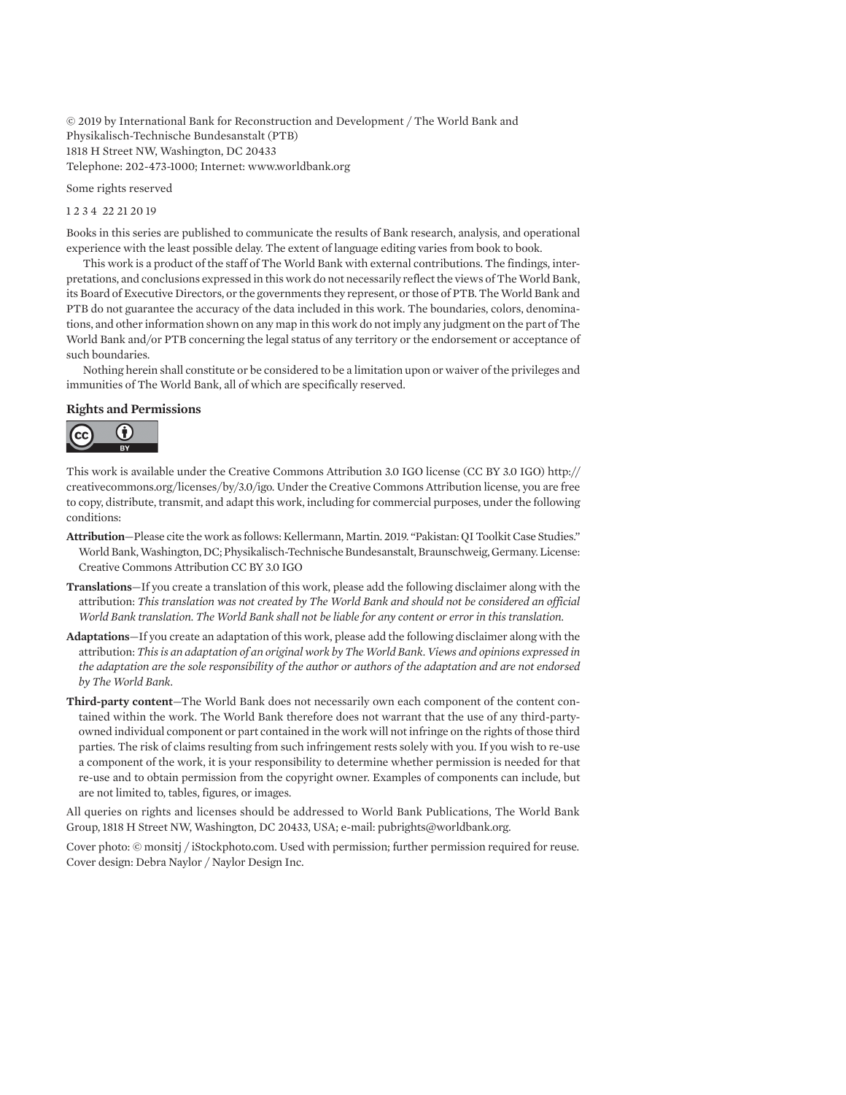© 2019 by International Bank for Reconstruction and Development / The World Bank and Physikalisch-Technische Bundesanstalt (PTB) 1818 H Street NW, Washington, DC 20433 Telephone: 202-473-1000; Internet: www.worldbank.org

Some rights reserved

1 2 3 4 22 21 20 19

Books in this series are published to communicate the results of Bank research, analysis, and operational experience with the least possible delay. The extent of language editing varies from book to book.

This work is a product of the staff of The World Bank with external contributions. The findings, interpretations, and conclusions expressed in this work do not necessarily reflect the views of The World Bank, its Board of Executive Directors, or the governments they represent, or those of PTB. The World Bank and PTB do not guarantee the accuracy of the data included in this work. The boundaries, colors, denominations, and other information shown on any map in this work do not imply any judgment on the part of The World Bank and/or PTB concerning the legal status of any territory or the endorsement or acceptance of such boundaries.

Nothing herein shall constitute or be considered to be a limitation upon or waiver of the privileges and immunities of The World Bank, all of which are specifically reserved.

#### **Rights and Permissions**



This work is available under the Creative Commons Attribution 3.0 IGO license (CC BY 3.0 IGO) http:// creativecommons.org/licenses/by/3.0/igo. Under the Creative Commons Attribution license, you are free to copy, distribute, transmit, and adapt this work, including for commercial purposes, under the following conditions:

- **Attribution**—Please cite the work as follows: Kellermann, Martin. 2019. "Pakistan: QI Toolkit Case Studies." World Bank, Washington, DC; Physikalisch-Technische Bundesanstalt, Braunschweig, Germany. License: Creative Commons Attribution CC BY 3.0 IGO
- **Translations**—If you create a translation of this work, please add the following disclaimer along with the attribution: *This translation was not created by The World Bank and should not be considered an official World Bank translation. The World Bank shall not be liable for any content or error in this translation.*
- **Adaptations**—If you create an adaptation of this work, please add the following disclaimer along with the attribution: *This is an adaptation of an original work by The World Bank. Views and opinions expressed in the adaptation are the sole responsibility of the author or authors of the adaptation and are not endorsed by The World Bank.*
- **Third-party content**—The World Bank does not necessarily own each component of the content contained within the work. The World Bank therefore does not warrant that the use of any third-partyowned individual component or part contained in the work will not infringe on the rights of those third parties. The risk of claims resulting from such infringement rests solely with you. If you wish to re-use a component of the work, it is your responsibility to determine whether permission is needed for that re-use and to obtain permission from the copyright owner. Examples of components can include, but are not limited to, tables, figures, or images.

All queries on rights and licenses should be addressed to World Bank Publications, The World Bank Group, 1818 H Street NW, Washington, DC 20433, USA; e-mail: pubrights@worldbank.org.

Cover photo: © monsitj / iStockphoto.com. Used with permission; further permission required for reuse. Cover design: Debra Naylor / Naylor Design Inc.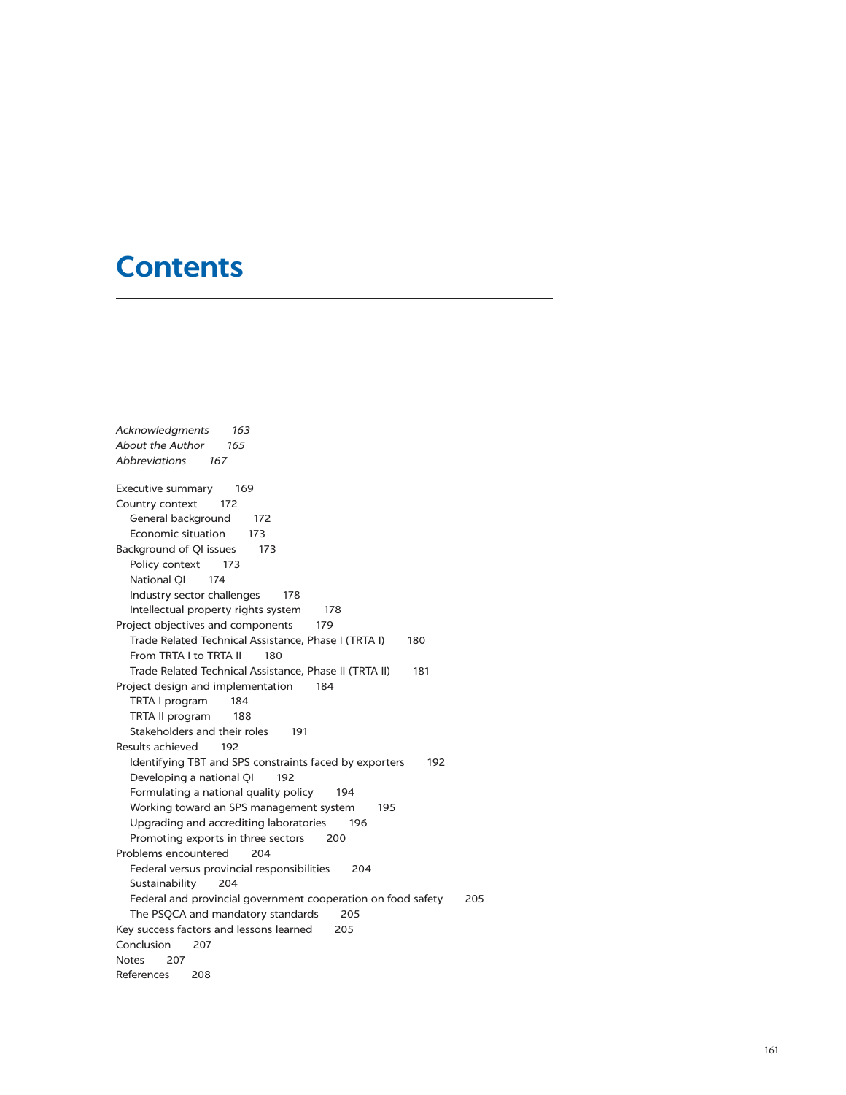## **Contents**

*Acknowledgments 163 About the Author 165 Abbreviations 167* Executive summary 169 Country context 172 General background 172 Economic situation 173 Background of QI issues 173 Policy context 173 National QI 174 Industry sector challenges 178 Intellectual property rights system 178 Project objectives and components 179 Trade Related Technical Assistance, Phase I (TRTA I) 180 From TRTA I to TRTA II 180 Trade Related Technical Assistance, Phase II (TRTA II) 181 Project design and implementation 184 TRTA I program 184 TRTA II program 188 Stakeholders and their roles 191 Results achieved 192 Identifying TBT and SPS constraints faced by exporters 192 Developing a national QI 192 Formulating a national quality policy 194 Working toward an SPS management system 195 Upgrading and accrediting laboratories 196 Promoting exports in three sectors 200 Problems encountered 204 Federal versus provincial responsibilities 204 Sustainability 204 Federal and provincial government cooperation on food safety 205 The PSQCA and mandatory standards 205 Key success factors and lessons learned 205 Conclusion 207 Notes 207 References 208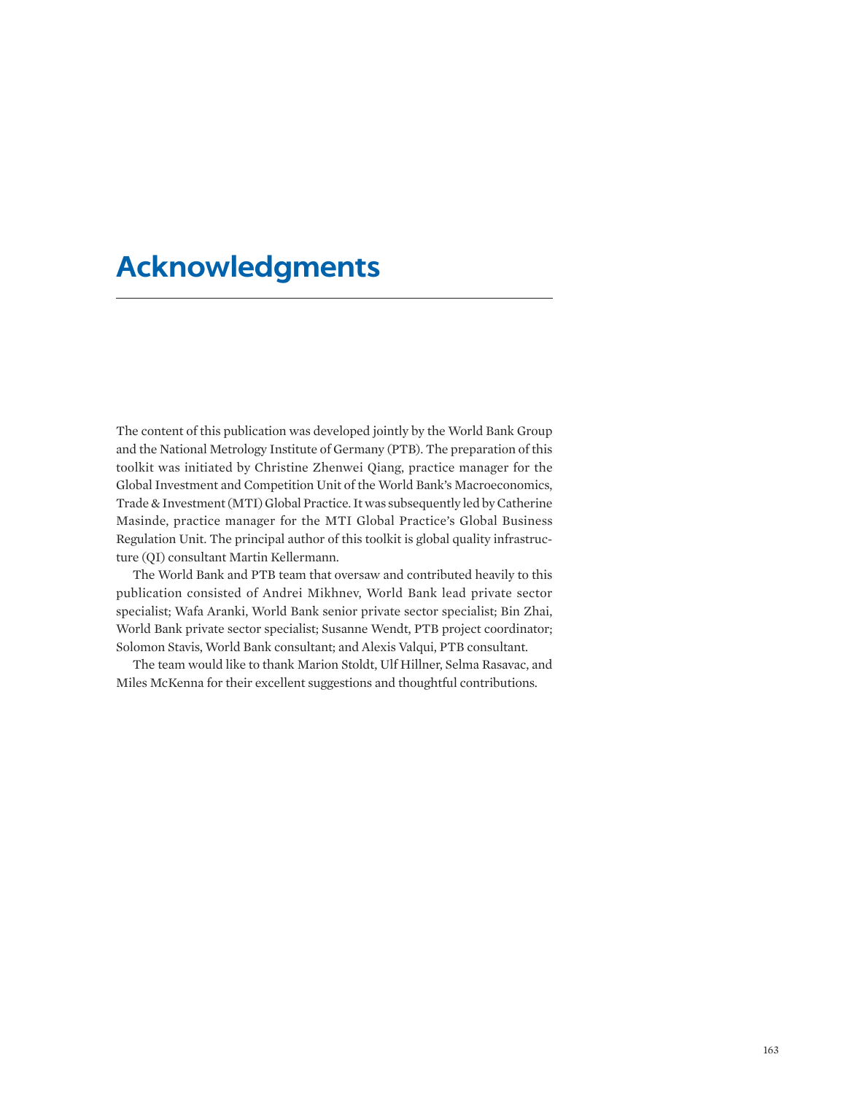## **Acknowledgments**

The content of this publication was developed jointly by the World Bank Group and the National Metrology Institute of Germany (PTB). The preparation of this toolkit was initiated by Christine Zhenwei Qiang, practice manager for the Global Investment and Competition Unit of the World Bank's Macroeconomics, Trade & Investment (MTI) Global Practice. It was subsequently led by Catherine Masinde, practice manager for the MTI Global Practice's Global Business Regulation Unit. The principal author of this toolkit is global quality infrastructure (QI) consultant Martin Kellermann.

The World Bank and PTB team that oversaw and contributed heavily to this publication consisted of Andrei Mikhnev, World Bank lead private sector specialist; Wafa Aranki, World Bank senior private sector specialist; Bin Zhai, World Bank private sector specialist; Susanne Wendt, PTB project coordinator; Solomon Stavis, World Bank consultant; and Alexis Valqui, PTB consultant.

The team would like to thank Marion Stoldt, Ulf Hillner, Selma Rasavac, and Miles McKenna for their excellent suggestions and thoughtful contributions.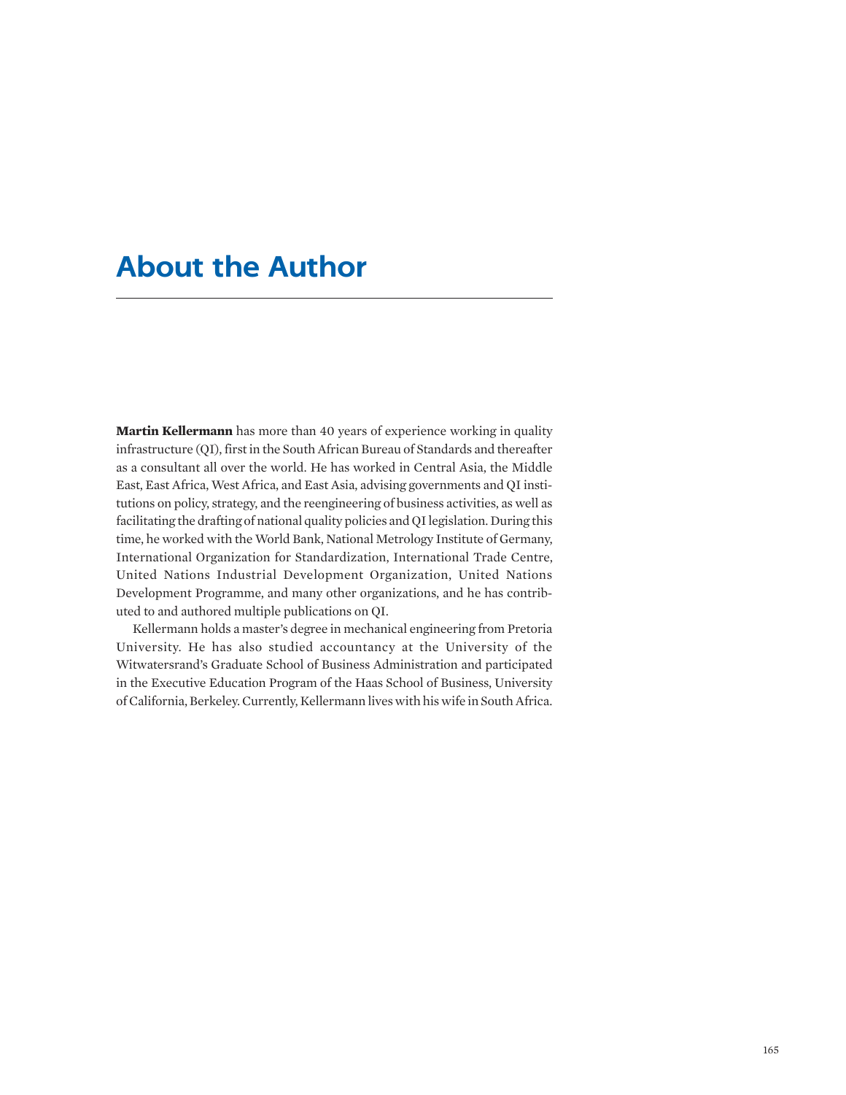## **About the Author**

**Martin Kellermann** has more than 40 years of experience working in quality infrastructure (QI), first in the South African Bureau of Standards and thereafter as a consultant all over the world. He has worked in Central Asia, the Middle East, East Africa, West Africa, and East Asia, advising governments and QI institutions on policy, strategy, and the reengineering of business activities, as well as facilitating the drafting of national quality policies and QI legislation. During this time, he worked with the World Bank, National Metrology Institute of Germany, International Organization for Standardization, International Trade Centre, United Nations Industrial Development Organization, United Nations Development Programme, and many other organizations, and he has contributed to and authored multiple publications on QI.

Kellermann holds a master's degree in mechanical engineering from Pretoria University. He has also studied accountancy at the University of the Witwatersrand's Graduate School of Business Administration and participated in the Executive Education Program of the Haas School of Business, University of California, Berkeley. Currently, Kellermann lives with his wife in South Africa.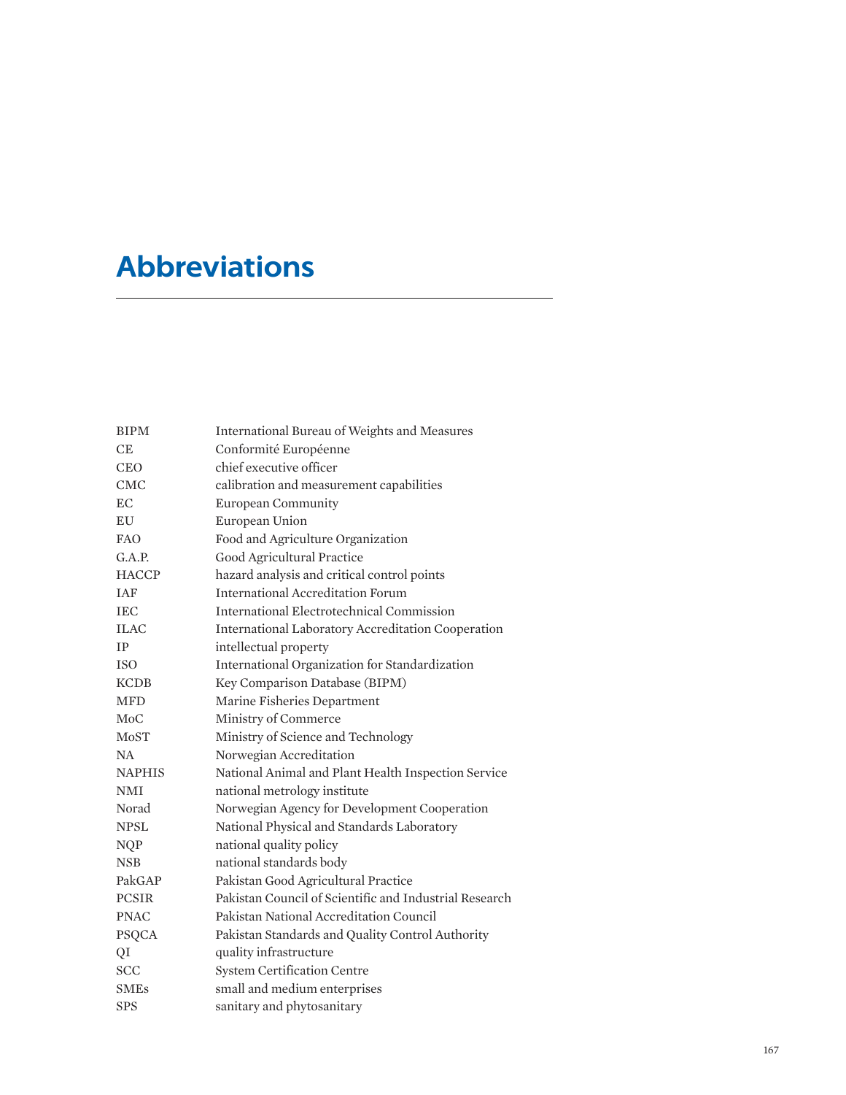## **Abbreviations**

| <b>BIPM</b>      | International Bureau of Weights and Measures              |
|------------------|-----------------------------------------------------------|
| CE               | Conformité Européenne                                     |
| <b>CEO</b>       | chief executive officer                                   |
| <b>CMC</b>       | calibration and measurement capabilities                  |
| EC.              | <b>European Community</b>                                 |
| EU               | European Union                                            |
| <b>FAO</b>       | Food and Agriculture Organization                         |
| G.A.P.           | Good Agricultural Practice                                |
| <b>HACCP</b>     | hazard analysis and critical control points               |
| <b>IAF</b>       | <b>International Accreditation Forum</b>                  |
| <b>IEC</b>       | International Electrotechnical Commission                 |
| <b>ILAC</b>      | <b>International Laboratory Accreditation Cooperation</b> |
| <b>TP</b>        | intellectual property                                     |
| <b>ISO</b>       | International Organization for Standardization            |
| <b>KCDB</b>      | Key Comparison Database (BIPM)                            |
| <b>MFD</b>       | Marine Fisheries Department                               |
| M <sub>o</sub> C | Ministry of Commerce                                      |
| MoST             | Ministry of Science and Technology                        |
| NA.              | Norwegian Accreditation                                   |
| <b>NAPHIS</b>    | National Animal and Plant Health Inspection Service       |
| <b>NMI</b>       | national metrology institute                              |
| Norad            | Norwegian Agency for Development Cooperation              |
| <b>NPSL</b>      | National Physical and Standards Laboratory                |
| <b>NQP</b>       | national quality policy                                   |
| <b>NSB</b>       | national standards body                                   |
| PakGAP           | Pakistan Good Agricultural Practice                       |
| <b>PCSIR</b>     | Pakistan Council of Scientific and Industrial Research    |
| <b>PNAC</b>      | Pakistan National Accreditation Council                   |
| <b>PSQCA</b>     | Pakistan Standards and Quality Control Authority          |
| QI               | quality infrastructure                                    |
| <b>SCC</b>       | <b>System Certification Centre</b>                        |
| SMEs             | small and medium enterprises                              |
| <b>SPS</b>       | sanitary and phytosanitary                                |
|                  |                                                           |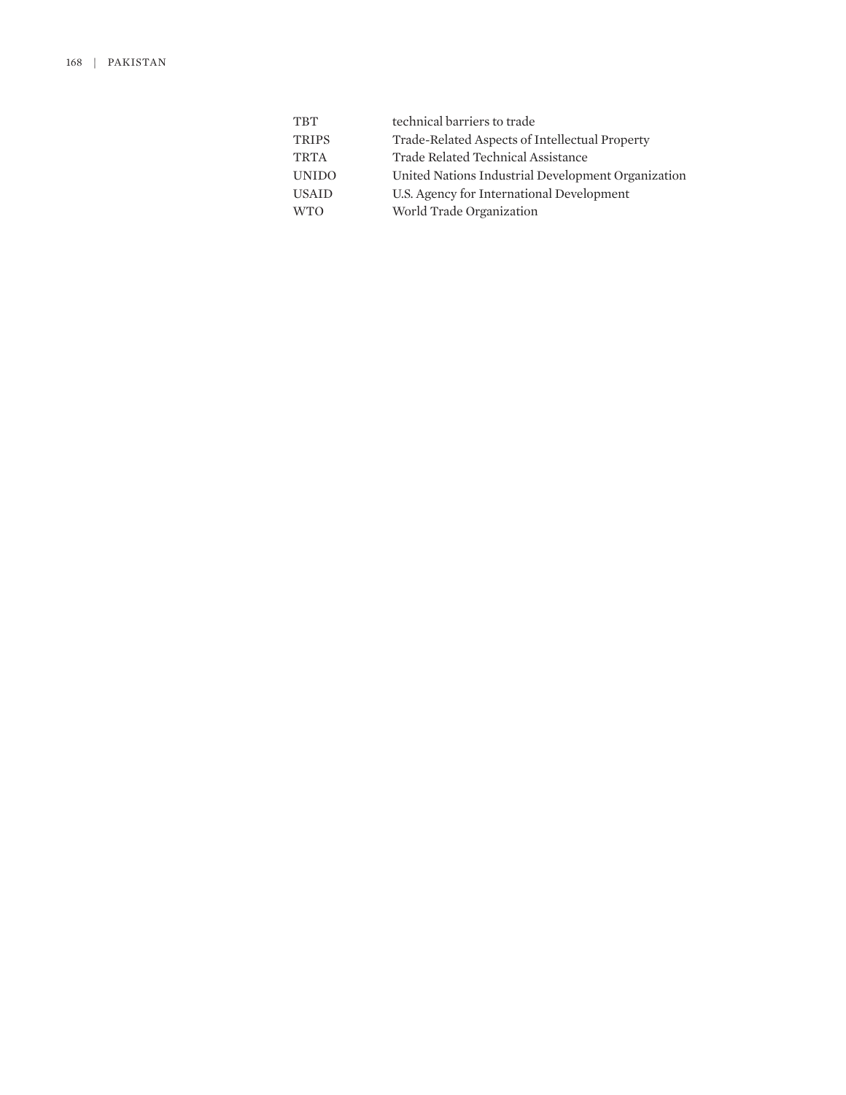| technical barriers to trade                        |
|----------------------------------------------------|
| Trade-Related Aspects of Intellectual Property     |
| Trade Related Technical Assistance                 |
| United Nations Industrial Development Organization |
| U.S. Agency for International Development          |
| World Trade Organization                           |
|                                                    |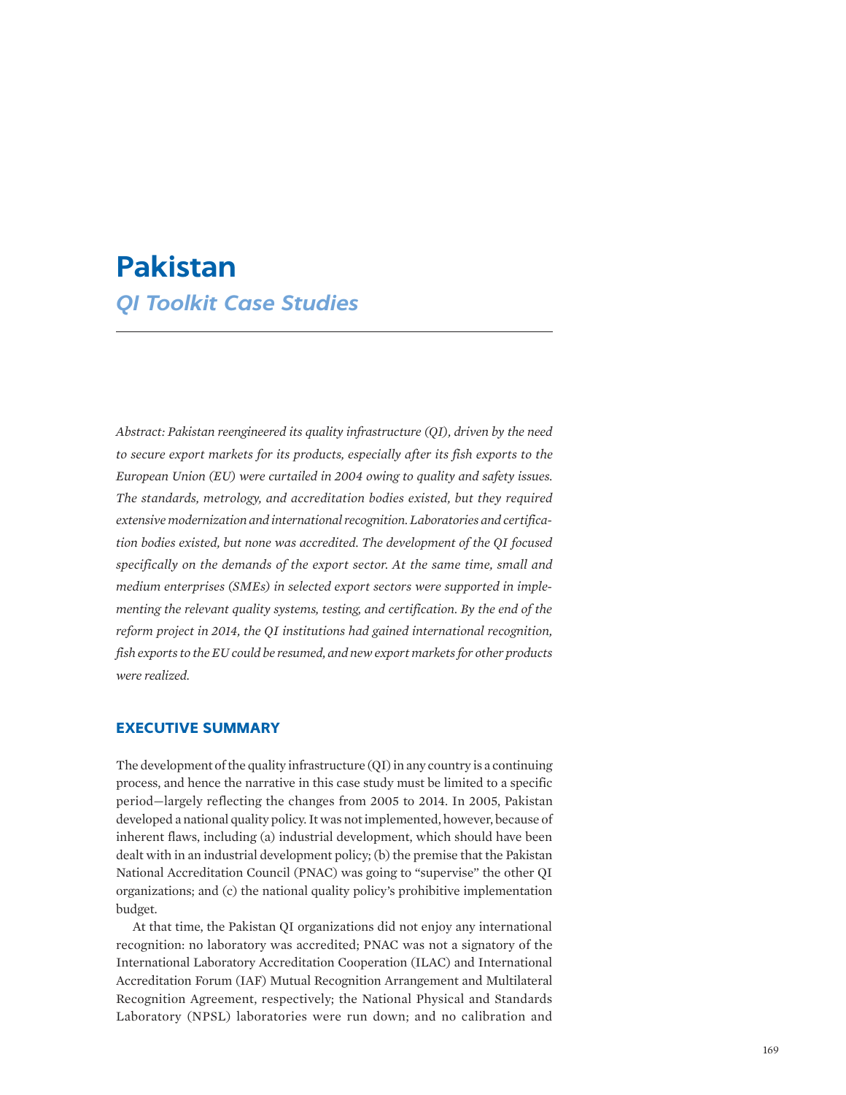## **Pakistan** *QI Toolkit Case Studies*

*Abstract: Pakistan reengineered its quality infrastructure (QI), driven by the need to secure export markets for its products, especially after its fish exports to the European Union (EU) were curtailed in 2004 owing to quality and safety issues. The standards, metrology, and accreditation bodies existed, but they required extensive modernization and international recognition. Laboratories and certification bodies existed, but none was accredited. The development of the QI focused specifically on the demands of the export sector. At the same time, small and medium enterprises (SMEs) in selected export sectors were supported in implementing the relevant quality systems, testing, and certification. By the end of the reform project in 2014, the QI institutions had gained international recognition, fish exports to the EU could be resumed, and new export markets for other products were realized.*

## **EXECUTIVE SUMMARY**

The development of the quality infrastructure (QI) in any country is a continuing process, and hence the narrative in this case study must be limited to a specific period—largely reflecting the changes from 2005 to 2014. In 2005, Pakistan developed a national quality policy. It was not implemented, however, because of inherent flaws, including (a) industrial development, which should have been dealt with in an industrial development policy; (b) the premise that the Pakistan National Accreditation Council (PNAC) was going to "supervise" the other QI organizations; and (c) the national quality policy's prohibitive implementation budget.

At that time, the Pakistan QI organizations did not enjoy any international recognition: no laboratory was accredited; PNAC was not a signatory of the International Laboratory Accreditation Cooperation (ILAC) and International Accreditation Forum (IAF) Mutual Recognition Arrangement and Multilateral Recognition Agreement, respectively; the National Physical and Standards Laboratory (NPSL) laboratories were run down; and no calibration and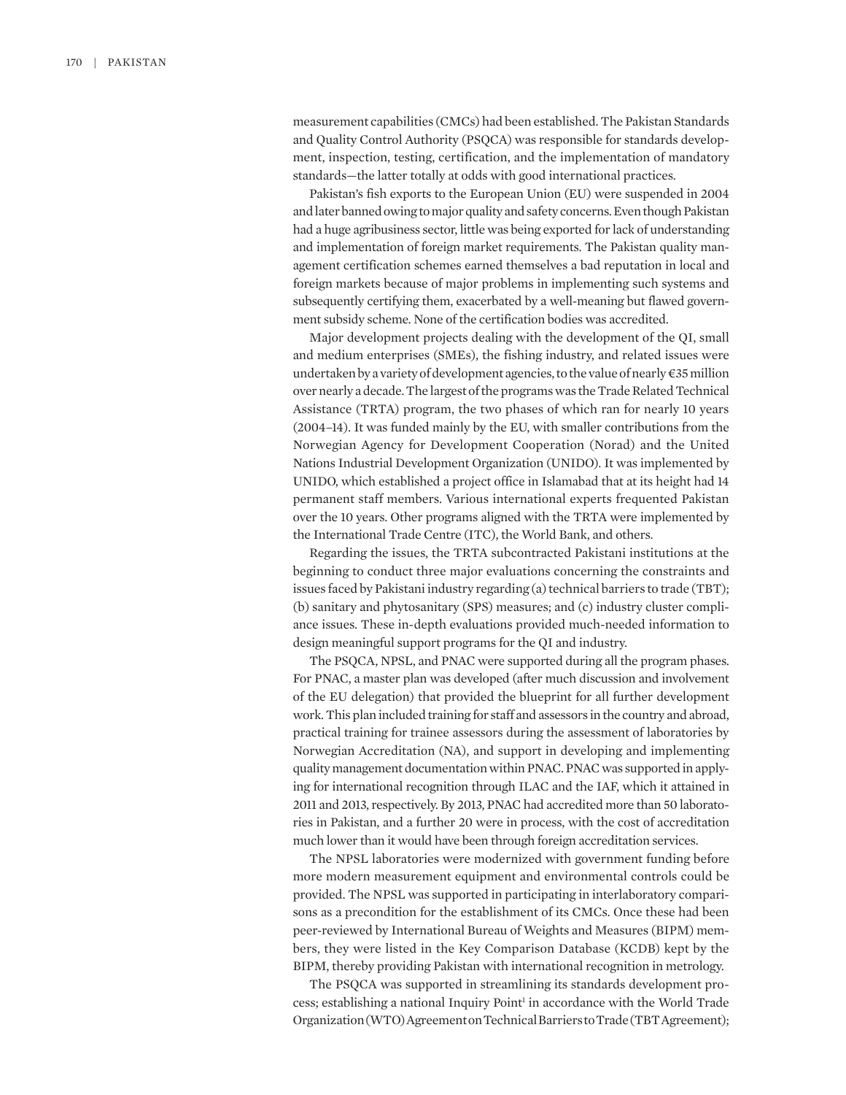measurement capabilities (CMCs) had been established. The Pakistan Standards and Quality Control Authority (PSQCA) was responsible for standards development, inspection, testing, certification, and the implementation of mandatory standards—the latter totally at odds with good international practices.

Pakistan's fish exports to the European Union (EU) were suspended in 2004 and later banned owing to major quality and safety concerns. Even though Pakistan had a huge agribusiness sector, little was being exported for lack of understanding and implementation of foreign market requirements. The Pakistan quality management certification schemes earned themselves a bad reputation in local and foreign markets because of major problems in implementing such systems and subsequently certifying them, exacerbated by a well-meaning but flawed government subsidy scheme. None of the certification bodies was accredited.

Major development projects dealing with the development of the QI, small and medium enterprises (SMEs), the fishing industry, and related issues were undertaken by a variety of development agencies, to the value of nearly €35 million over nearly a decade. The largest of the programs was the Trade Related Technical Assistance (TRTA) program, the two phases of which ran for nearly 10 years (2004–14). It was funded mainly by the EU, with smaller contributions from the Norwegian Agency for Development Cooperation (Norad) and the United Nations Industrial Development Organization (UNIDO). It was implemented by UNIDO, which established a project office in Islamabad that at its height had 14 permanent staff members. Various international experts frequented Pakistan over the 10 years. Other programs aligned with the TRTA were implemented by the International Trade Centre (ITC), the World Bank, and others.

Regarding the issues, the TRTA subcontracted Pakistani institutions at the beginning to conduct three major evaluations concerning the constraints and issues faced by Pakistani industry regarding (a) technical barriers to trade (TBT); (b) sanitary and phytosanitary (SPS) measures; and (c) industry cluster compliance issues. These in-depth evaluations provided much-needed information to design meaningful support programs for the QI and industry.

The PSQCA, NPSL, and PNAC were supported during all the program phases. For PNAC, a master plan was developed (after much discussion and involvement of the EU delegation) that provided the blueprint for all further development work. This plan included training for staff and assessors in the country and abroad, practical training for trainee assessors during the assessment of laboratories by Norwegian Accreditation (NA), and support in developing and implementing quality management documentation within PNAC. PNAC was supported in applying for international recognition through ILAC and the IAF, which it attained in 2011 and 2013, respectively. By 2013, PNAC had accredited more than 50 laboratories in Pakistan, and a further 20 were in process, with the cost of accreditation much lower than it would have been through foreign accreditation services.

The NPSL laboratories were modernized with government funding before more modern measurement equipment and environmental controls could be provided. The NPSL was supported in participating in interlaboratory comparisons as a precondition for the establishment of its CMCs. Once these had been peer-reviewed by International Bureau of Weights and Measures (BIPM) members, they were listed in the Key Comparison Database (KCDB) kept by the BIPM, thereby providing Pakistan with international recognition in metrology.

The PSQCA was supported in streamlining its standards development process; establishing a national Inquiry Point<sup>1</sup> in accordance with the World Trade Organization (WTO) Agreement on Technical Barriers to Trade (TBT Agreement);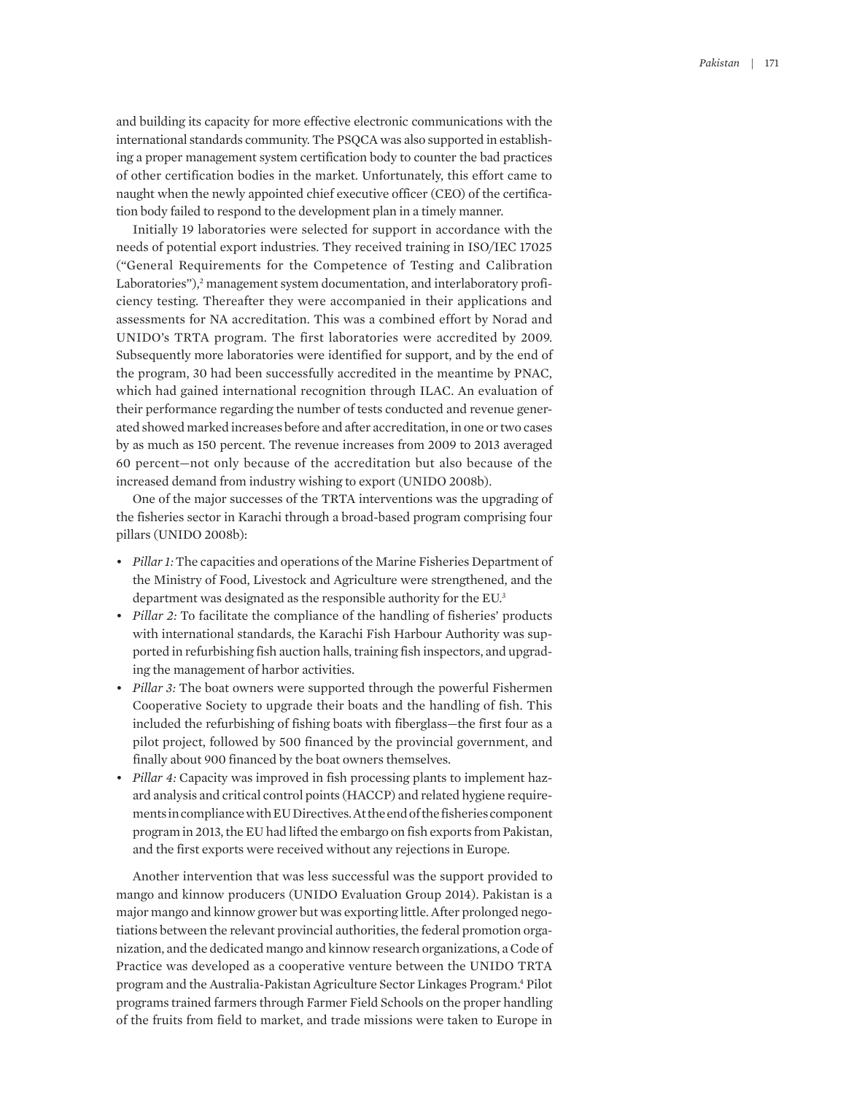and building its capacity for more effective electronic communications with the international standards community. The PSQCA was also supported in establishing a proper management system certification body to counter the bad practices of other certification bodies in the market. Unfortunately, this effort came to naught when the newly appointed chief executive officer (CEO) of the certification body failed to respond to the development plan in a timely manner.

Initially 19 laboratories were selected for support in accordance with the needs of potential export industries. They received training in ISO/IEC 17025 ("General Requirements for the Competence of Testing and Calibration Laboratories"),<sup>2</sup> management system documentation, and interlaboratory proficiency testing. Thereafter they were accompanied in their applications and assessments for NA accreditation. This was a combined effort by Norad and UNIDO's TRTA program. The first laboratories were accredited by 2009. Subsequently more laboratories were identified for support, and by the end of the program, 30 had been successfully accredited in the meantime by PNAC, which had gained international recognition through ILAC. An evaluation of their performance regarding the number of tests conducted and revenue generated showed marked increases before and after accreditation, in one or two cases by as much as 150 percent. The revenue increases from 2009 to 2013 averaged 60 percent—not only because of the accreditation but also because of the increased demand from industry wishing to export (UNIDO 2008b).

One of the major successes of the TRTA interventions was the upgrading of the fisheries sector in Karachi through a broad-based program comprising four pillars (UNIDO 2008b):

- *Pillar 1:* The capacities and operations of the Marine Fisheries Department of the Ministry of Food, Livestock and Agriculture were strengthened, and the department was designated as the responsible authority for the EU.<sup>3</sup>
- *Pillar 2:* To facilitate the compliance of the handling of fisheries' products with international standards, the Karachi Fish Harbour Authority was supported in refurbishing fish auction halls, training fish inspectors, and upgrading the management of harbor activities.
- *Pillar 3:* The boat owners were supported through the powerful Fishermen Cooperative Society to upgrade their boats and the handling of fish. This included the refurbishing of fishing boats with fiberglass—the first four as a pilot project, followed by 500 financed by the provincial government, and finally about 900 financed by the boat owners themselves.
- *Pillar 4:* Capacity was improved in fish processing plants to implement hazard analysis and critical control points (HACCP) and related hygiene requirements in compliance with EU Directives. At the end of the fisheries component program in 2013, the EU had lifted the embargo on fish exports from Pakistan, and the first exports were received without any rejections in Europe.

Another intervention that was less successful was the support provided to mango and kinnow producers (UNIDO Evaluation Group 2014). Pakistan is a major mango and kinnow grower but was exporting little. After prolonged negotiations between the relevant provincial authorities, the federal promotion organization, and the dedicated mango and kinnow research organizations, a Code of Practice was developed as a cooperative venture between the UNIDO TRTA program and the Australia-Pakistan Agriculture Sector Linkages Program.<sup>4</sup> Pilot programs trained farmers through Farmer Field Schools on the proper handling of the fruits from field to market, and trade missions were taken to Europe in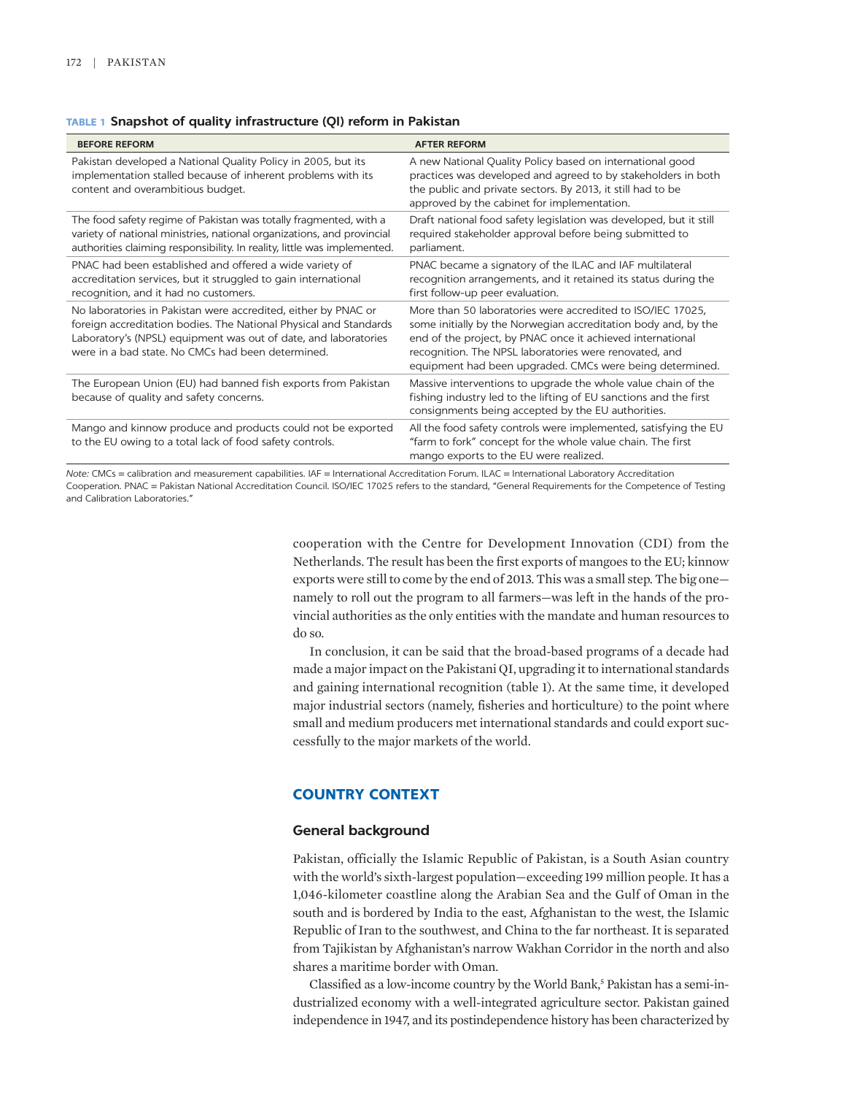**TABLE 1 Snapshot of quality infrastructure (QI) reform in Pakistan**

| <b>BEFORE REFORM</b>                                                                                                                                                                                                                                        | <b>AFTER REFORM</b>                                                                                                                                                                                                                                                                                               |
|-------------------------------------------------------------------------------------------------------------------------------------------------------------------------------------------------------------------------------------------------------------|-------------------------------------------------------------------------------------------------------------------------------------------------------------------------------------------------------------------------------------------------------------------------------------------------------------------|
| Pakistan developed a National Quality Policy in 2005, but its<br>implementation stalled because of inherent problems with its<br>content and overambitious budget.                                                                                          | A new National Quality Policy based on international good<br>practices was developed and agreed to by stakeholders in both<br>the public and private sectors. By 2013, it still had to be<br>approved by the cabinet for implementation.                                                                          |
| The food safety regime of Pakistan was totally fragmented, with a<br>variety of national ministries, national organizations, and provincial<br>authorities claiming responsibility. In reality, little was implemented.                                     | Draft national food safety legislation was developed, but it still<br>required stakeholder approval before being submitted to<br>parliament.                                                                                                                                                                      |
| PNAC had been established and offered a wide variety of<br>accreditation services, but it struggled to gain international<br>recognition, and it had no customers.                                                                                          | PNAC became a signatory of the ILAC and IAF multilateral<br>recognition arrangements, and it retained its status during the<br>first follow-up peer evaluation.                                                                                                                                                   |
| No laboratories in Pakistan were accredited, either by PNAC or<br>foreign accreditation bodies. The National Physical and Standards<br>Laboratory's (NPSL) equipment was out of date, and laboratories<br>were in a bad state. No CMCs had been determined. | More than 50 laboratories were accredited to ISO/IEC 17025,<br>some initially by the Norwegian accreditation body and, by the<br>end of the project, by PNAC once it achieved international<br>recognition. The NPSL laboratories were renovated, and<br>equipment had been upgraded. CMCs were being determined. |
| The European Union (EU) had banned fish exports from Pakistan<br>because of quality and safety concerns.                                                                                                                                                    | Massive interventions to upgrade the whole value chain of the<br>fishing industry led to the lifting of EU sanctions and the first<br>consignments being accepted by the EU authorities.                                                                                                                          |
| Mango and kinnow produce and products could not be exported<br>to the EU owing to a total lack of food safety controls.                                                                                                                                     | All the food safety controls were implemented, satisfying the EU<br>"farm to fork" concept for the whole value chain. The first<br>mango exports to the EU were realized.                                                                                                                                         |
|                                                                                                                                                                                                                                                             |                                                                                                                                                                                                                                                                                                                   |

*Note:* CMCs = calibration and measurement capabilities. IAF = International Accreditation Forum. ILAC = International Laboratory Accreditation Cooperation. PNAC = Pakistan National Accreditation Council. ISO/IEC 17025 refers to the standard, "General Requirements for the Competence of Testing and Calibration Laboratories."

> cooperation with the Centre for Development Innovation (CDI) from the Netherlands. The result has been the first exports of mangoes to the EU; kinnow exports were still to come by the end of 2013. This was a small step. The big one namely to roll out the program to all farmers—was left in the hands of the provincial authorities as the only entities with the mandate and human resources to do so.

> In conclusion, it can be said that the broad-based programs of a decade had made a major impact on the Pakistani QI, upgrading it to international standards and gaining international recognition (table 1). At the same time, it developed major industrial sectors (namely, fisheries and horticulture) to the point where small and medium producers met international standards and could export successfully to the major markets of the world.

## **COUNTRY CONTEXT**

#### **General background**

Pakistan, officially the Islamic Republic of Pakistan, is a South Asian country with the world's sixth-largest population—exceeding 199 million people. It has a 1,046-kilometer coastline along the Arabian Sea and the Gulf of Oman in the south and is bordered by India to the east, Afghanistan to the west, the Islamic Republic of Iran to the southwest, and China to the far northeast. It is separated from Tajikistan by Afghanistan's narrow Wakhan Corridor in the north and also shares a maritime border with Oman.

Classified as a low-income country by the World Bank,<sup>5</sup> Pakistan has a semi-industrialized economy with a well-integrated agriculture sector. Pakistan gained independence in 1947, and its postindependence history has been characterized by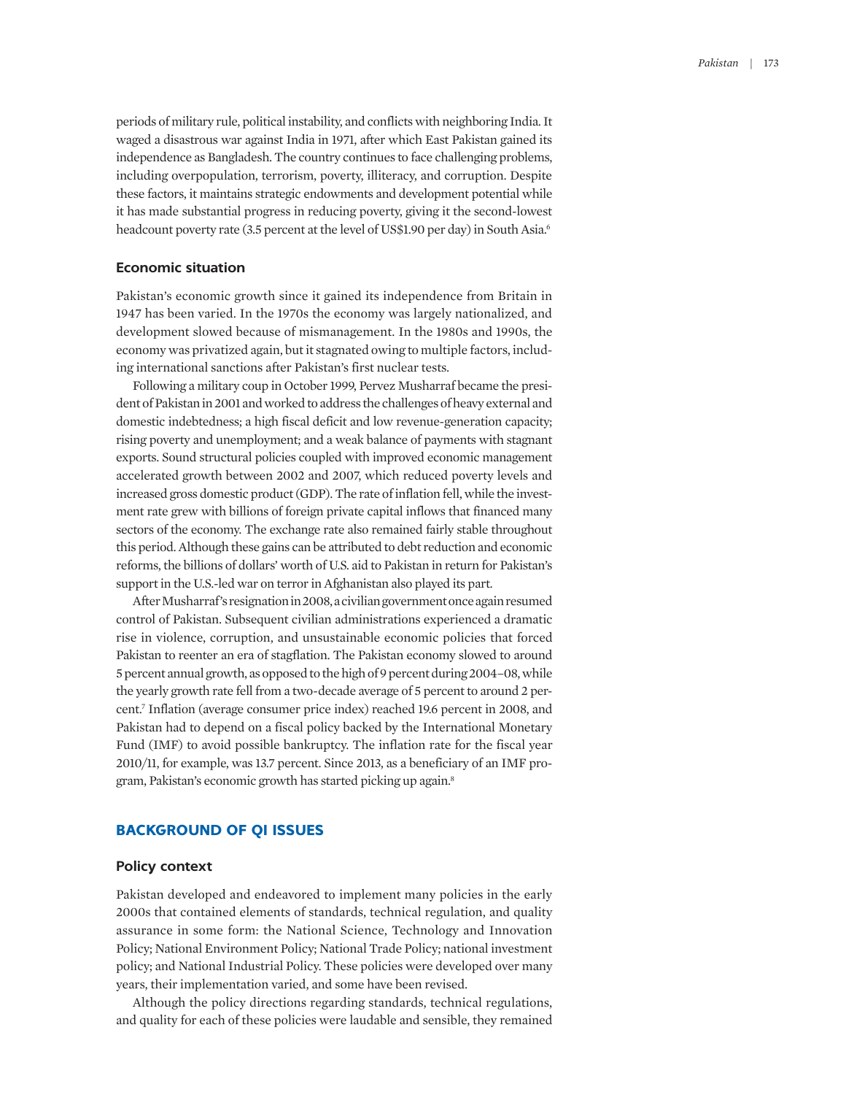periods of military rule, political instability, and conflicts with neighboring India. It waged a disastrous war against India in 1971, after which East Pakistan gained its independence as Bangladesh. The country continues to face challenging problems, including overpopulation, terrorism, poverty, illiteracy, and corruption. Despite these factors, it maintains strategic endowments and development potential while it has made substantial progress in reducing poverty, giving it the second-lowest headcount poverty rate (3.5 percent at the level of US\$1.90 per day) in South Asia.<sup>6</sup>

## **Economic situation**

Pakistan's economic growth since it gained its independence from Britain in 1947 has been varied. In the 1970s the economy was largely nationalized, and development slowed because of mismanagement. In the 1980s and 1990s, the economy was privatized again, but it stagnated owing to multiple factors, including international sanctions after Pakistan's first nuclear tests.

Following a military coup in October 1999, Pervez Musharraf became the president of Pakistan in 2001 and worked to address the challenges of heavy external and domestic indebtedness; a high fiscal deficit and low revenue-generation capacity; rising poverty and unemployment; and a weak balance of payments with stagnant exports. Sound structural policies coupled with improved economic management accelerated growth between 2002 and 2007, which reduced poverty levels and increased gross domestic product (GDP). The rate of inflation fell, while the investment rate grew with billions of foreign private capital inflows that financed many sectors of the economy. The exchange rate also remained fairly stable throughout this period. Although these gains can be attributed to debt reduction and economic reforms, the billions of dollars' worth of U.S. aid to Pakistan in return for Pakistan's support in the U.S.-led war on terror in Afghanistan also played its part.

After Musharraf's resignation in 2008, a civilian government once again resumed control of Pakistan. Subsequent civilian administrations experienced a dramatic rise in violence, corruption, and unsustainable economic policies that forced Pakistan to reenter an era of stagflation. The Pakistan economy slowed to around 5 percent annual growth, as opposed to the high of9 percent during 2004–08, while the yearly growth rate fell from a two-decade average of 5 percent to around 2 percent.7 Inflation (average consumer price index) reached 19.6 percent in 2008, and Pakistan had to depend on a fiscal policy backed by the International Monetary Fund (IMF) to avoid possible bankruptcy. The inflation rate for the fiscal year 2010/11, for example, was 13.7 percent. Since 2013, as a beneficiary of an IMF program, Pakistan's economic growth has started picking up again.8

## **BACKGROUND OF QI ISSUES**

#### **Policy context**

Pakistan developed and endeavored to implement many policies in the early 2000s that contained elements of standards, technical regulation, and quality assurance in some form: the National Science, Technology and Innovation Policy; National Environment Policy; National Trade Policy; national investment policy; and National Industrial Policy. These policies were developed over many years, their implementation varied, and some have been revised.

Although the policy directions regarding standards, technical regulations, and quality for each of these policies were laudable and sensible, they remained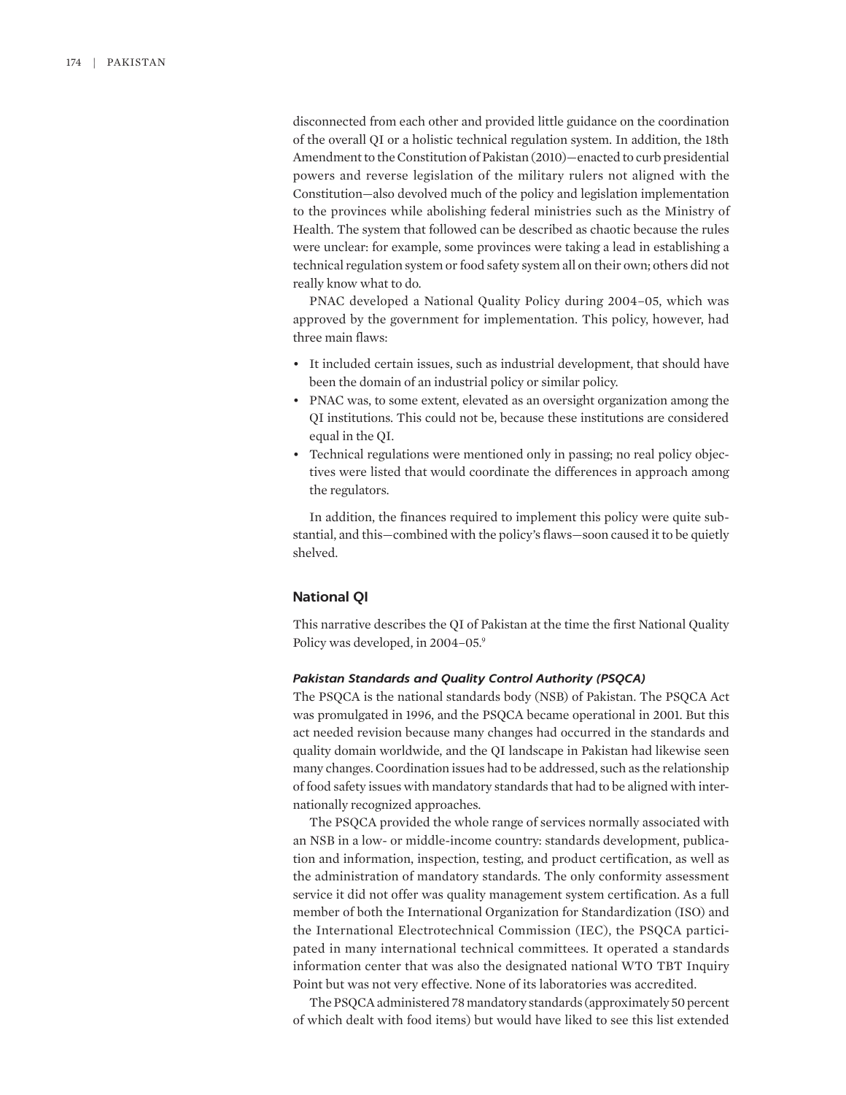disconnected from each other and provided little guidance on the coordination of the overall QI or a holistic technical regulation system. In addition, the 18th Amendment to the Constitution of Pakistan (2010)—enacted to curb presidential powers and reverse legislation of the military rulers not aligned with the Constitution—also devolved much of the policy and legislation implementation to the provinces while abolishing federal ministries such as the Ministry of Health. The system that followed can be described as chaotic because the rules were unclear: for example, some provinces were taking a lead in establishing a technical regulation system or food safety system all on their own; others did not really know what to do.

PNAC developed a National Quality Policy during 2004–05, which was approved by the government for implementation. This policy, however, had three main flaws:

- It included certain issues, such as industrial development, that should have been the domain of an industrial policy or similar policy.
- PNAC was, to some extent, elevated as an oversight organization among the QI institutions. This could not be, because these institutions are considered equal in the QI.
- Technical regulations were mentioned only in passing; no real policy objectives were listed that would coordinate the differences in approach among the regulators.

In addition, the finances required to implement this policy were quite substantial, and this—combined with the policy's flaws—soon caused it to be quietly shelved.

#### **National QI**

This narrative describes the QI of Pakistan at the time the first National Quality Policy was developed, in 2004–05.9

## *Pakistan Standards and Quality Control Authority (PSQCA)*

The PSQCA is the national standards body (NSB) of Pakistan. The PSQCA Act was promulgated in 1996, and the PSQCA became operational in 2001. But this act needed revision because many changes had occurred in the standards and quality domain worldwide, and the QI landscape in Pakistan had likewise seen many changes. Coordination issues had to be addressed, such as the relationship of food safety issues with mandatory standards that had to be aligned with internationally recognized approaches.

The PSQCA provided the whole range of services normally associated with an NSB in a low- or middle-income country: standards development, publication and information, inspection, testing, and product certification, as well as the administration of mandatory standards. The only conformity assessment service it did not offer was quality management system certification. As a full member of both the International Organization for Standardization (ISO) and the International Electrotechnical Commission (IEC), the PSQCA participated in many international technical committees. It operated a standards information center that was also the designated national WTO TBT Inquiry Point but was not very effective. None of its laboratories was accredited.

The PSQCA administered 78 mandatory standards (approximately 50 percent of which dealt with food items) but would have liked to see this list extended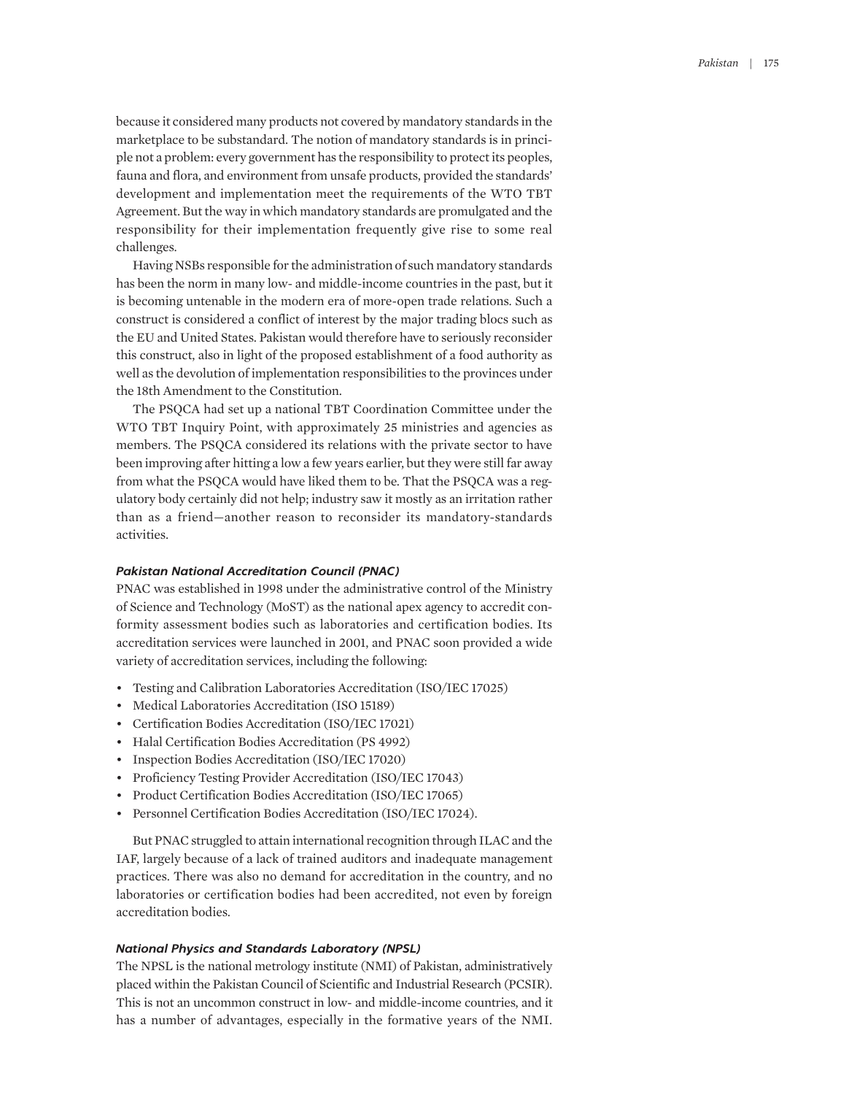because it considered many products not covered by mandatory standards in the marketplace to be substandard. The notion of mandatory standards is in principle not a problem: every government has the responsibility to protect its peoples, fauna and flora, and environment from unsafe products, provided the standards' development and implementation meet the requirements of the WTO TBT Agreement. But the way in which mandatory standards are promulgated and the responsibility for their implementation frequently give rise to some real challenges.

Having NSBs responsible for the administration of such mandatory standards has been the norm in many low- and middle-income countries in the past, but it is becoming untenable in the modern era of more-open trade relations. Such a construct is considered a conflict of interest by the major trading blocs such as the EU and United States. Pakistan would therefore have to seriously reconsider this construct, also in light of the proposed establishment of a food authority as well as the devolution of implementation responsibilities to the provinces under the 18th Amendment to the Constitution.

The PSQCA had set up a national TBT Coordination Committee under the WTO TBT Inquiry Point, with approximately 25 ministries and agencies as members. The PSQCA considered its relations with the private sector to have been improving after hitting a low a few years earlier, but they were still far away from what the PSQCA would have liked them to be. That the PSQCA was a regulatory body certainly did not help; industry saw it mostly as an irritation rather than as a friend—another reason to reconsider its mandatory-standards activities.

#### *Pakistan National Accreditation Council (PNAC)*

PNAC was established in 1998 under the administrative control of the Ministry of Science and Technology (MoST) as the national apex agency to accredit conformity assessment bodies such as laboratories and certification bodies. Its accreditation services were launched in 2001, and PNAC soon provided a wide variety of accreditation services, including the following:

- Testing and Calibration Laboratories Accreditation (ISO/IEC 17025)
- Medical Laboratories Accreditation (ISO 15189)
- Certification Bodies Accreditation (ISO/IEC 17021)
- Halal Certification Bodies Accreditation (PS 4992)
- Inspection Bodies Accreditation (ISO/IEC 17020)
- Proficiency Testing Provider Accreditation (ISO/IEC 17043)
- Product Certification Bodies Accreditation (ISO/IEC 17065)
- Personnel Certification Bodies Accreditation (ISO/IEC 17024).

But PNAC struggled to attain international recognition through ILAC and the IAF, largely because of a lack of trained auditors and inadequate management practices. There was also no demand for accreditation in the country, and no laboratories or certification bodies had been accredited, not even by foreign accreditation bodies.

#### *National Physics and Standards Laboratory (NPSL)*

The NPSL is the national metrology institute (NMI) of Pakistan, administratively placed within the Pakistan Council of Scientific and Industrial Research (PCSIR). This is not an uncommon construct in low- and middle-income countries, and it has a number of advantages, especially in the formative years of the NMI.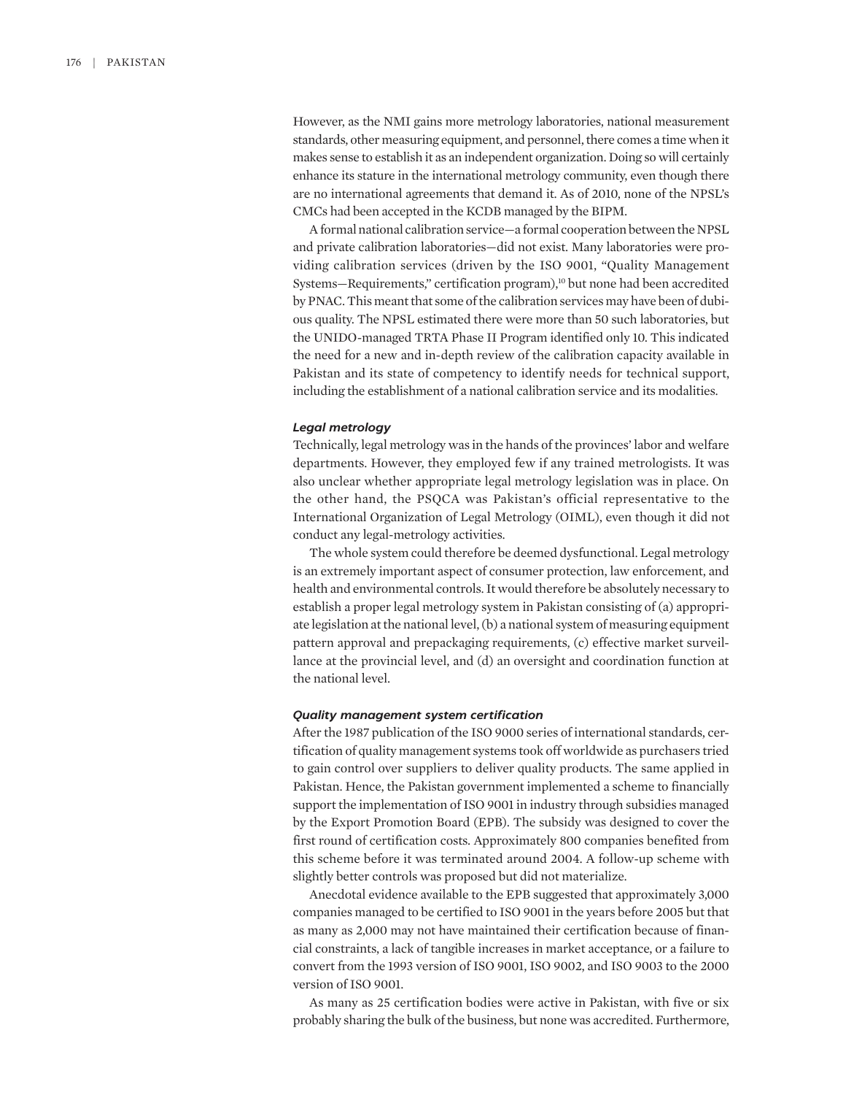However, as the NMI gains more metrology laboratories, national measurement standards, other measuring equipment, and personnel, there comes a time when it makes sense to establish it as an independent organization. Doing so will certainly enhance its stature in the international metrology community, even though there are no international agreements that demand it. As of 2010, none of the NPSL's CMCs had been accepted in the KCDB managed by the BIPM.

A formal national calibration service—a formal cooperation between the NPSL and private calibration laboratories—did not exist. Many laboratories were providing calibration services (driven by the ISO 9001, "Quality Management Systems—Requirements," certification program),<sup>10</sup> but none had been accredited by PNAC. This meant that some of the calibration services may have been of dubious quality. The NPSL estimated there were more than 50 such laboratories, but the UNIDO-managed TRTA Phase II Program identified only 10. This indicated the need for a new and in-depth review of the calibration capacity available in Pakistan and its state of competency to identify needs for technical support, including the establishment of a national calibration service and its modalities.

#### *Legal metrology*

Technically, legal metrology was in the hands of the provinces' labor and welfare departments. However, they employed few if any trained metrologists. It was also unclear whether appropriate legal metrology legislation was in place. On the other hand, the PSQCA was Pakistan's official representative to the International Organization of Legal Metrology (OIML), even though it did not conduct any legal-metrology activities.

The whole system could therefore be deemed dysfunctional. Legal metrology is an extremely important aspect of consumer protection, law enforcement, and health and environmental controls. It would therefore be absolutely necessary to establish a proper legal metrology system in Pakistan consisting of (a) appropriate legislation at the national level, (b) a national system of measuring equipment pattern approval and prepackaging requirements, (c) effective market surveillance at the provincial level, and (d) an oversight and coordination function at the national level.

## *Quality management system certification*

After the 1987 publication of the ISO 9000 series of international standards, certification of quality management systems took off worldwide as purchasers tried to gain control over suppliers to deliver quality products. The same applied in Pakistan. Hence, the Pakistan government implemented a scheme to financially support the implementation of ISO 9001 in industry through subsidies managed by the Export Promotion Board (EPB). The subsidy was designed to cover the first round of certification costs. Approximately 800 companies benefited from this scheme before it was terminated around 2004. A follow-up scheme with slightly better controls was proposed but did not materialize.

Anecdotal evidence available to the EPB suggested that approximately 3,000 companies managed to be certified to ISO 9001 in the years before 2005 but that as many as 2,000 may not have maintained their certification because of financial constraints, a lack of tangible increases in market acceptance, or a failure to convert from the 1993 version of ISO 9001, ISO 9002, and ISO 9003 to the 2000 version of ISO 9001.

As many as 25 certification bodies were active in Pakistan, with five or six probably sharing the bulk of the business, but none was accredited. Furthermore,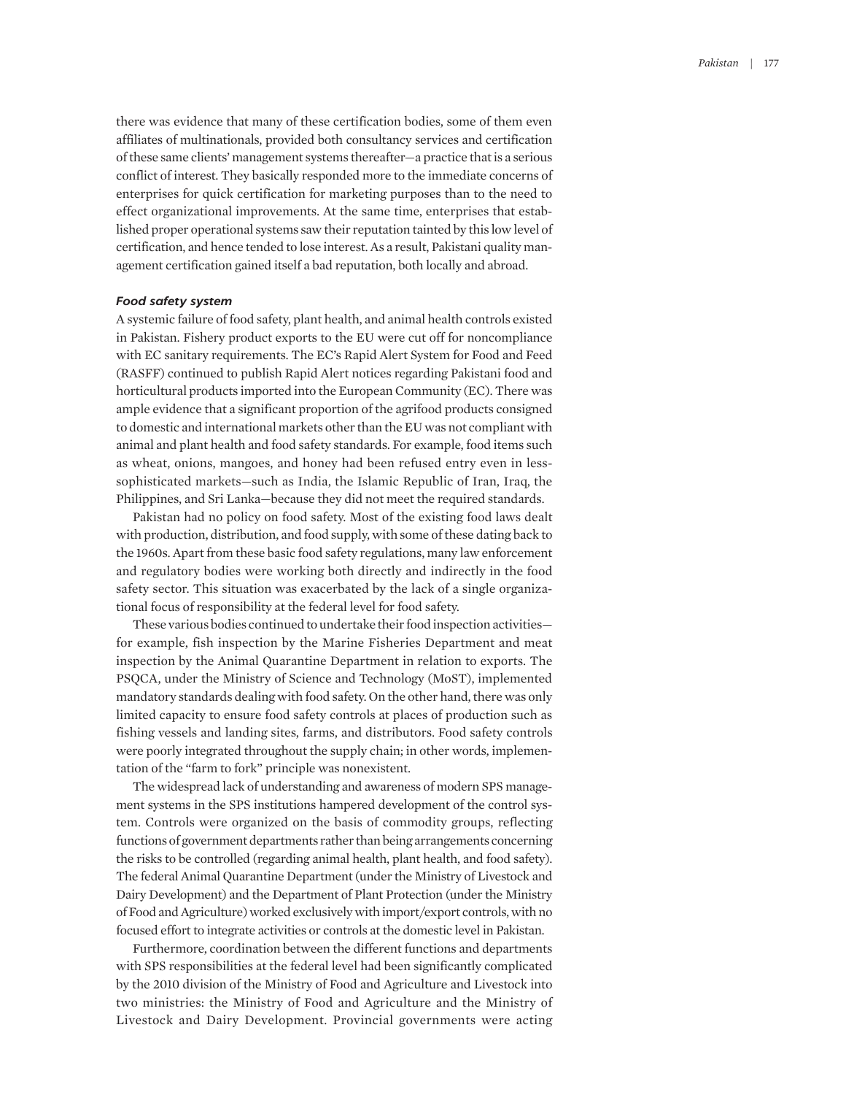there was evidence that many of these certification bodies, some of them even affiliates of multinationals, provided both consultancy services and certification of these same clients' management systems thereafter—a practice that is a serious conflict of interest. They basically responded more to the immediate concerns of enterprises for quick certification for marketing purposes than to the need to effect organizational improvements. At the same time, enterprises that established proper operational systems saw their reputation tainted by this low level of certification, and hence tended to lose interest. As a result, Pakistani quality management certification gained itself a bad reputation, both locally and abroad.

#### *Food safety system*

A systemic failure of food safety, plant health, and animal health controls existed in Pakistan. Fishery product exports to the EU were cut off for noncompliance with EC sanitary requirements. The EC's Rapid Alert System for Food and Feed (RASFF) continued to publish Rapid Alert notices regarding Pakistani food and horticultural products imported into the European Community (EC). There was ample evidence that a significant proportion of the agrifood products consigned to domestic and international markets other than the EU was not compliant with animal and plant health and food safety standards. For example, food items such as wheat, onions, mangoes, and honey had been refused entry even in lesssophisticated markets—such as India, the Islamic Republic of Iran, Iraq, the Philippines, and Sri Lanka—because they did not meet the required standards.

Pakistan had no policy on food safety. Most of the existing food laws dealt with production, distribution, and food supply, with some of these dating back to the 1960s. Apart from these basic food safety regulations, many law enforcement and regulatory bodies were working both directly and indirectly in the food safety sector. This situation was exacerbated by the lack of a single organizational focus of responsibility at the federal level for food safety.

These various bodies continued to undertake their food inspection activities for example, fish inspection by the Marine Fisheries Department and meat inspection by the Animal Quarantine Department in relation to exports. The PSQCA, under the Ministry of Science and Technology (MoST), implemented mandatory standards dealing with food safety. On the other hand, there was only limited capacity to ensure food safety controls at places of production such as fishing vessels and landing sites, farms, and distributors. Food safety controls were poorly integrated throughout the supply chain; in other words, implementation of the "farm to fork" principle was nonexistent.

The widespread lack of understanding and awareness of modern SPS management systems in the SPS institutions hampered development of the control system. Controls were organized on the basis of commodity groups, reflecting functions of government departments rather than being arrangements concerning the risks to be controlled (regarding animal health, plant health, and food safety). The federal Animal Quarantine Department (under the Ministry of Livestock and Dairy Development) and the Department of Plant Protection (under the Ministry of Food and Agriculture) worked exclusively with import/export controls, with no focused effort to integrate activities or controls at the domestic level in Pakistan.

Furthermore, coordination between the different functions and departments with SPS responsibilities at the federal level had been significantly complicated by the 2010 division of the Ministry of Food and Agriculture and Livestock into two ministries: the Ministry of Food and Agriculture and the Ministry of Livestock and Dairy Development. Provincial governments were acting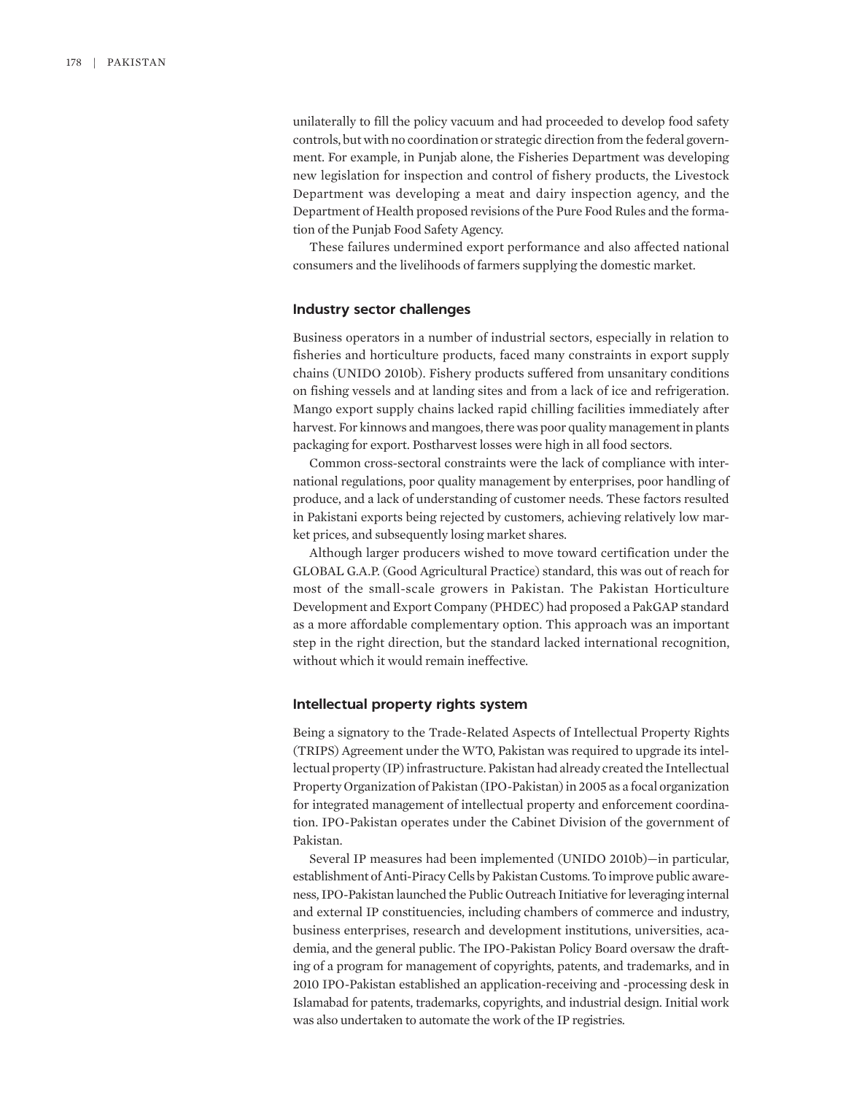unilaterally to fill the policy vacuum and had proceeded to develop food safety controls, but with no coordination or strategic direction from the federal government. For example, in Punjab alone, the Fisheries Department was developing new legislation for inspection and control of fishery products, the Livestock Department was developing a meat and dairy inspection agency, and the Department of Health proposed revisions of the Pure Food Rules and the formation of the Punjab Food Safety Agency.

These failures undermined export performance and also affected national consumers and the livelihoods of farmers supplying the domestic market.

#### **Industry sector challenges**

Business operators in a number of industrial sectors, especially in relation to fisheries and horticulture products, faced many constraints in export supply chains (UNIDO 2010b). Fishery products suffered from unsanitary conditions on fishing vessels and at landing sites and from a lack of ice and refrigeration. Mango export supply chains lacked rapid chilling facilities immediately after harvest. For kinnows and mangoes, there was poor quality management in plants packaging for export. Postharvest losses were high in all food sectors.

Common cross-sectoral constraints were the lack of compliance with international regulations, poor quality management by enterprises, poor handling of produce, and a lack of understanding of customer needs. These factors resulted in Pakistani exports being rejected by customers, achieving relatively low market prices, and subsequently losing market shares.

Although larger producers wished to move toward certification under the GLOBAL G.A.P. (Good Agricultural Practice) standard, this was out of reach for most of the small-scale growers in Pakistan. The Pakistan Horticulture Development and Export Company (PHDEC) had proposed a PakGAP standard as a more affordable complementary option. This approach was an important step in the right direction, but the standard lacked international recognition, without which it would remain ineffective.

#### **Intellectual property rights system**

Being a signatory to the Trade-Related Aspects of Intellectual Property Rights (TRIPS) Agreement under the WTO, Pakistan was required to upgrade its intellectual property (IP) infrastructure. Pakistan had already created the Intellectual Property Organization of Pakistan (IPO-Pakistan) in 2005 as a focal organization for integrated management of intellectual property and enforcement coordination. IPO-Pakistan operates under the Cabinet Division of the government of Pakistan.

Several IP measures had been implemented (UNIDO 2010b)—in particular, establishment of Anti-Piracy Cells by Pakistan Customs. To improve public awareness, IPO-Pakistan launched the Public Outreach Initiative for leveraging internal and external IP constituencies, including chambers of commerce and industry, business enterprises, research and development institutions, universities, academia, and the general public. The IPO-Pakistan Policy Board oversaw the drafting of a program for management of copyrights, patents, and trademarks, and in 2010 IPO-Pakistan established an application-receiving and -processing desk in Islamabad for patents, trademarks, copyrights, and industrial design. Initial work was also undertaken to automate the work of the IP registries.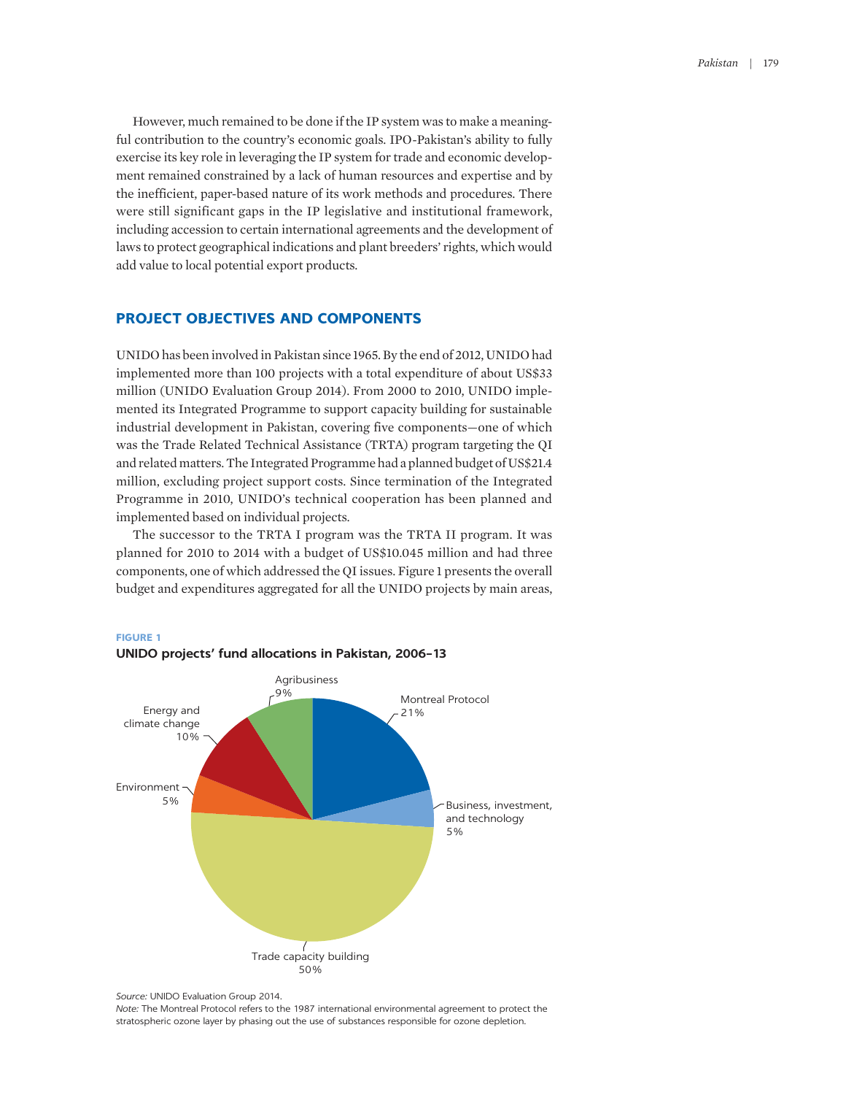However, much remained to be done if the IP system was to make a meaningful contribution to the country's economic goals. IPO-Pakistan's ability to fully exercise its key role in leveraging the IP system for trade and economic development remained constrained by a lack of human resources and expertise and by the inefficient, paper-based nature of its work methods and procedures. There were still significant gaps in the IP legislative and institutional framework, including accession to certain international agreements and the development of laws to protect geographical indications and plant breeders' rights, which would add value to local potential export products.

## **PROJECT OBJECTIVES AND COMPONENTS**

UNIDO has been involved in Pakistan since 1965. By the end of 2012, UNIDO had implemented more than 100 projects with a total expenditure of about US\$33 million (UNIDO Evaluation Group 2014). From 2000 to 2010, UNIDO implemented its Integrated Programme to support capacity building for sustainable industrial development in Pakistan, covering five components—one of which was the Trade Related Technical Assistance (TRTA) program targeting the QI and related matters. The Integrated Programme had a planned budget of US\$21.4 million, excluding project support costs. Since termination of the Integrated Programme in 2010, UNIDO's technical cooperation has been planned and implemented based on individual projects.

The successor to the TRTA I program was the TRTA II program. It was planned for 2010 to 2014 with a budget of US\$10.045 million and had three components, one of which addressed the QI issues. Figure 1 presents the overall budget and expenditures aggregated for all the UNIDO projects by main areas,



**UNIDO projects' fund allocations in Pakistan, 2006–13**

**FIGURE 1**

*Source:* UNIDO Evaluation Group 2014.

*Note:* The Montreal Protocol refers to the 1987 international environmental agreement to protect the stratospheric ozone layer by phasing out the use of substances responsible for ozone depletion.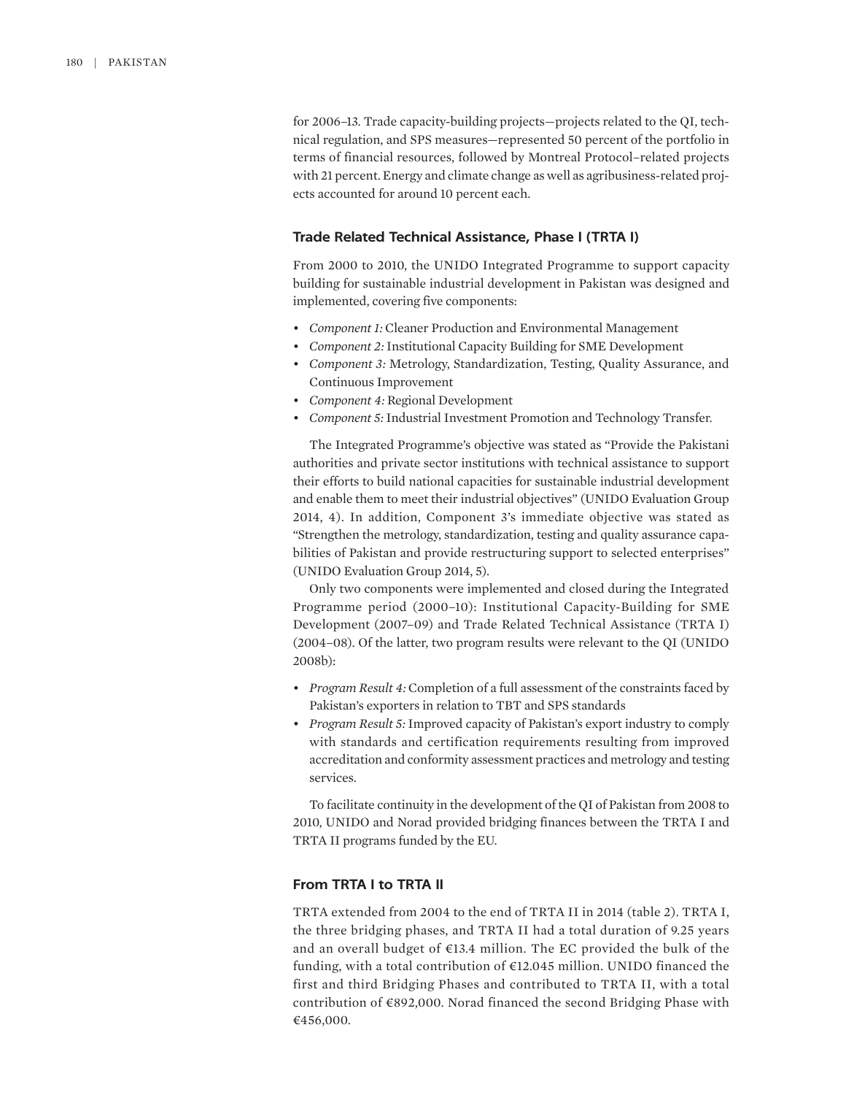for 2006–13. Trade capacity-building projects—projects related to the QI, technical regulation, and SPS measures—represented 50 percent of the portfolio in terms of financial resources, followed by Montreal Protocol–related projects with 21 percent. Energy and climate change as well as agribusiness-related projects accounted for around 10 percent each.

#### **Trade Related Technical Assistance, Phase I (TRTA I)**

From 2000 to 2010, the UNIDO Integrated Programme to support capacity building for sustainable industrial development in Pakistan was designed and implemented, covering five components:

- *Component 1:* Cleaner Production and Environmental Management
- *Component 2:* Institutional Capacity Building for SME Development
- *Component 3:* Metrology, Standardization, Testing, Quality Assurance, and Continuous Improvement
- *Component 4:* Regional Development
- *Component 5:* Industrial Investment Promotion and Technology Transfer.

The Integrated Programme's objective was stated as "Provide the Pakistani authorities and private sector institutions with technical assistance to support their efforts to build national capacities for sustainable industrial development and enable them to meet their industrial objectives" (UNIDO Evaluation Group 2014, 4). In addition, Component 3's immediate objective was stated as "Strengthen the metrology, standardization, testing and quality assurance capabilities of Pakistan and provide restructuring support to selected enterprises" (UNIDO Evaluation Group 2014, 5).

Only two components were implemented and closed during the Integrated Programme period (2000–10): Institutional Capacity-Building for SME Development (2007–09) and Trade Related Technical Assistance (TRTA I) (2004–08). Of the latter, two program results were relevant to the QI (UNIDO 2008b):

- *Program Result 4:* Completion of a full assessment of the constraints faced by Pakistan's exporters in relation to TBT and SPS standards
- *Program Result 5:* Improved capacity of Pakistan's export industry to comply with standards and certification requirements resulting from improved accreditation and conformity assessment practices and metrology and testing services.

To facilitate continuity in the development of the QI of Pakistan from 2008 to 2010, UNIDO and Norad provided bridging finances between the TRTA I and TRTA II programs funded by the EU.

## **From TRTA I to TRTA II**

TRTA extended from 2004 to the end of TRTA II in 2014 (table 2). TRTA I, the three bridging phases, and TRTA II had a total duration of 9.25 years and an overall budget of €13.4 million. The EC provided the bulk of the funding, with a total contribution of €12.045 million. UNIDO financed the first and third Bridging Phases and contributed to TRTA II, with a total contribution of €892,000. Norad financed the second Bridging Phase with €456,000.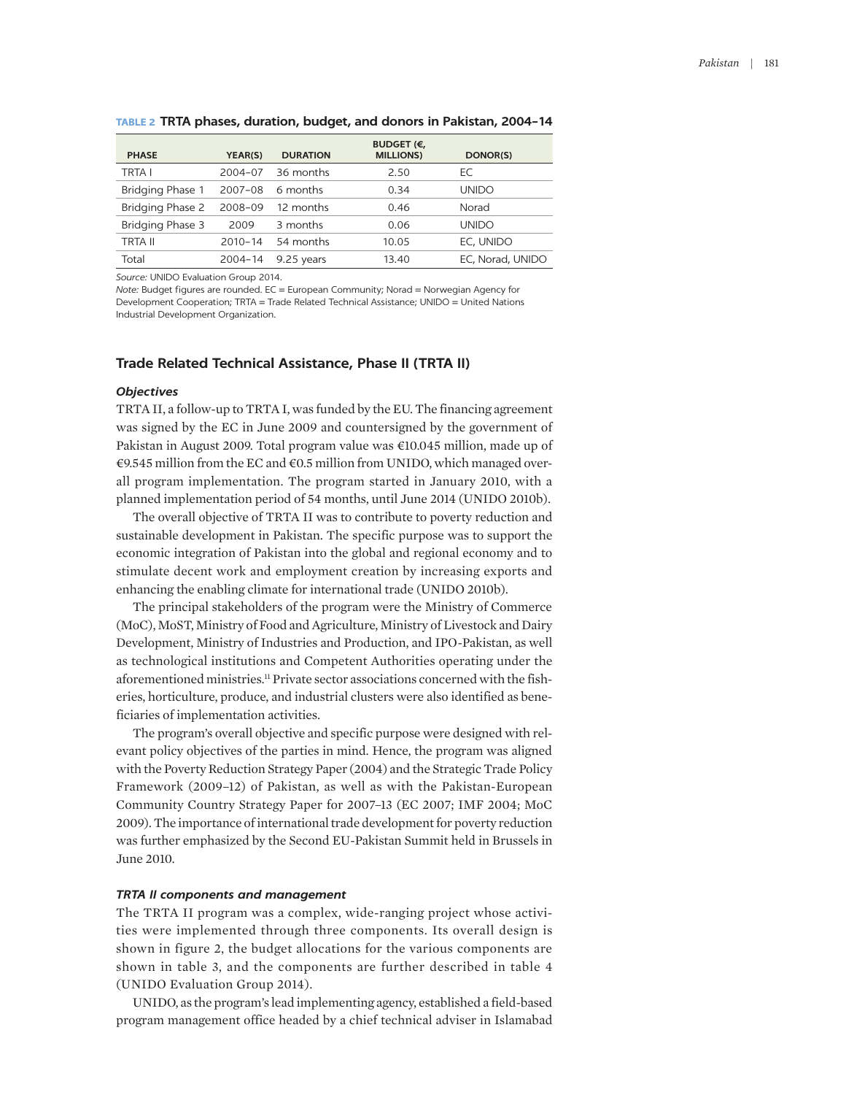| <b>PHASE</b>     | YEAR(S)     | <b>DURATION</b> | BUDGET (€,<br><b>MILLIONS</b> ) | DONOR(S)         |
|------------------|-------------|-----------------|---------------------------------|------------------|
| <b>TRTA I</b>    | 2004-07     | 36 months       | 2.50                            | ЕC               |
| Bridging Phase 1 | 2007-08     | 6 months        | 0.34                            | <b>UNIDO</b>     |
| Bridging Phase 2 | 2008-09     | 12 months       | 0.46                            | Norad            |
| Bridging Phase 3 | 2009        | 3 months        | 0.06                            | <b>UNIDO</b>     |
| <b>TRTA II</b>   | $2010 - 14$ | 54 months       | 10.05                           | EC, UNIDO        |
| Total            | $2004 - 14$ | 9.25 years      | 13.40                           | EC, Norad, UNIDO |

#### **TABLE 2 TRTA phases, duration, budget, and donors in Pakistan, 2004–14**

*Source:* UNIDO Evaluation Group 2014.

*Note:* Budget figures are rounded. EC = European Community; Norad = Norwegian Agency for Development Cooperation; TRTA = Trade Related Technical Assistance; UNIDO = United Nations Industrial Development Organization.

## **Trade Related Technical Assistance, Phase II (TRTA II)**

#### *Objectives*

TRTA II, a follow-up to TRTA I, was funded by the EU. The financing agreement was signed by the EC in June 2009 and countersigned by the government of Pakistan in August 2009. Total program value was €10.045 million, made up of €9.545 million from the EC and €0.5 million from UNIDO, which managed overall program implementation. The program started in January 2010, with a planned implementation period of 54 months, until June 2014 (UNIDO 2010b).

The overall objective of TRTA II was to contribute to poverty reduction and sustainable development in Pakistan. The specific purpose was to support the economic integration of Pakistan into the global and regional economy and to stimulate decent work and employment creation by increasing exports and enhancing the enabling climate for international trade (UNIDO 2010b).

The principal stakeholders of the program were the Ministry of Commerce (MoC), MoST, Ministry of Food and Agriculture, Ministry of Livestock and Dairy Development, Ministry of Industries and Production, and IPO-Pakistan, as well as technological institutions and Competent Authorities operating under the aforementioned ministries.<sup>11</sup> Private sector associations concerned with the fisheries, horticulture, produce, and industrial clusters were also identified as beneficiaries of implementation activities.

The program's overall objective and specific purpose were designed with relevant policy objectives of the parties in mind. Hence, the program was aligned with the Poverty Reduction Strategy Paper (2004) and the Strategic Trade Policy Framework (2009–12) of Pakistan, as well as with the Pakistan-European Community Country Strategy Paper for 2007–13 (EC 2007; IMF 2004; MoC 2009). The importance of international trade development for poverty reduction was further emphasized by the Second EU-Pakistan Summit held in Brussels in June 2010.

#### *TRTA II components and management*

The TRTA II program was a complex, wide-ranging project whose activities were implemented through three components. Its overall design is shown in figure 2, the budget allocations for the various components are shown in table 3, and the components are further described in table 4 (UNIDO Evaluation Group 2014).

UNIDO, as the program's lead implementing agency, established a field-based program management office headed by a chief technical adviser in Islamabad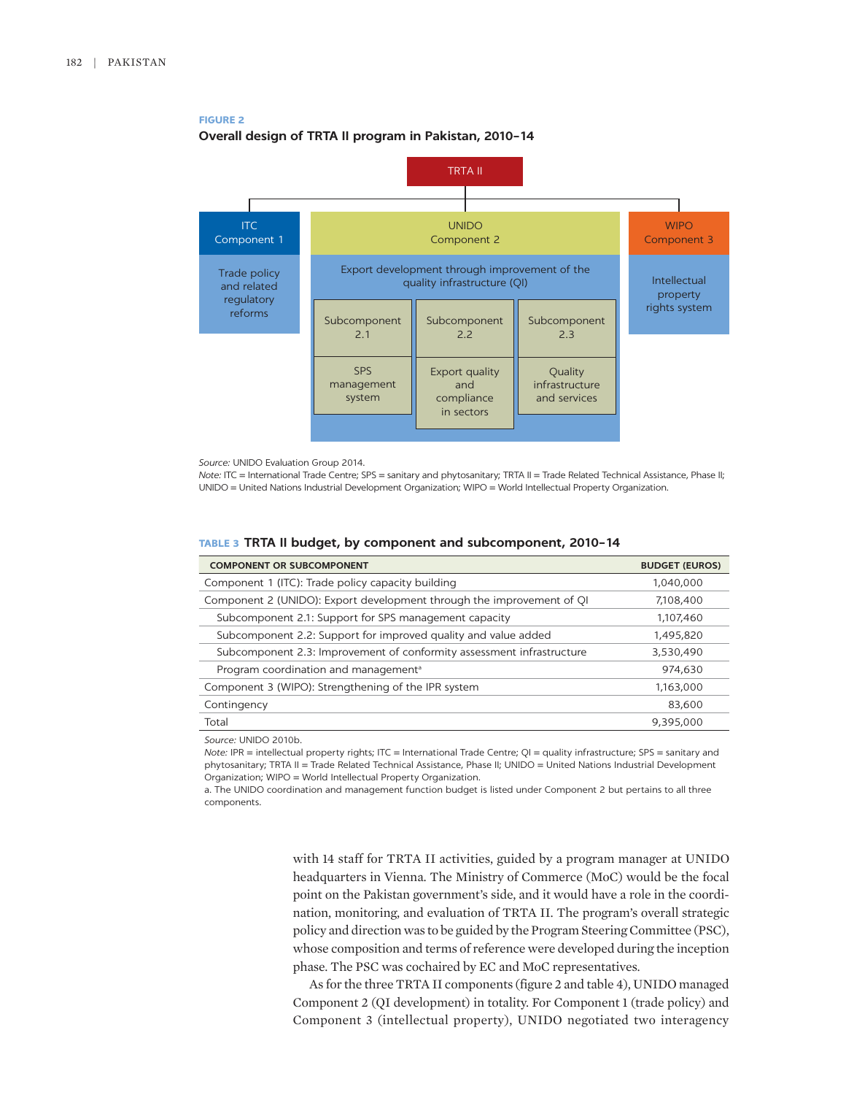

**FIGURE 2**

*Source:* UNIDO Evaluation Group 2014.

*Note:* ITC = International Trade Centre; SPS = sanitary and phytosanitary; TRTA II = Trade Related Technical Assistance, Phase II; UNIDO = United Nations Industrial Development Organization; WIPO = World Intellectual Property Organization.

|  | TABLE 3 TRTA II budget, by component and subcomponent, 2010-14 |  |
|--|----------------------------------------------------------------|--|
|  |                                                                |  |

| <b>COMPONENT OR SUBCOMPONENT</b>                                      | <b>BUDGET (EUROS)</b> |
|-----------------------------------------------------------------------|-----------------------|
| Component 1 (ITC): Trade policy capacity building                     | 1,040,000             |
| Component 2 (UNIDO): Export development through the improvement of QI | 7,108,400             |
| Subcomponent 2.1: Support for SPS management capacity                 | 1,107,460             |
| Subcomponent 2.2: Support for improved quality and value added        | 1,495,820             |
| Subcomponent 2.3: Improvement of conformity assessment infrastructure | 3,530,490             |
| Program coordination and management <sup>a</sup>                      | 974,630               |
| Component 3 (WIPO): Strengthening of the IPR system                   | 1,163,000             |
| Contingency                                                           | 83,600                |
| Total                                                                 | 9,395,000             |
|                                                                       |                       |

*Source:* UNIDO 2010b.

*Note:* IPR = intellectual property rights; ITC = International Trade Centre; QI = quality infrastructure; SPS = sanitary and phytosanitary; TRTA II = Trade Related Technical Assistance, Phase II; UNIDO = United Nations Industrial Development Organization; WIPO = World Intellectual Property Organization.

a. The UNIDO coordination and management function budget is listed under Component 2 but pertains to all three components.

> with 14 staff for TRTA II activities, guided by a program manager at UNIDO headquarters in Vienna. The Ministry of Commerce (MoC) would be the focal point on the Pakistan government's side, and it would have a role in the coordination, monitoring, and evaluation of TRTA II. The program's overall strategic policy and direction was to be guided by the Program Steering Committee (PSC), whose composition and terms of reference were developed during the inception phase. The PSC was cochaired by EC and MoC representatives.

> As for the three TRTA II components (figure 2 and table 4), UNIDO managed Component 2 (QI development) in totality. For Component 1 (trade policy) and Component 3 (intellectual property), UNIDO negotiated two interagency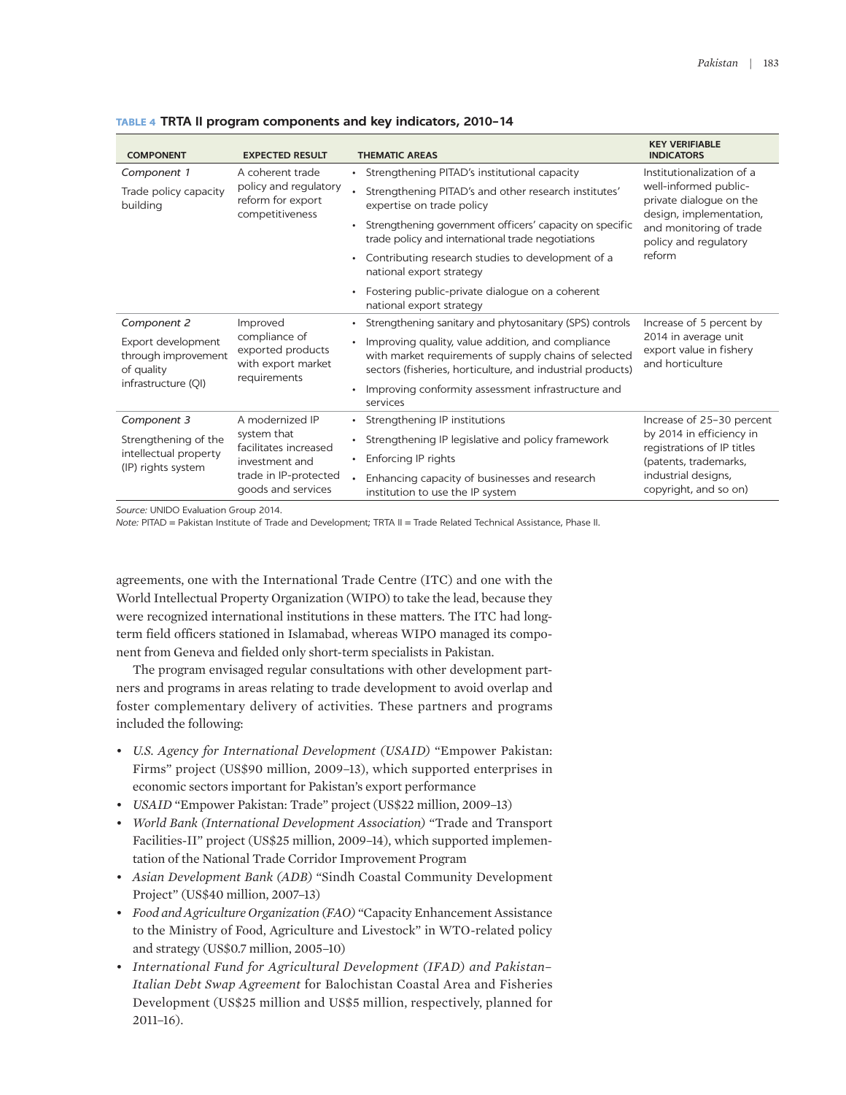| <b>COMPONENT</b>                                                               | <b>EXPECTED RESULT</b>                                                                                                   | <b>THEMATIC AREAS</b>                                                                                                                                                    | <b>KEY VERIFIABLE</b><br><b>INDICATORS</b>                                      |  |
|--------------------------------------------------------------------------------|--------------------------------------------------------------------------------------------------------------------------|--------------------------------------------------------------------------------------------------------------------------------------------------------------------------|---------------------------------------------------------------------------------|--|
| Component 1                                                                    | A coherent trade<br>policy and regulatory<br>reform for export<br>competitiveness                                        | • Strengthening PITAD's institutional capacity                                                                                                                           | Institutionalization of a                                                       |  |
| Trade policy capacity<br>building                                              |                                                                                                                          | Strengthening PITAD's and other research institutes'<br>expertise on trade policy                                                                                        | well-informed public-<br>private dialogue on the<br>design, implementation,     |  |
|                                                                                |                                                                                                                          | • Strengthening government officers' capacity on specific<br>trade policy and international trade negotiations                                                           | and monitoring of trade<br>policy and regulatory<br>reform                      |  |
|                                                                                |                                                                                                                          | Contributing research studies to development of a<br>national export strategy                                                                                            |                                                                                 |  |
|                                                                                |                                                                                                                          | • Fostering public-private dialogue on a coherent<br>national export strategy                                                                                            |                                                                                 |  |
| Component 2                                                                    | Improved<br>compliance of<br>exported products<br>with export market<br>requirements                                     | Strengthening sanitary and phytosanitary (SPS) controls                                                                                                                  | Increase of 5 percent by                                                        |  |
| Export development<br>through improvement<br>of quality<br>infrastructure (QI) |                                                                                                                          | Improving quality, value addition, and compliance<br>with market requirements of supply chains of selected<br>sectors (fisheries, horticulture, and industrial products) | 2014 in average unit<br>export value in fishery<br>and horticulture             |  |
|                                                                                |                                                                                                                          | • Improving conformity assessment infrastructure and<br>services                                                                                                         |                                                                                 |  |
| Component 3                                                                    | A modernized IP<br>system that<br>facilitates increased<br>investment and<br>trade in IP-protected<br>goods and services | Strengthening IP institutions<br>$\bullet$                                                                                                                               | Increase of 25-30 percent                                                       |  |
| Strengthening of the<br>intellectual property<br>(IP) rights system            |                                                                                                                          | Strengthening IP legislative and policy framework                                                                                                                        | by 2014 in efficiency in<br>registrations of IP titles<br>(patents, trademarks, |  |
|                                                                                |                                                                                                                          | Enforcing IP rights                                                                                                                                                      |                                                                                 |  |
|                                                                                |                                                                                                                          | Enhancing capacity of businesses and research<br>institution to use the IP system                                                                                        | industrial designs,<br>copyright, and so on)                                    |  |

#### **TABLE 4 TRTA II program components and key indicators, 2010–14**

*Source:* UNIDO Evaluation Group 2014.

*Note:* PITAD = Pakistan Institute of Trade and Development; TRTA II = Trade Related Technical Assistance, Phase II.

agreements, one with the International Trade Centre (ITC) and one with the World Intellectual Property Organization (WIPO) to take the lead, because they were recognized international institutions in these matters. The ITC had longterm field officers stationed in Islamabad, whereas WIPO managed its component from Geneva and fielded only short-term specialists in Pakistan.

The program envisaged regular consultations with other development partners and programs in areas relating to trade development to avoid overlap and foster complementary delivery of activities. These partners and programs included the following:

- *U.S. Agency for International Development (USAID)* "Empower Pakistan: Firms" project (US\$90 million, 2009–13), which supported enterprises in economic sectors important for Pakistan's export performance
- *USAID* "Empower Pakistan: Trade" project (US\$22 million, 2009–13)
- *World Bank (International Development Association)* "Trade and Transport Facilities-II" project (US\$25 million, 2009–14), which supported implementation of the National Trade Corridor Improvement Program
- *Asian Development Bank (ADB)* "Sindh Coastal Community Development Project" (US\$40 million, 2007–13)
- *Food and Agriculture Organization (FAO)* "Capacity Enhancement Assistance to the Ministry of Food, Agriculture and Livestock" in WTO-related policy and strategy (US\$0.7 million, 2005–10)
- *International Fund for Agricultural Development (IFAD) and Pakistan– Italian Debt Swap Agreement* for Balochistan Coastal Area and Fisheries Development (US\$25 million and US\$5 million, respectively, planned for 2011–16).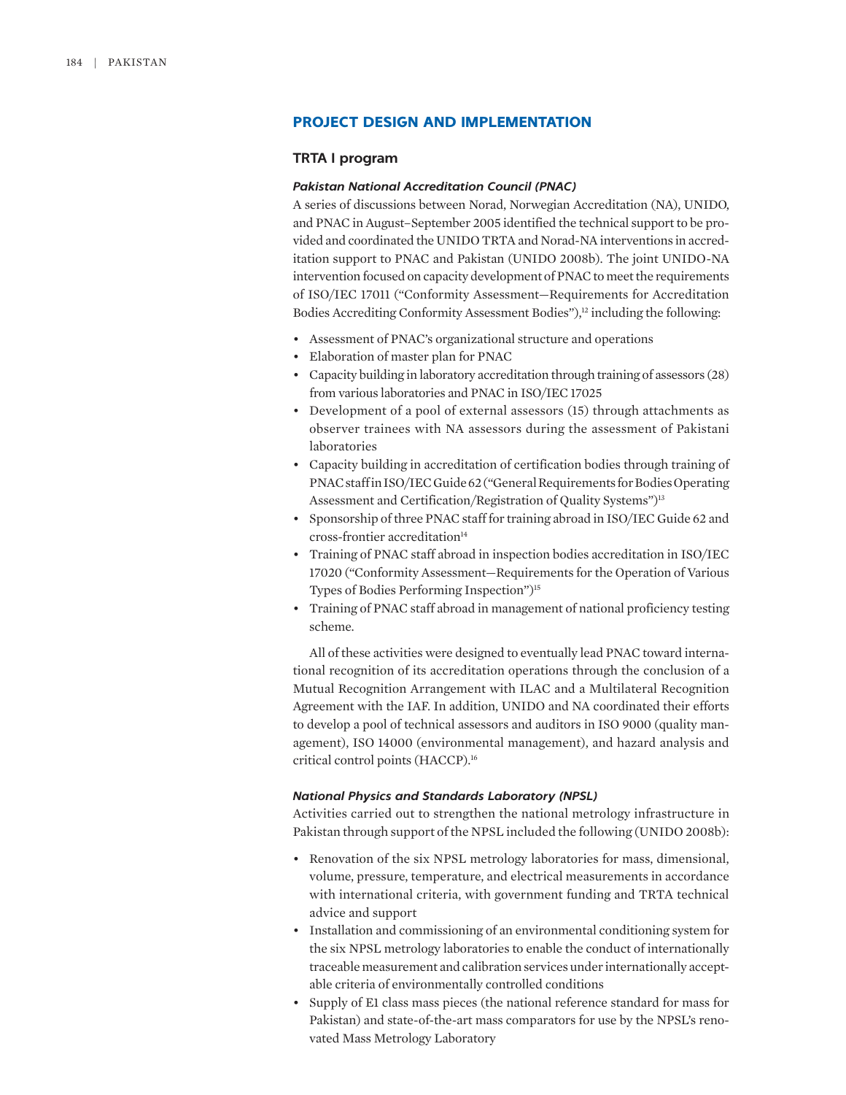## **PROJECT DESIGN AND IMPLEMENTATION**

## **TRTA I program**

## *Pakistan National Accreditation Council (PNAC)*

A series of discussions between Norad, Norwegian Accreditation (NA), UNIDO, and PNAC in August–September 2005 identified the technical support to be provided and coordinated the UNIDO TRTA and Norad-NA interventions in accreditation support to PNAC and Pakistan (UNIDO 2008b). The joint UNIDO-NA intervention focused on capacity development of PNAC to meet the requirements of ISO/IEC 17011 ("Conformity Assessment—Requirements for Accreditation Bodies Accrediting Conformity Assessment Bodies"),<sup>12</sup> including the following:

- Assessment of PNAC's organizational structure and operations
- Elaboration of master plan for PNAC
- Capacity building in laboratory accreditation through training of assessors (28) from various laboratories and PNAC in ISO/IEC 17025
- Development of a pool of external assessors (15) through attachments as observer trainees with NA assessors during the assessment of Pakistani laboratories
- Capacity building in accreditation of certification bodies through training of PNAC staff in ISO/IEC Guide 62 ("General Requirements for Bodies Operating Assessment and Certification/Registration of Quality Systems")<sup>13</sup>
- Sponsorship of three PNAC staff for training abroad in ISO/IEC Guide 62 and cross-frontier accreditation<sup>14</sup>
- Training of PNAC staff abroad in inspection bodies accreditation in ISO/IEC 17020 ("Conformity Assessment—Requirements for the Operation of Various Types of Bodies Performing Inspection")15
- Training of PNAC staff abroad in management of national proficiency testing scheme.

All of these activities were designed to eventually lead PNAC toward international recognition of its accreditation operations through the conclusion of a Mutual Recognition Arrangement with ILAC and a Multilateral Recognition Agreement with the IAF. In addition, UNIDO and NA coordinated their efforts to develop a pool of technical assessors and auditors in ISO 9000 (quality management), ISO 14000 (environmental management), and hazard analysis and critical control points (HACCP).16

### *National Physics and Standards Laboratory (NPSL)*

Activities carried out to strengthen the national metrology infrastructure in Pakistan through support of the NPSL included the following (UNIDO 2008b):

- Renovation of the six NPSL metrology laboratories for mass, dimensional, volume, pressure, temperature, and electrical measurements in accordance with international criteria, with government funding and TRTA technical advice and support
- Installation and commissioning of an environmental conditioning system for the six NPSL metrology laboratories to enable the conduct of internationally traceable measurement and calibration services under internationally acceptable criteria of environmentally controlled conditions
- Supply of E1 class mass pieces (the national reference standard for mass for Pakistan) and state-of-the-art mass comparators for use by the NPSL's renovated Mass Metrology Laboratory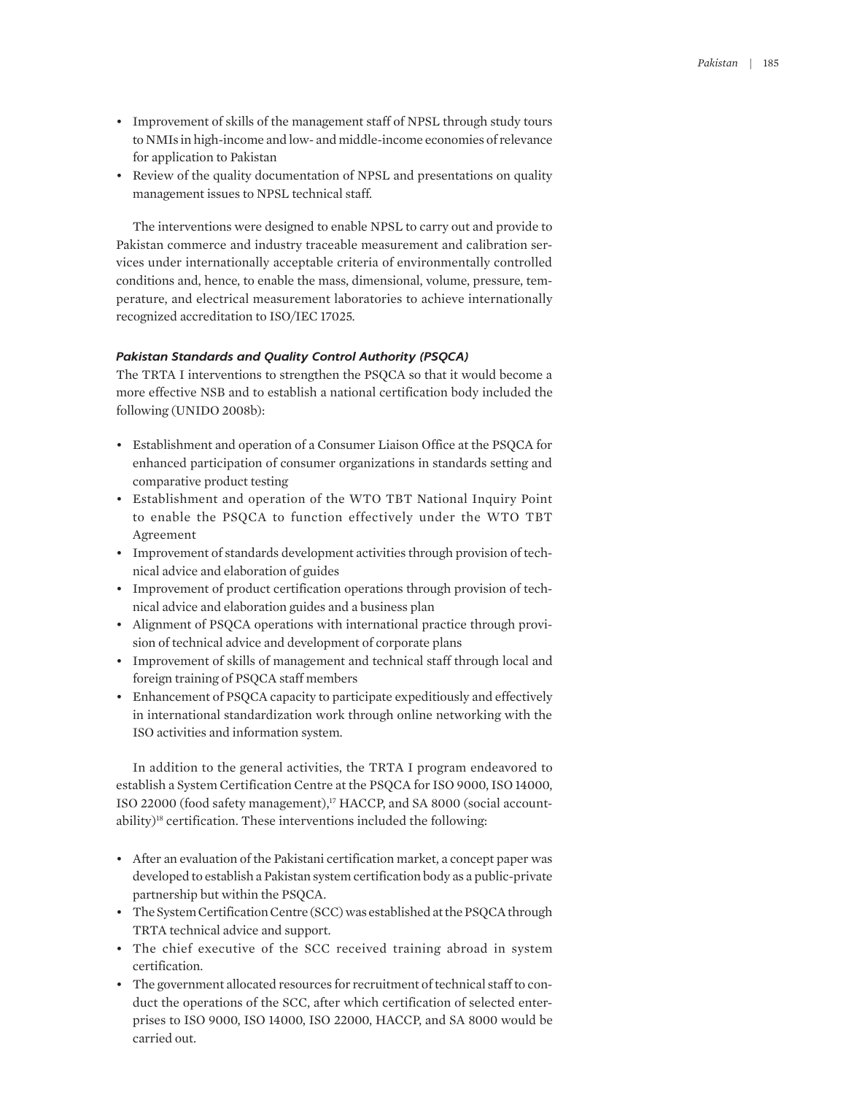- Improvement of skills of the management staff of NPSL through study tours to NMIs in high-income and low- and middle-income economies of relevance for application to Pakistan
- Review of the quality documentation of NPSL and presentations on quality management issues to NPSL technical staff.

The interventions were designed to enable NPSL to carry out and provide to Pakistan commerce and industry traceable measurement and calibration services under internationally acceptable criteria of environmentally controlled conditions and, hence, to enable the mass, dimensional, volume, pressure, temperature, and electrical measurement laboratories to achieve internationally recognized accreditation to ISO/IEC 17025.

### *Pakistan Standards and Quality Control Authority (PSQCA)*

The TRTA I interventions to strengthen the PSQCA so that it would become a more effective NSB and to establish a national certification body included the following (UNIDO 2008b):

- Establishment and operation of a Consumer Liaison Office at the PSQCA for enhanced participation of consumer organizations in standards setting and comparative product testing
- Establishment and operation of the WTO TBT National Inquiry Point to enable the PSQCA to function effectively under the WTO TBT Agreement
- Improvement of standards development activities through provision of technical advice and elaboration of guides
- Improvement of product certification operations through provision of technical advice and elaboration guides and a business plan
- Alignment of PSQCA operations with international practice through provision of technical advice and development of corporate plans
- Improvement of skills of management and technical staff through local and foreign training of PSQCA staff members
- Enhancement of PSQCA capacity to participate expeditiously and effectively in international standardization work through online networking with the ISO activities and information system.

In addition to the general activities, the TRTA I program endeavored to establish a System Certification Centre at the PSQCA for ISO 9000, ISO 14000, ISO 22000 (food safety management),<sup>17</sup> HACCP, and SA 8000 (social accountability)<sup>18</sup> certification. These interventions included the following:

- After an evaluation of the Pakistani certification market, a concept paper was developed to establish a Pakistan system certification body as a public-private partnership but within the PSQCA.
- The System Certification Centre (SCC) was established at the PSQCA through TRTA technical advice and support.
- The chief executive of the SCC received training abroad in system certification.
- The government allocated resources for recruitment of technical staff to conduct the operations of the SCC, after which certification of selected enterprises to ISO 9000, ISO 14000, ISO 22000, HACCP, and SA 8000 would be carried out.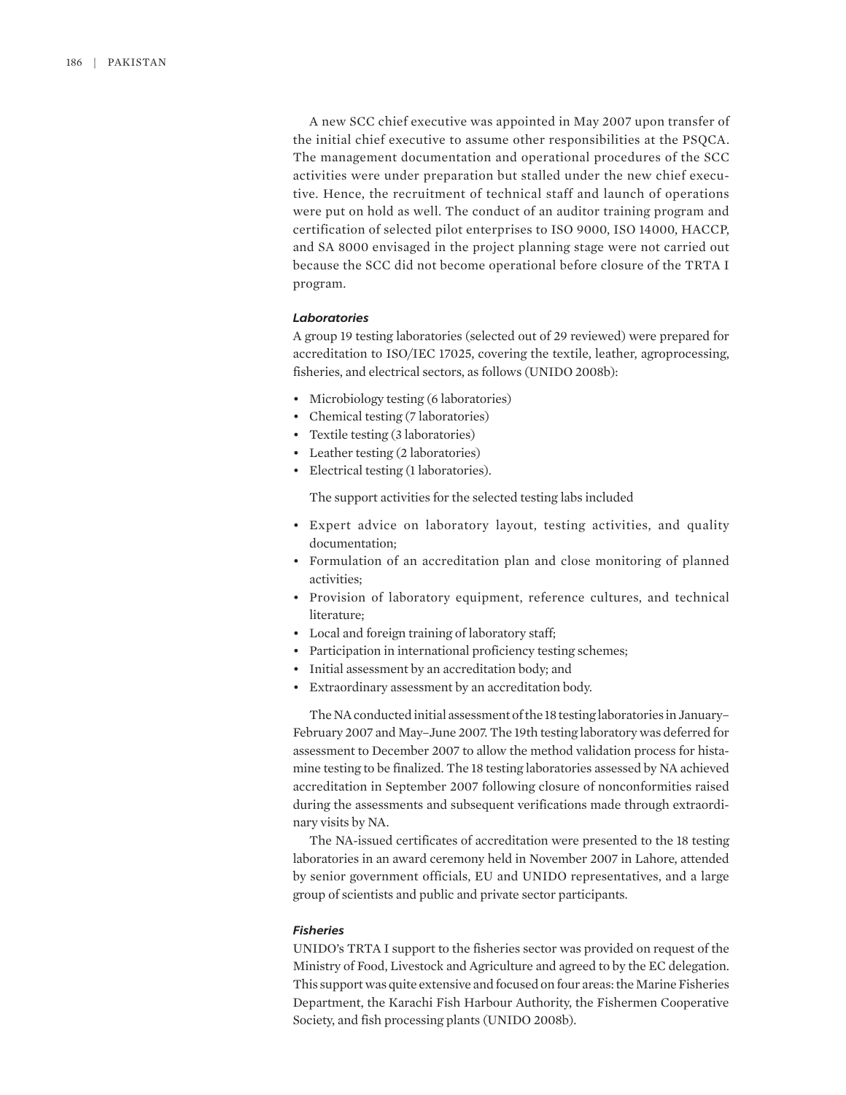A new SCC chief executive was appointed in May 2007 upon transfer of the initial chief executive to assume other responsibilities at the PSQCA. The management documentation and operational procedures of the SCC activities were under preparation but stalled under the new chief executive. Hence, the recruitment of technical staff and launch of operations were put on hold as well. The conduct of an auditor training program and certification of selected pilot enterprises to ISO 9000, ISO 14000, HACCP, and SA 8000 envisaged in the project planning stage were not carried out because the SCC did not become operational before closure of the TRTA I program.

#### *Laboratories*

A group 19 testing laboratories (selected out of 29 reviewed) were prepared for accreditation to ISO/IEC 17025, covering the textile, leather, agroprocessing, fisheries, and electrical sectors, as follows (UNIDO 2008b):

- Microbiology testing (6 laboratories)
- Chemical testing (7 laboratories)
- Textile testing (3 laboratories)
- Leather testing (2 laboratories)
- Electrical testing (1 laboratories).

The support activities for the selected testing labs included

- Expert advice on laboratory layout, testing activities, and quality documentation;
- Formulation of an accreditation plan and close monitoring of planned activities;
- Provision of laboratory equipment, reference cultures, and technical literature;
- Local and foreign training of laboratory staff;
- Participation in international proficiency testing schemes;
- Initial assessment by an accreditation body; and
- Extraordinary assessment by an accreditation body.

The NA conducted initial assessment of the 18 testing laboratories in January– February 2007 and May–June 2007. The 19th testing laboratory was deferred for assessment to December 2007 to allow the method validation process for histamine testing to be finalized. The 18 testing laboratories assessed by NA achieved accreditation in September 2007 following closure of nonconformities raised during the assessments and subsequent verifications made through extraordinary visits by NA.

The NA-issued certificates of accreditation were presented to the 18 testing laboratories in an award ceremony held in November 2007 in Lahore, attended by senior government officials, EU and UNIDO representatives, and a large group of scientists and public and private sector participants.

#### *Fisheries*

UNIDO's TRTA I support to the fisheries sector was provided on request of the Ministry of Food, Livestock and Agriculture and agreed to by the EC delegation. This support was quite extensive and focused on four areas: the Marine Fisheries Department, the Karachi Fish Harbour Authority, the Fishermen Cooperative Society, and fish processing plants (UNIDO 2008b).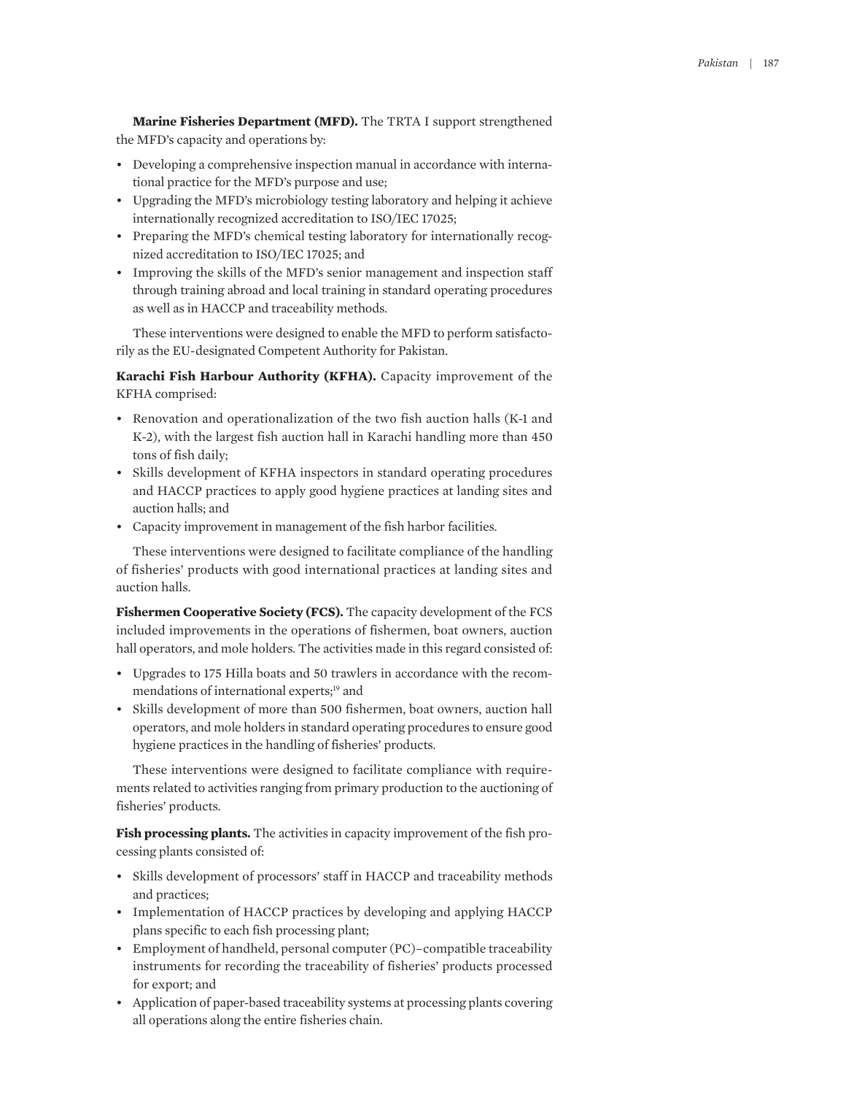**Marine Fisheries Department (MFD).** The TRTA I support strengthened the MFD's capacity and operations by:

- Developing a comprehensive inspection manual in accordance with international practice for the MFD's purpose and use;
- Upgrading the MFD's microbiology testing laboratory and helping it achieve internationally recognized accreditation to ISO/IEC 17025;
- Preparing the MFD's chemical testing laboratory for internationally recognized accreditation to ISO/IEC 17025; and
- Improving the skills of the MFD's senior management and inspection staff through training abroad and local training in standard operating procedures as well as in HACCP and traceability methods.

These interventions were designed to enable the MFD to perform satisfactorily as the EU-designated Competent Authority for Pakistan.

**Karachi Fish Harbour Authority (KFHA).** Capacity improvement of the KFHA comprised:

- Renovation and operationalization of the two fish auction halls (K-1 and K-2), with the largest fish auction hall in Karachi handling more than 450 tons of fish daily;
- Skills development of KFHA inspectors in standard operating procedures and HACCP practices to apply good hygiene practices at landing sites and auction halls; and
- Capacity improvement in management of the fish harbor facilities.

These interventions were designed to facilitate compliance of the handling of fisheries' products with good international practices at landing sites and auction halls.

**Fishermen Cooperative Society (FCS).** The capacity development of the FCS included improvements in the operations of fishermen, boat owners, auction hall operators, and mole holders. The activities made in this regard consisted of:

- Upgrades to 175 Hilla boats and 50 trawlers in accordance with the recommendations of international experts;<sup>19</sup> and
- Skills development of more than 500 fishermen, boat owners, auction hall operators, and mole holders in standard operating procedures to ensure good hygiene practices in the handling of fisheries' products.

These interventions were designed to facilitate compliance with requirements related to activities ranging from primary production to the auctioning of fisheries' products.

**Fish processing plants.** The activities in capacity improvement of the fish processing plants consisted of:

- Skills development of processors' staff in HACCP and traceability methods and practices;
- Implementation of HACCP practices by developing and applying HACCP plans specific to each fish processing plant;
- Employment of handheld, personal computer (PC)–compatible traceability instruments for recording the traceability of fisheries' products processed for export; and
- Application of paper-based traceability systems at processing plants covering all operations along the entire fisheries chain.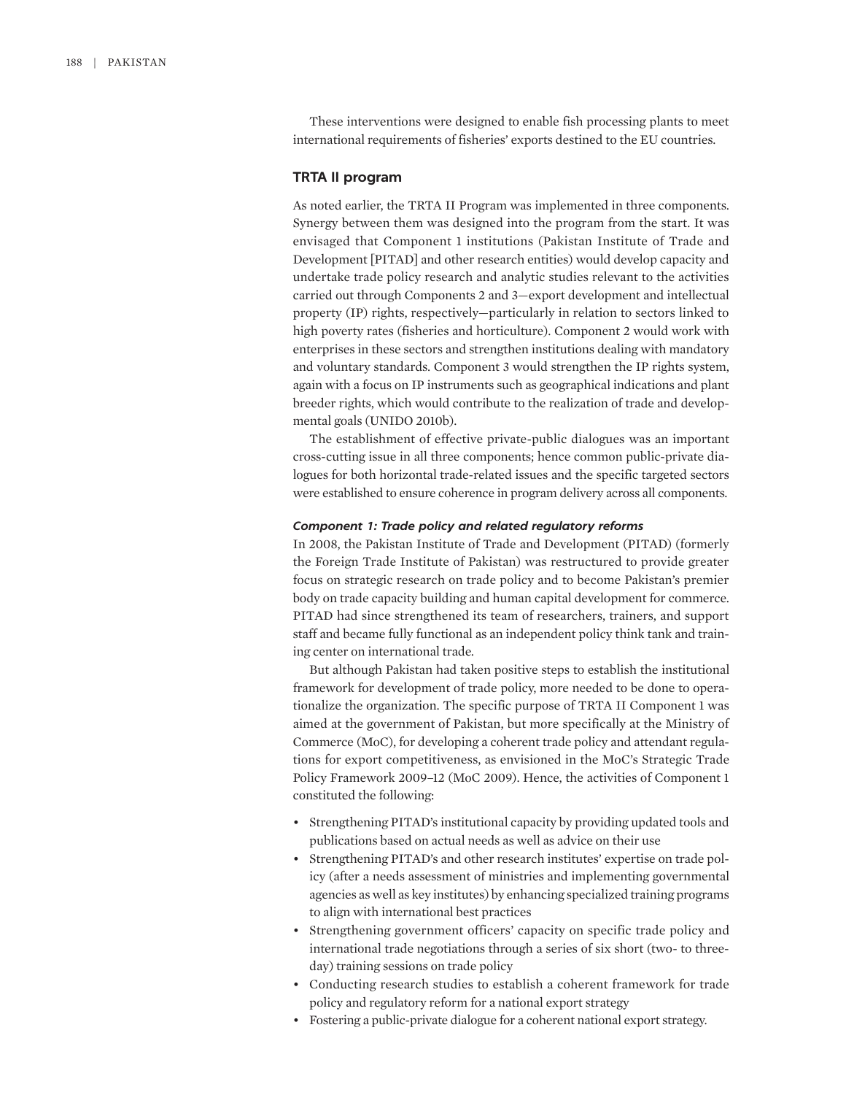These interventions were designed to enable fish processing plants to meet international requirements of fisheries' exports destined to the EU countries.

#### **TRTA II program**

As noted earlier, the TRTA II Program was implemented in three components. Synergy between them was designed into the program from the start. It was envisaged that Component 1 institutions (Pakistan Institute of Trade and Development [PITAD] and other research entities) would develop capacity and undertake trade policy research and analytic studies relevant to the activities carried out through Components 2 and 3—export development and intellectual property (IP) rights, respectively—particularly in relation to sectors linked to high poverty rates (fisheries and horticulture). Component 2 would work with enterprises in these sectors and strengthen institutions dealing with mandatory and voluntary standards. Component 3 would strengthen the IP rights system, again with a focus on IP instruments such as geographical indications and plant breeder rights, which would contribute to the realization of trade and developmental goals (UNIDO 2010b).

The establishment of effective private-public dialogues was an important cross-cutting issue in all three components; hence common public-private dialogues for both horizontal trade-related issues and the specific targeted sectors were established to ensure coherence in program delivery across all components.

## *Component 1: Trade policy and related regulatory reforms*

In 2008, the Pakistan Institute of Trade and Development (PITAD) (formerly the Foreign Trade Institute of Pakistan) was restructured to provide greater focus on strategic research on trade policy and to become Pakistan's premier body on trade capacity building and human capital development for commerce. PITAD had since strengthened its team of researchers, trainers, and support staff and became fully functional as an independent policy think tank and training center on international trade.

But although Pakistan had taken positive steps to establish the institutional framework for development of trade policy, more needed to be done to operationalize the organization. The specific purpose of TRTA II Component 1 was aimed at the government of Pakistan, but more specifically at the Ministry of Commerce (MoC), for developing a coherent trade policy and attendant regulations for export competitiveness, as envisioned in the MoC's Strategic Trade Policy Framework 2009–12 (MoC 2009). Hence, the activities of Component 1 constituted the following:

- Strengthening PITAD's institutional capacity by providing updated tools and publications based on actual needs as well as advice on their use
- Strengthening PITAD's and other research institutes' expertise on trade policy (after a needs assessment of ministries and implementing governmental agencies as well as key institutes) by enhancing specialized training programs to align with international best practices
- Strengthening government officers' capacity on specific trade policy and international trade negotiations through a series of six short (two- to threeday) training sessions on trade policy
- Conducting research studies to establish a coherent framework for trade policy and regulatory reform for a national export strategy
- Fostering a public-private dialogue for a coherent national export strategy.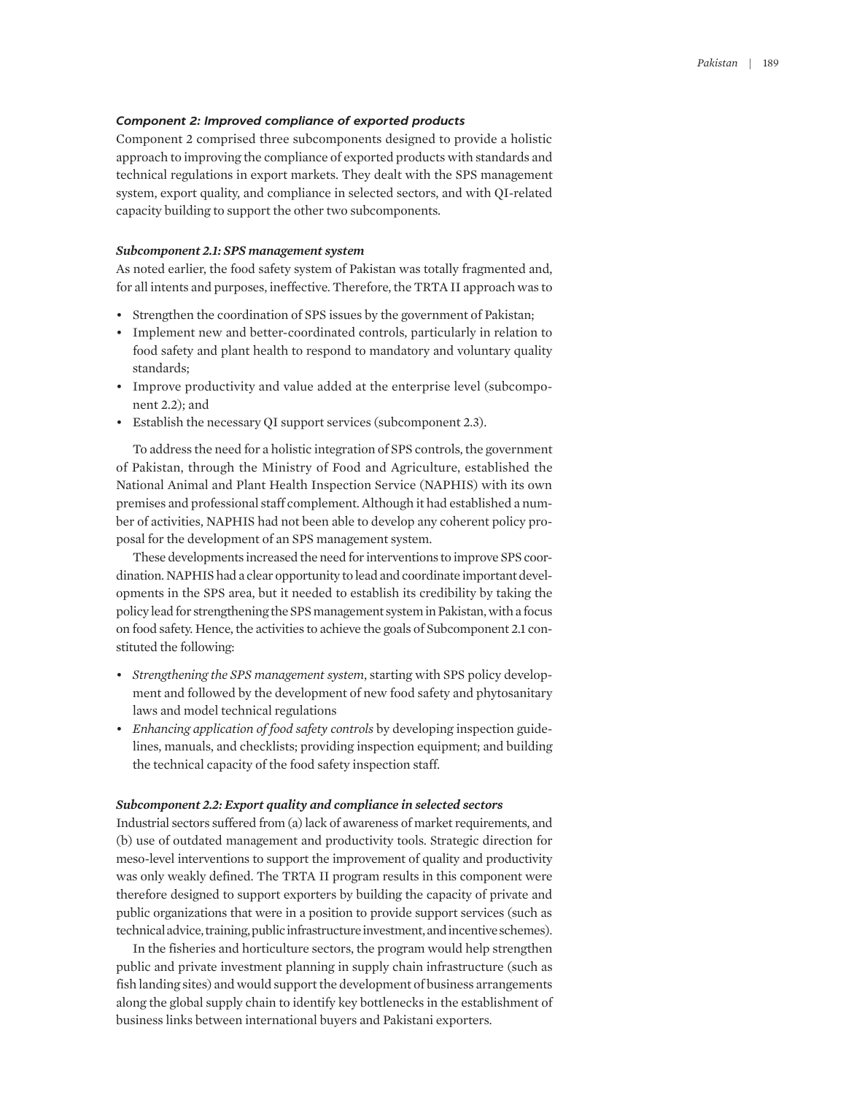#### *Component 2: Improved compliance of exported products*

Component 2 comprised three subcomponents designed to provide a holistic approach to improving the compliance of exported products with standards and technical regulations in export markets. They dealt with the SPS management system, export quality, and compliance in selected sectors, and with QI-related capacity building to support the other two subcomponents.

#### *Subcomponent 2.1: SPS management system*

As noted earlier, the food safety system of Pakistan was totally fragmented and, for all intents and purposes, ineffective. Therefore, the TRTA II approach was to

- Strengthen the coordination of SPS issues by the government of Pakistan;
- Implement new and better-coordinated controls, particularly in relation to food safety and plant health to respond to mandatory and voluntary quality standards;
- Improve productivity and value added at the enterprise level (subcomponent 2.2); and
- Establish the necessary QI support services (subcomponent 2.3).

To address the need for a holistic integration of SPS controls, the government of Pakistan, through the Ministry of Food and Agriculture, established the National Animal and Plant Health Inspection Service (NAPHIS) with its own premises and professional staff complement. Although it had established a number of activities, NAPHIS had not been able to develop any coherent policy proposal for the development of an SPS management system.

These developments increased the need for interventions to improve SPS coordination. NAPHIS had a clear opportunity to lead and coordinate important developments in the SPS area, but it needed to establish its credibility by taking the policy lead for strengthening the SPS management system in Pakistan, with a focus on food safety. Hence, the activities to achieve the goals of Subcomponent 2.1 constituted the following:

- *Strengthening the SPS management system*, starting with SPS policy development and followed by the development of new food safety and phytosanitary laws and model technical regulations
- *Enhancing application of food safety controls* by developing inspection guidelines, manuals, and checklists; providing inspection equipment; and building the technical capacity of the food safety inspection staff.

#### *Subcomponent 2.2: Export quality and compliance in selected sectors*

Industrial sectors suffered from (a) lack of awareness of market requirements, and (b) use of outdated management and productivity tools. Strategic direction for meso-level interventions to support the improvement of quality and productivity was only weakly defined. The TRTA II program results in this component were therefore designed to support exporters by building the capacity of private and public organizations that were in a position to provide support services (such as technical advice, training, public infrastructure investment, and incentive schemes).

In the fisheries and horticulture sectors, the program would help strengthen public and private investment planning in supply chain infrastructure (such as fish landing sites) and would support the development of business arrangements along the global supply chain to identify key bottlenecks in the establishment of business links between international buyers and Pakistani exporters.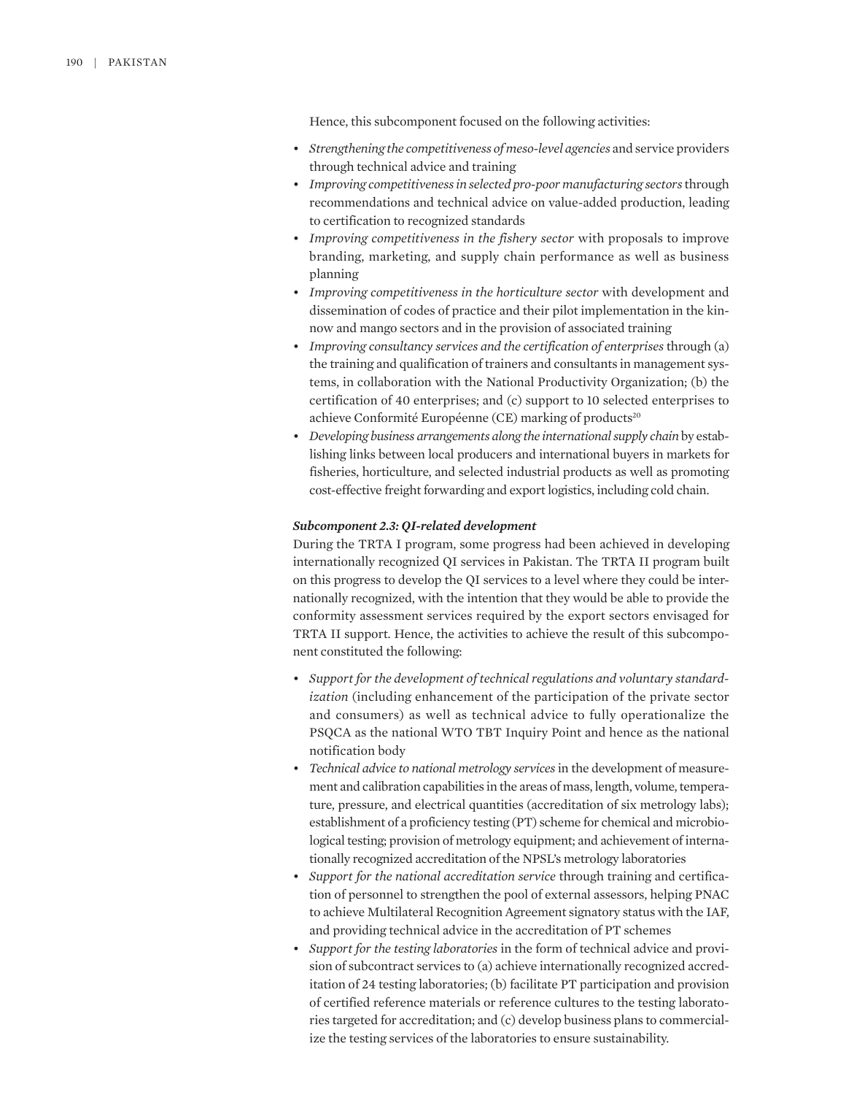Hence, this subcomponent focused on the following activities:

- *Strengthening the competitiveness of meso-level agencies* and service providers through technical advice and training
- *Improving competitiveness in selected pro-poor manufacturing sectors* through recommendations and technical advice on value-added production, leading to certification to recognized standards
- *Improving competitiveness in the fishery sector* with proposals to improve branding, marketing, and supply chain performance as well as business planning
- *Improving competitiveness in the horticulture sector* with development and dissemination of codes of practice and their pilot implementation in the kinnow and mango sectors and in the provision of associated training
- *Improving consultancy services and the certification of enterprises* through (a) the training and qualification of trainers and consultants in management systems, in collaboration with the National Productivity Organization; (b) the certification of 40 enterprises; and (c) support to 10 selected enterprises to achieve Conformité Européenne (CE) marking of products<sup>20</sup>
- *Developing business arrangements along the international supply chain* by establishing links between local producers and international buyers in markets for fisheries, horticulture, and selected industrial products as well as promoting cost-effective freight forwarding and export logistics, including cold chain.

#### *Subcomponent 2.3: QI-related development*

During the TRTA I program, some progress had been achieved in developing internationally recognized QI services in Pakistan. The TRTA II program built on this progress to develop the QI services to a level where they could be internationally recognized, with the intention that they would be able to provide the conformity assessment services required by the export sectors envisaged for TRTA II support. Hence, the activities to achieve the result of this subcomponent constituted the following:

- *Support for the development of technical regulations and voluntary standardization* (including enhancement of the participation of the private sector and consumers) as well as technical advice to fully operationalize the PSQCA as the national WTO TBT Inquiry Point and hence as the national notification body
- *Technical advice to national metrology services* in the development of measurement and calibration capabilities in the areas of mass, length, volume, temperature, pressure, and electrical quantities (accreditation of six metrology labs); establishment of a proficiency testing (PT) scheme for chemical and microbiological testing; provision of metrology equipment; and achievement of internationally recognized accreditation of the NPSL's metrology laboratories
- *Support for the national accreditation service* through training and certification of personnel to strengthen the pool of external assessors, helping PNAC to achieve Multilateral Recognition Agreement signatory status with the IAF, and providing technical advice in the accreditation of PT schemes
- *Support for the testing laboratories* in the form of technical advice and provision of subcontract services to (a) achieve internationally recognized accreditation of 24 testing laboratories; (b) facilitate PT participation and provision of certified reference materials or reference cultures to the testing laboratories targeted for accreditation; and (c) develop business plans to commercialize the testing services of the laboratories to ensure sustainability.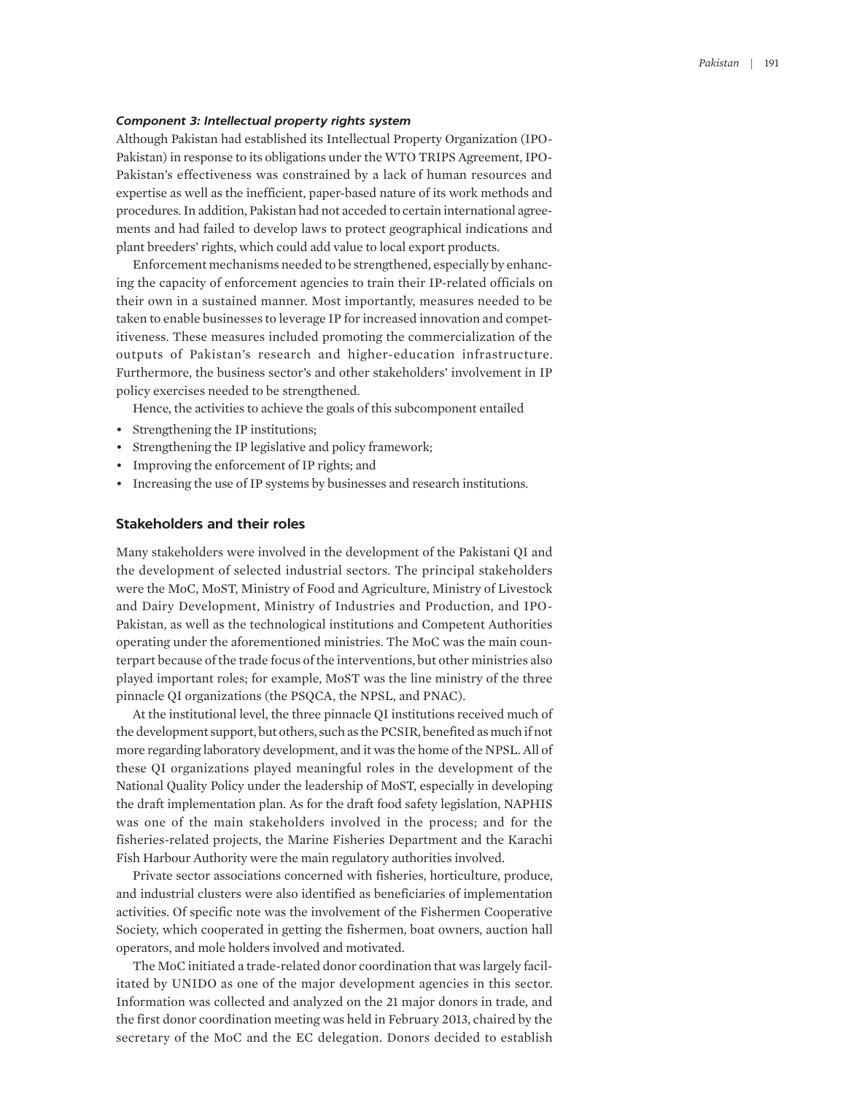#### *Component 3: Intellectual property rights system*

Although Pakistan had established its Intellectual Property Organization (IPO-Pakistan) in response to its obligations under the WTO TRIPS Agreement, IPO-Pakistan's effectiveness was constrained by a lack of human resources and expertise as well as the inefficient, paper-based nature of its work methods and procedures. In addition, Pakistan had not acceded to certain international agreements and had failed to develop laws to protect geographical indications and plant breeders' rights, which could add value to local export products.

Enforcement mechanisms needed to be strengthened, especially by enhancing the capacity of enforcement agencies to train their IP-related officials on their own in a sustained manner. Most importantly, measures needed to be taken to enable businesses to leverage IP for increased innovation and competitiveness. These measures included promoting the commercialization of the outputs of Pakistan's research and higher-education infrastructure. Furthermore, the business sector's and other stakeholders' involvement in IP policy exercises needed to be strengthened.

Hence, the activities to achieve the goals of this subcomponent entailed

- Strengthening the IP institutions;
- Strengthening the IP legislative and policy framework;
- Improving the enforcement of IP rights; and
- Increasing the use of IP systems by businesses and research institutions.

## **Stakeholders and their roles**

Many stakeholders were involved in the development of the Pakistani QI and the development of selected industrial sectors. The principal stakeholders were the MoC, MoST, Ministry of Food and Agriculture, Ministry of Livestock and Dairy Development, Ministry of Industries and Production, and IPO-Pakistan, as well as the technological institutions and Competent Authorities operating under the aforementioned ministries. The MoC was the main counterpart because of the trade focus of the interventions, but other ministries also played important roles; for example, MoST was the line ministry of the three pinnacle QI organizations (the PSQCA, the NPSL, and PNAC).

At the institutional level, the three pinnacle QI institutions received much of the development support, but others, such as the PCSIR, benefited as much if not more regarding laboratory development, and it was the home of the NPSL. All of these QI organizations played meaningful roles in the development of the National Quality Policy under the leadership of MoST, especially in developing the draft implementation plan. As for the draft food safety legislation, NAPHIS was one of the main stakeholders involved in the process; and for the fisheries-related projects, the Marine Fisheries Department and the Karachi Fish Harbour Authority were the main regulatory authorities involved.

Private sector associations concerned with fisheries, horticulture, produce, and industrial clusters were also identified as beneficiaries of implementation activities. Of specific note was the involvement of the Fishermen Cooperative Society, which cooperated in getting the fishermen, boat owners, auction hall operators, and mole holders involved and motivated.

The MoC initiated a trade-related donor coordination that was largely facilitated by UNIDO as one of the major development agencies in this sector. Information was collected and analyzed on the 21 major donors in trade, and the first donor coordination meeting was held in February 2013, chaired by the secretary of the MoC and the EC delegation. Donors decided to establish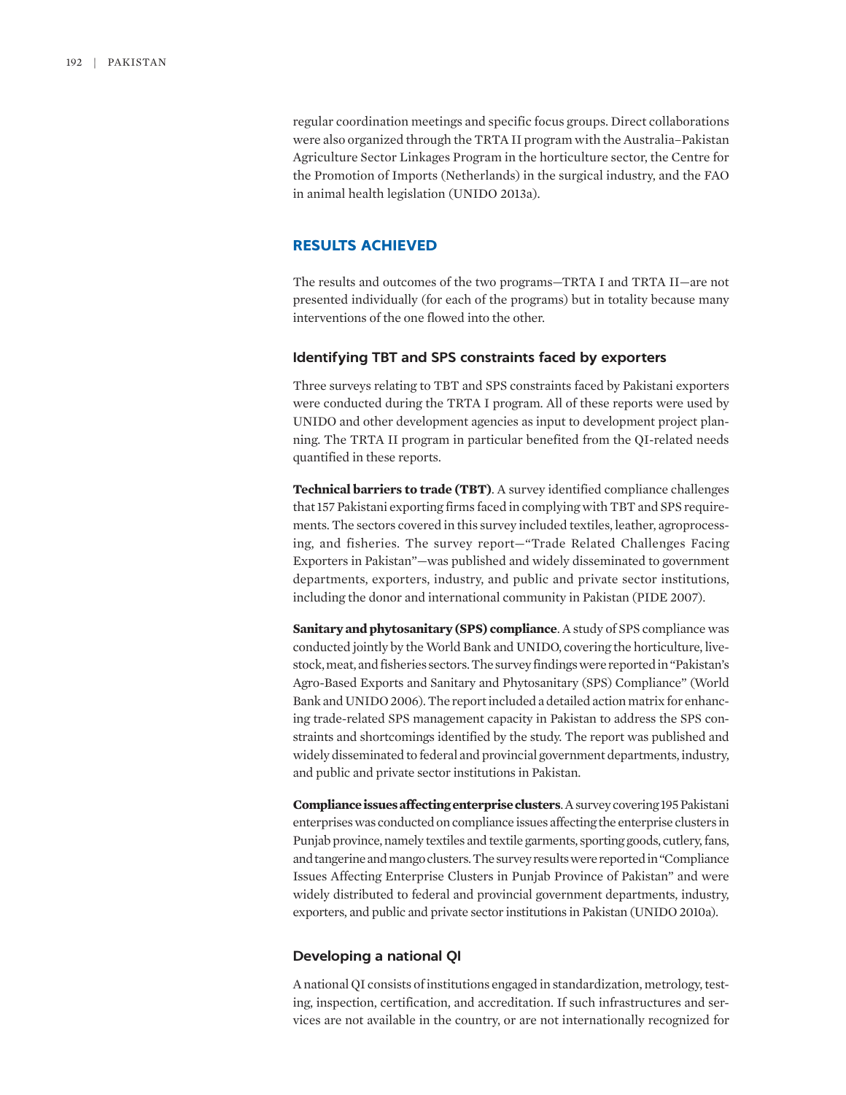regular coordination meetings and specific focus groups. Direct collaborations were also organized through the TRTA II program with the Australia–Pakistan Agriculture Sector Linkages Program in the horticulture sector, the Centre for the Promotion of Imports (Netherlands) in the surgical industry, and the FAO in animal health legislation (UNIDO 2013a).

## **RESULTS ACHIEVED**

The results and outcomes of the two programs—TRTA I and TRTA II—are not presented individually (for each of the programs) but in totality because many interventions of the one flowed into the other.

## **Identifying TBT and SPS constraints faced by exporters**

Three surveys relating to TBT and SPS constraints faced by Pakistani exporters were conducted during the TRTA I program. All of these reports were used by UNIDO and other development agencies as input to development project planning. The TRTA II program in particular benefited from the QI-related needs quantified in these reports.

**Technical barriers to trade (TBT)**. A survey identified compliance challenges that 157 Pakistani exporting firms faced in complying with TBT and SPS requirements. The sectors covered in this survey included textiles, leather, agroprocessing, and fisheries. The survey report—"Trade Related Challenges Facing Exporters in Pakistan"—was published and widely disseminated to government departments, exporters, industry, and public and private sector institutions, including the donor and international community in Pakistan (PIDE 2007).

**Sanitary and phytosanitary (SPS) compliance**. A study of SPS compliance was conducted jointly by the World Bank and UNIDO, covering the horticulture, livestock, meat, and fisheries sectors. The survey findings were reported in "Pakistan's Agro-Based Exports and Sanitary and Phytosanitary (SPS) Compliance" (World Bank and UNIDO 2006). The report included a detailed action matrix for enhancing trade-related SPS management capacity in Pakistan to address the SPS constraints and shortcomings identified by the study. The report was published and widely disseminated to federal and provincial government departments, industry, and public and private sector institutions in Pakistan.

**Compliance issues affecting enterprise clusters**. A survey covering 195 Pakistani enterprises was conducted on compliance issues affecting the enterprise clusters in Punjab province, namely textiles and textile garments, sporting goods, cutlery, fans, and tangerine and mango clusters. The survey results were reported in "Compliance Issues Affecting Enterprise Clusters in Punjab Province of Pakistan" and were widely distributed to federal and provincial government departments, industry, exporters, and public and private sector institutions in Pakistan (UNIDO 2010a).

## **Developing a national QI**

A national QI consists of institutions engaged in standardization, metrology, testing, inspection, certification, and accreditation. If such infrastructures and services are not available in the country, or are not internationally recognized for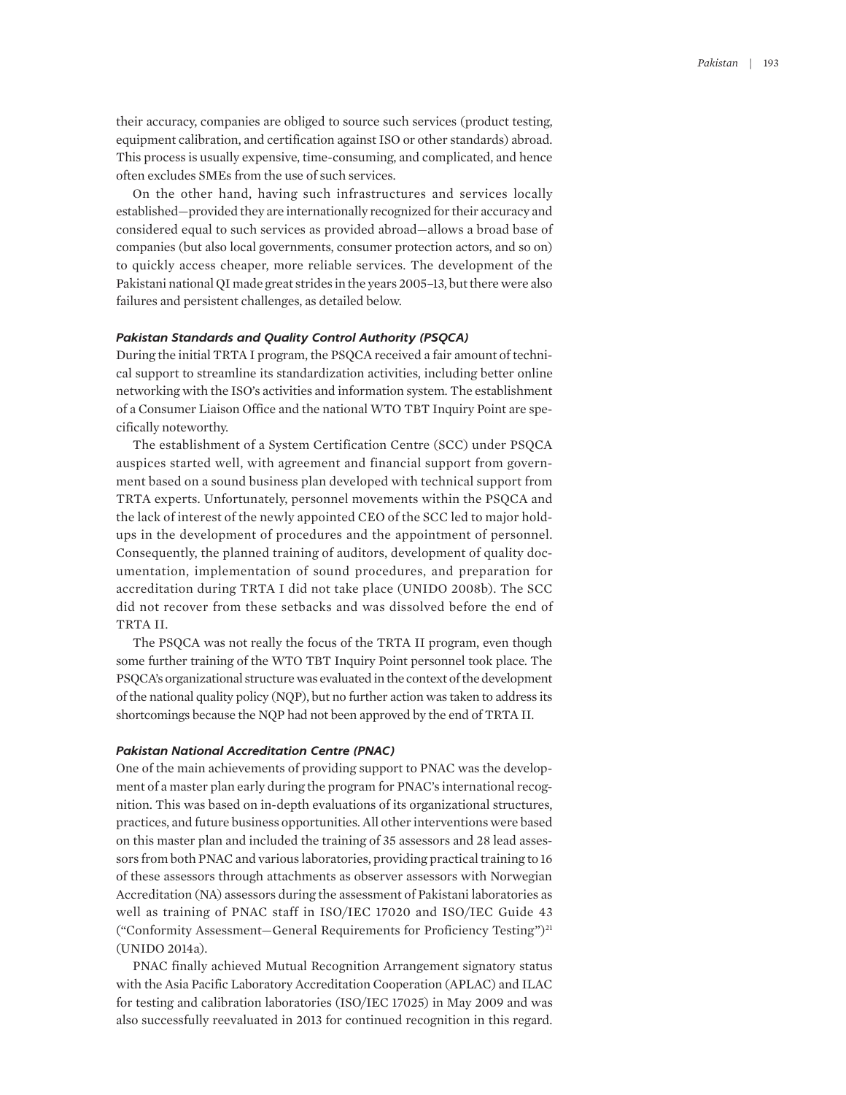their accuracy, companies are obliged to source such services (product testing, equipment calibration, and certification against ISO or other standards) abroad. This process is usually expensive, time-consuming, and complicated, and hence often excludes SMEs from the use of such services.

On the other hand, having such infrastructures and services locally established—provided they are internationally recognized for their accuracy and considered equal to such services as provided abroad—allows a broad base of companies (but also local governments, consumer protection actors, and so on) to quickly access cheaper, more reliable services. The development of the Pakistani national QI made great strides in the years 2005–13, but there were also failures and persistent challenges, as detailed below.

#### *Pakistan Standards and Quality Control Authority (PSQCA)*

During the initial TRTA I program, the PSQCA received a fair amount of technical support to streamline its standardization activities, including better online networking with the ISO's activities and information system. The establishment of a Consumer Liaison Office and the national WTO TBT Inquiry Point are specifically noteworthy.

The establishment of a System Certification Centre (SCC) under PSQCA auspices started well, with agreement and financial support from government based on a sound business plan developed with technical support from TRTA experts. Unfortunately, personnel movements within the PSQCA and the lack of interest of the newly appointed CEO of the SCC led to major holdups in the development of procedures and the appointment of personnel. Consequently, the planned training of auditors, development of quality documentation, implementation of sound procedures, and preparation for accreditation during TRTA I did not take place (UNIDO 2008b). The SCC did not recover from these setbacks and was dissolved before the end of TRTA II.

The PSQCA was not really the focus of the TRTA II program, even though some further training of the WTO TBT Inquiry Point personnel took place. The PSQCA's organizational structure was evaluated in the context of the development of the national quality policy (NQP), but no further action was taken to address its shortcomings because the NQP had not been approved by the end of TRTA II.

#### *Pakistan National Accreditation Centre (PNAC)*

One of the main achievements of providing support to PNAC was the development of a master plan early during the program for PNAC's international recognition. This was based on in-depth evaluations of its organizational structures, practices, and future business opportunities. All other interventions were based on this master plan and included the training of 35 assessors and 28 lead assessors from both PNAC and various laboratories, providing practical training to 16 of these assessors through attachments as observer assessors with Norwegian Accreditation (NA) assessors during the assessment of Pakistani laboratories as well as training of PNAC staff in ISO/IEC 17020 and ISO/IEC Guide 43 ("Conformity Assessment—General Requirements for Proficiency Testing")21 (UNIDO 2014a).

PNAC finally achieved Mutual Recognition Arrangement signatory status with the Asia Pacific Laboratory Accreditation Cooperation (APLAC) and ILAC for testing and calibration laboratories (ISO/IEC 17025) in May 2009 and was also successfully reevaluated in 2013 for continued recognition in this regard.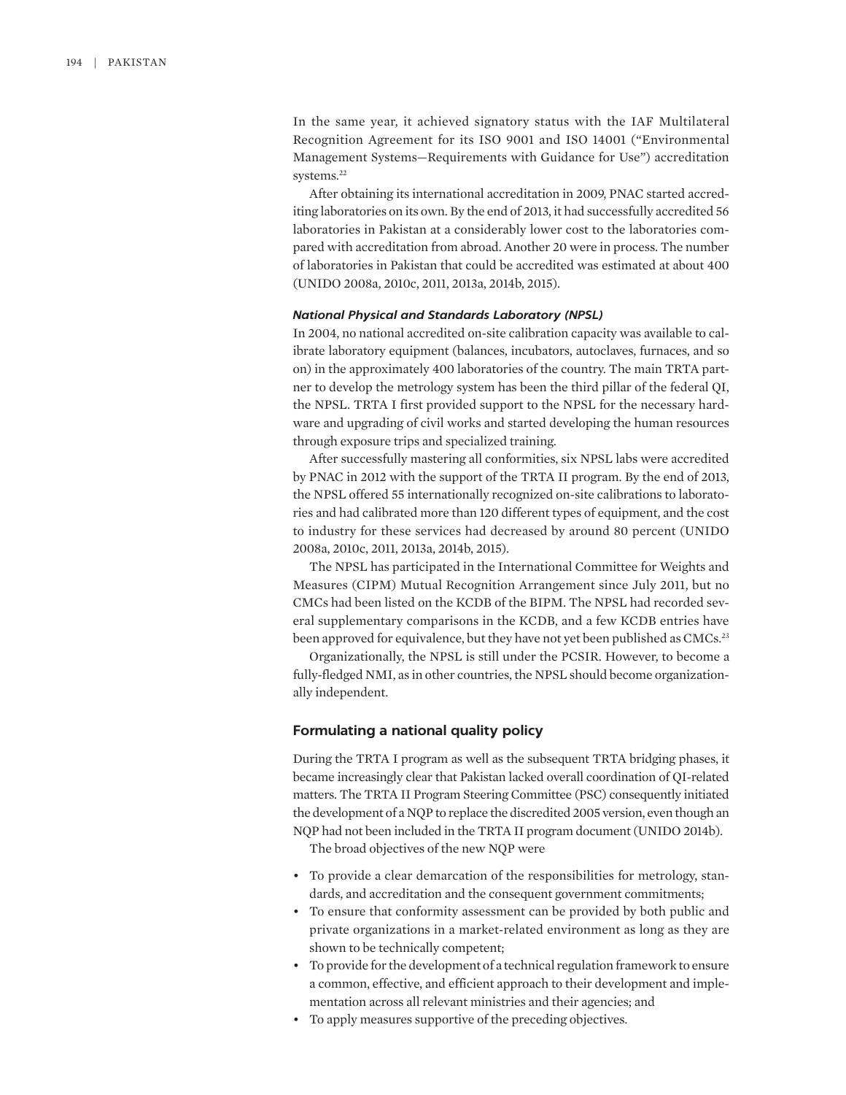In the same year, it achieved signatory status with the IAF Multilateral Recognition Agreement for its ISO 9001 and ISO 14001 ("Environmental Management Systems—Requirements with Guidance for Use") accreditation systems.<sup>22</sup>

After obtaining its international accreditation in 2009, PNAC started accrediting laboratories on its own. By the end of 2013, it had successfully accredited 56 laboratories in Pakistan at a considerably lower cost to the laboratories compared with accreditation from abroad. Another 20 were in process. The number of laboratories in Pakistan that could be accredited was estimated at about 400 (UNIDO 2008a, 2010c, 2011, 2013a, 2014b, 2015).

#### *National Physical and Standards Laboratory (NPSL)*

In 2004, no national accredited on-site calibration capacity was available to calibrate laboratory equipment (balances, incubators, autoclaves, furnaces, and so on) in the approximately 400 laboratories of the country. The main TRTA partner to develop the metrology system has been the third pillar of the federal QI, the NPSL. TRTA I first provided support to the NPSL for the necessary hardware and upgrading of civil works and started developing the human resources through exposure trips and specialized training.

After successfully mastering all conformities, six NPSL labs were accredited by PNAC in 2012 with the support of the TRTA II program. By the end of 2013, the NPSL offered 55 internationally recognized on-site calibrations to laboratories and had calibrated more than 120 different types of equipment, and the cost to industry for these services had decreased by around 80 percent (UNIDO 2008a, 2010c, 2011, 2013a, 2014b, 2015).

The NPSL has participated in the International Committee for Weights and Measures (CIPM) Mutual Recognition Arrangement since July 2011, but no CMCs had been listed on the KCDB of the BIPM. The NPSL had recorded several supplementary comparisons in the KCDB, and a few KCDB entries have been approved for equivalence, but they have not yet been published as CMCs.<sup>23</sup>

Organizationally, the NPSL is still under the PCSIR. However, to become a fully-fledged NMI, as in other countries, the NPSL should become organizationally independent.

#### **Formulating a national quality policy**

During the TRTA I program as well as the subsequent TRTA bridging phases, it became increasingly clear that Pakistan lacked overall coordination of QI-related matters. The TRTA II Program Steering Committee (PSC) consequently initiated the development of a NQP to replace the discredited 2005 version, even though an NQP had not been included in the TRTA II program document (UNIDO 2014b).

The broad objectives of the new NQP were

- To provide a clear demarcation of the responsibilities for metrology, standards, and accreditation and the consequent government commitments;
- To ensure that conformity assessment can be provided by both public and private organizations in a market-related environment as long as they are shown to be technically competent;
- To provide for the development of a technical regulation framework to ensure a common, effective, and efficient approach to their development and implementation across all relevant ministries and their agencies; and
- To apply measures supportive of the preceding objectives.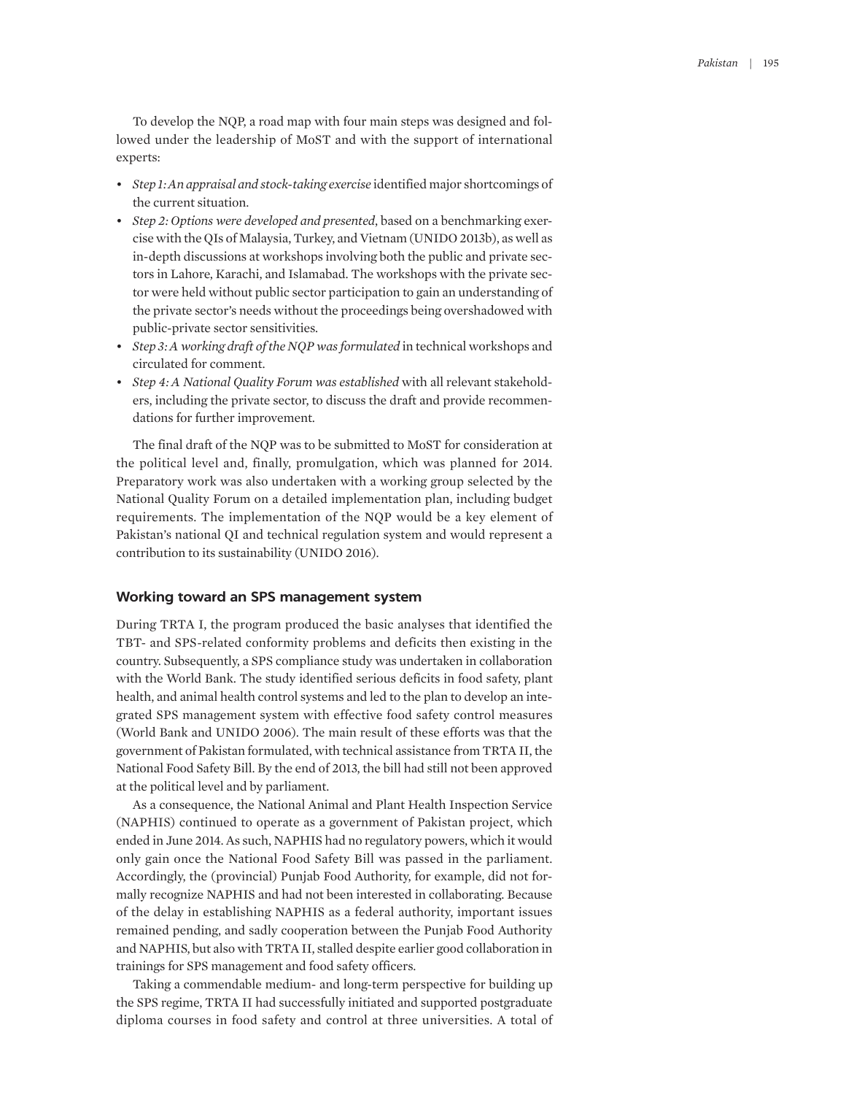To develop the NQP, a road map with four main steps was designed and followed under the leadership of MoST and with the support of international experts:

- *Step 1: An appraisal and stock-taking exercise* identified major shortcomings of the current situation.
- *Step 2: Options were developed and presented*, based on a benchmarking exercise with the QIs of Malaysia, Turkey, and Vietnam (UNIDO 2013b), as well as in-depth discussions at workshops involving both the public and private sectors in Lahore, Karachi, and Islamabad. The workshops with the private sector were held without public sector participation to gain an understanding of the private sector's needs without the proceedings being overshadowed with public-private sector sensitivities.
- *Step 3: A working draft of the NQP was formulated in technical workshops and* circulated for comment.
- *Step 4: A National Quality Forum was established* with all relevant stakeholders, including the private sector, to discuss the draft and provide recommendations for further improvement.

The final draft of the NQP was to be submitted to MoST for consideration at the political level and, finally, promulgation, which was planned for 2014. Preparatory work was also undertaken with a working group selected by the National Quality Forum on a detailed implementation plan, including budget requirements. The implementation of the NQP would be a key element of Pakistan's national QI and technical regulation system and would represent a contribution to its sustainability (UNIDO 2016).

#### **Working toward an SPS management system**

During TRTA I, the program produced the basic analyses that identified the TBT- and SPS-related conformity problems and deficits then existing in the country. Subsequently, a SPS compliance study was undertaken in collaboration with the World Bank. The study identified serious deficits in food safety, plant health, and animal health control systems and led to the plan to develop an integrated SPS management system with effective food safety control measures (World Bank and UNIDO 2006). The main result of these efforts was that the government of Pakistan formulated, with technical assistance from TRTA II, the National Food Safety Bill. By the end of 2013, the bill had still not been approved at the political level and by parliament.

As a consequence, the National Animal and Plant Health Inspection Service (NAPHIS) continued to operate as a government of Pakistan project, which ended in June 2014. As such, NAPHIS had no regulatory powers, which it would only gain once the National Food Safety Bill was passed in the parliament. Accordingly, the (provincial) Punjab Food Authority, for example, did not formally recognize NAPHIS and had not been interested in collaborating. Because of the delay in establishing NAPHIS as a federal authority, important issues remained pending, and sadly cooperation between the Punjab Food Authority and NAPHIS, but also with TRTA II, stalled despite earlier good collaboration in trainings for SPS management and food safety officers.

Taking a commendable medium- and long-term perspective for building up the SPS regime, TRTA II had successfully initiated and supported postgraduate diploma courses in food safety and control at three universities. A total of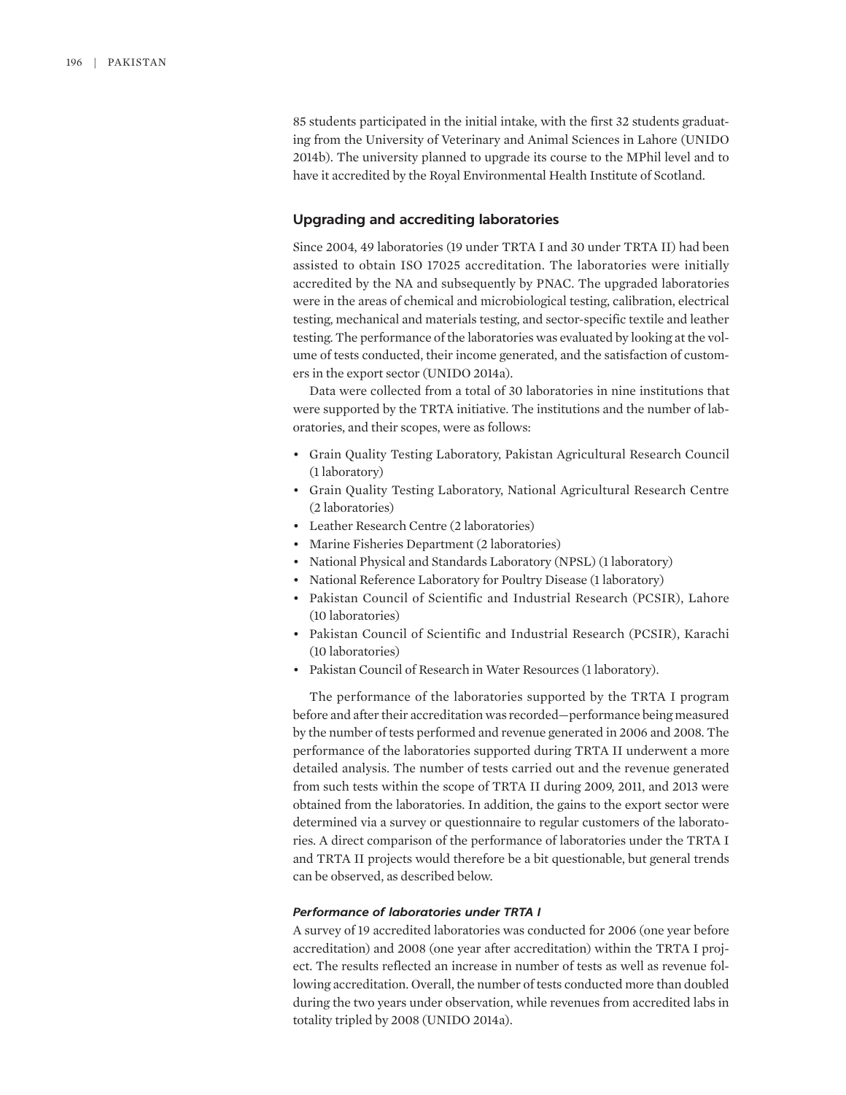85 students participated in the initial intake, with the first 32 students graduating from the University of Veterinary and Animal Sciences in Lahore (UNIDO 2014b). The university planned to upgrade its course to the MPhil level and to have it accredited by the Royal Environmental Health Institute of Scotland.

## **Upgrading and accrediting laboratories**

Since 2004, 49 laboratories (19 under TRTA I and 30 under TRTA II) had been assisted to obtain ISO 17025 accreditation. The laboratories were initially accredited by the NA and subsequently by PNAC. The upgraded laboratories were in the areas of chemical and microbiological testing, calibration, electrical testing, mechanical and materials testing, and sector-specific textile and leather testing. The performance of the laboratories was evaluated by looking at the volume of tests conducted, their income generated, and the satisfaction of customers in the export sector (UNIDO 2014a).

Data were collected from a total of 30 laboratories in nine institutions that were supported by the TRTA initiative. The institutions and the number of laboratories, and their scopes, were as follows:

- Grain Quality Testing Laboratory, Pakistan Agricultural Research Council (1 laboratory)
- Grain Quality Testing Laboratory, National Agricultural Research Centre (2 laboratories)
- Leather Research Centre (2 laboratories)
- Marine Fisheries Department (2 laboratories)
- National Physical and Standards Laboratory (NPSL) (1 laboratory)
- National Reference Laboratory for Poultry Disease (1 laboratory)
- Pakistan Council of Scientific and Industrial Research (PCSIR), Lahore (10 laboratories)
- Pakistan Council of Scientific and Industrial Research (PCSIR), Karachi (10 laboratories)
- Pakistan Council of Research in Water Resources (1 laboratory).

The performance of the laboratories supported by the TRTA I program before and after their accreditation was recorded—performance being measured by the number of tests performed and revenue generated in 2006 and 2008. The performance of the laboratories supported during TRTA II underwent a more detailed analysis. The number of tests carried out and the revenue generated from such tests within the scope of TRTA II during 2009, 2011, and 2013 were obtained from the laboratories. In addition, the gains to the export sector were determined via a survey or questionnaire to regular customers of the laboratories. A direct comparison of the performance of laboratories under the TRTA I and TRTA II projects would therefore be a bit questionable, but general trends can be observed, as described below.

#### *Performance of laboratories under TRTA I*

A survey of 19 accredited laboratories was conducted for 2006 (one year before accreditation) and 2008 (one year after accreditation) within the TRTA I project. The results reflected an increase in number of tests as well as revenue following accreditation. Overall, the number of tests conducted more than doubled during the two years under observation, while revenues from accredited labs in totality tripled by 2008 (UNIDO 2014a).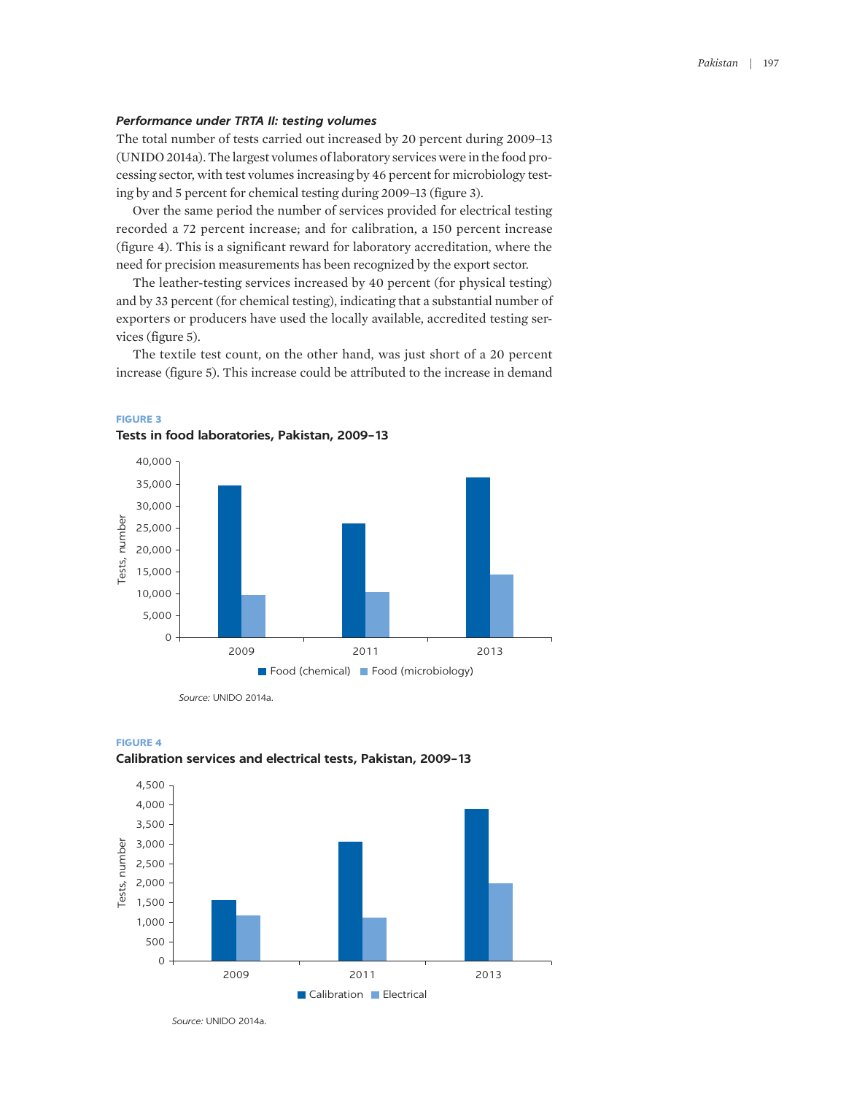## *Performance under TRTA II: testing volumes*

The total number of tests carried out increased by 20 percent during 2009–13 (UNIDO 2014a). The largest volumes of laboratory services were in the food processing sector, with test volumes increasing by 46 percent for microbiology testing by and 5 percent for chemical testing during 2009–13 (figure 3).

Over the same period the number of services provided for electrical testing recorded a 72 percent increase; and for calibration, a 150 percent increase (figure 4). This is a significant reward for laboratory accreditation, where the need for precision measurements has been recognized by the export sector.

The leather-testing services increased by 40 percent (for physical testing) and by 33 percent (for chemical testing), indicating that a substantial number of exporters or producers have used the locally available, accredited testing services (figure 5).

The textile test count, on the other hand, was just short of a 20 percent increase (figure 5). This increase could be attributed to the increase in demand



## **FIGURE 3 Tests in food laboratories, Pakistan, 2009–13**

*Source:* UNIDO 2014a.





*Source:* UNIDO 2014a.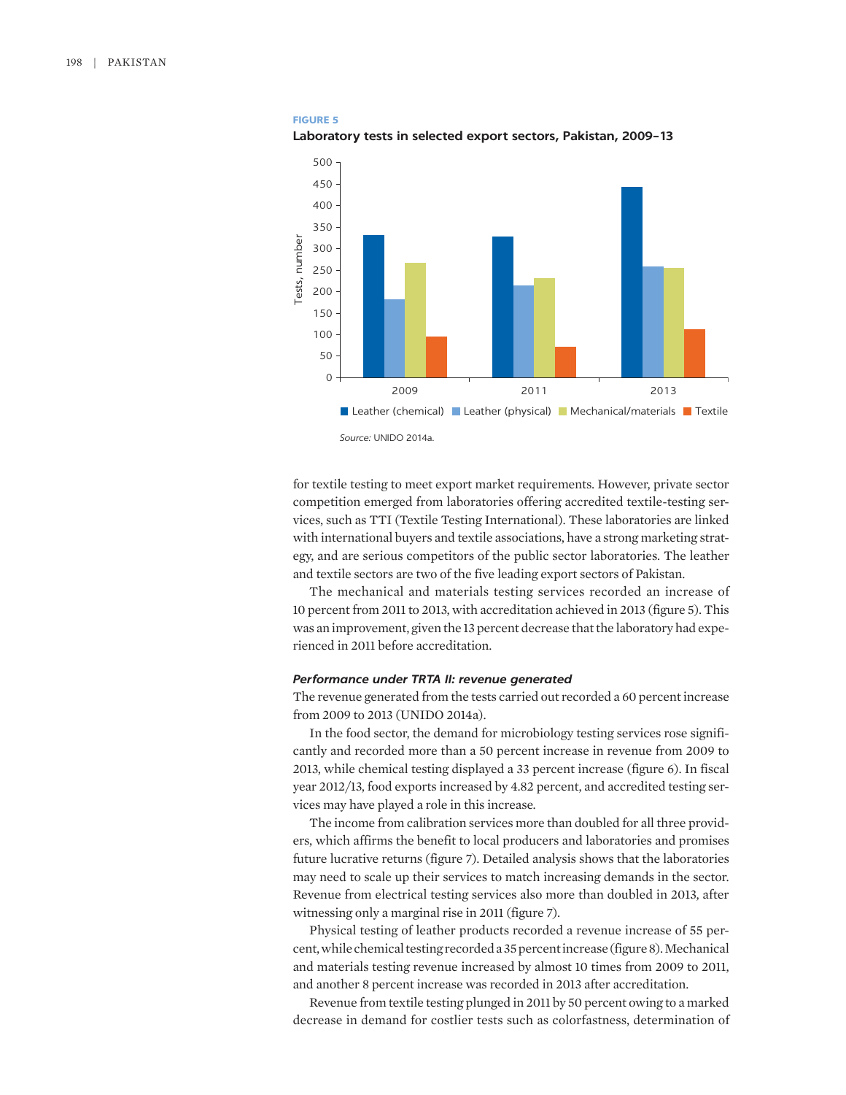## **FIGURE 5**





for textile testing to meet export market requirements. However, private sector competition emerged from laboratories offering accredited textile-testing services, such as TTI (Textile Testing International). These laboratories are linked with international buyers and textile associations, have a strong marketing strategy, and are serious competitors of the public sector laboratories. The leather and textile sectors are two of the five leading export sectors of Pakistan.

The mechanical and materials testing services recorded an increase of 10 percent from 2011 to 2013, with accreditation achieved in 2013 (figure 5). This was an improvement, given the 13 percent decrease that the laboratory had experienced in 2011 before accreditation.

## *Performance under TRTA II: revenue generated*

The revenue generated from the tests carried out recorded a 60 percent increase from 2009 to 2013 (UNIDO 2014a).

In the food sector, the demand for microbiology testing services rose significantly and recorded more than a 50 percent increase in revenue from 2009 to 2013, while chemical testing displayed a 33 percent increase (figure 6). In fiscal year 2012/13, food exports increased by 4.82 percent, and accredited testing services may have played a role in this increase.

The income from calibration services more than doubled for all three providers, which affirms the benefit to local producers and laboratories and promises future lucrative returns (figure 7). Detailed analysis shows that the laboratories may need to scale up their services to match increasing demands in the sector. Revenue from electrical testing services also more than doubled in 2013, after witnessing only a marginal rise in 2011 (figure 7).

Physical testing of leather products recorded a revenue increase of 55 percent, while chemical testing recorded a 35 percent increase (figure 8). Mechanical and materials testing revenue increased by almost 10 times from 2009 to 2011, and another 8 percent increase was recorded in 2013 after accreditation.

Revenue from textile testing plunged in 2011 by 50 percent owing to a marked decrease in demand for costlier tests such as colorfastness, determination of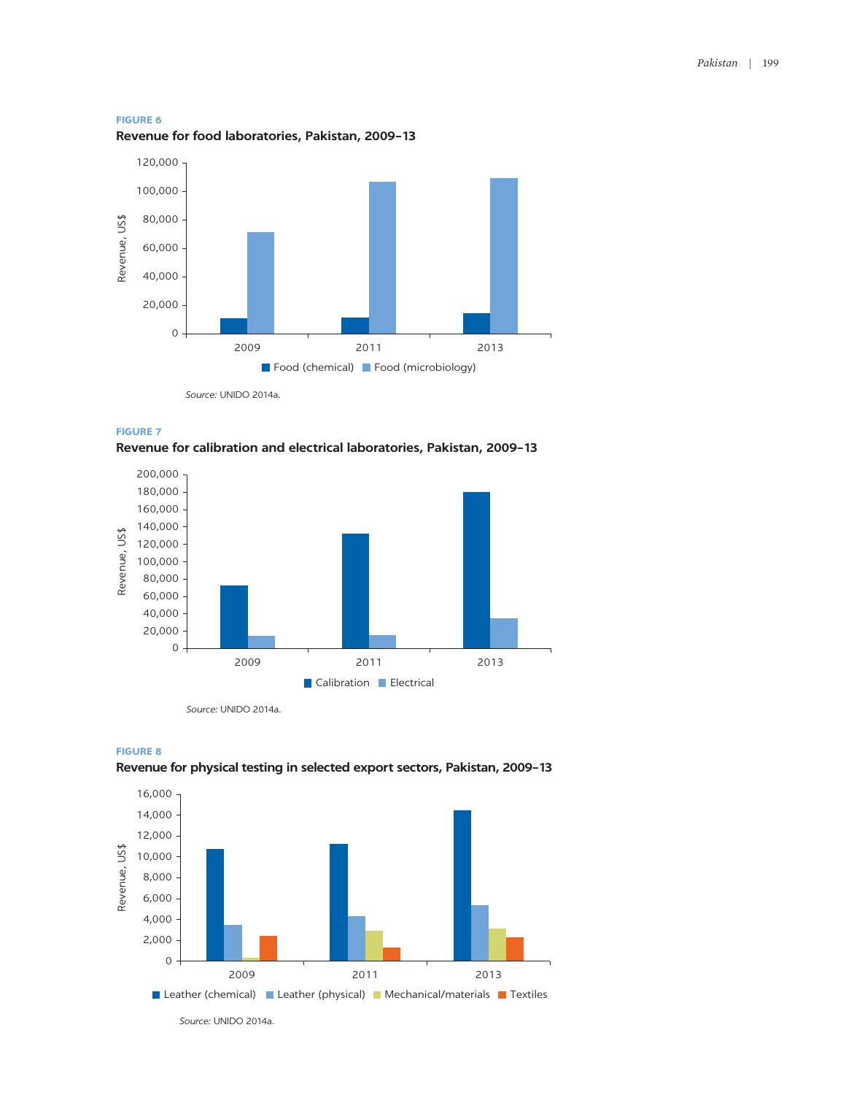

**Revenue for food laboratories, Pakistan, 2009–13**



*Source:* UNIDO 2014a.



**Revenue for calibration and electrical laboratories, Pakistan, 2009–13**



*Source:* UNIDO 2014a.



**Revenue for physical testing in selected export sectors, Pakistan, 2009–13**



*Source:* UNIDO 2014a.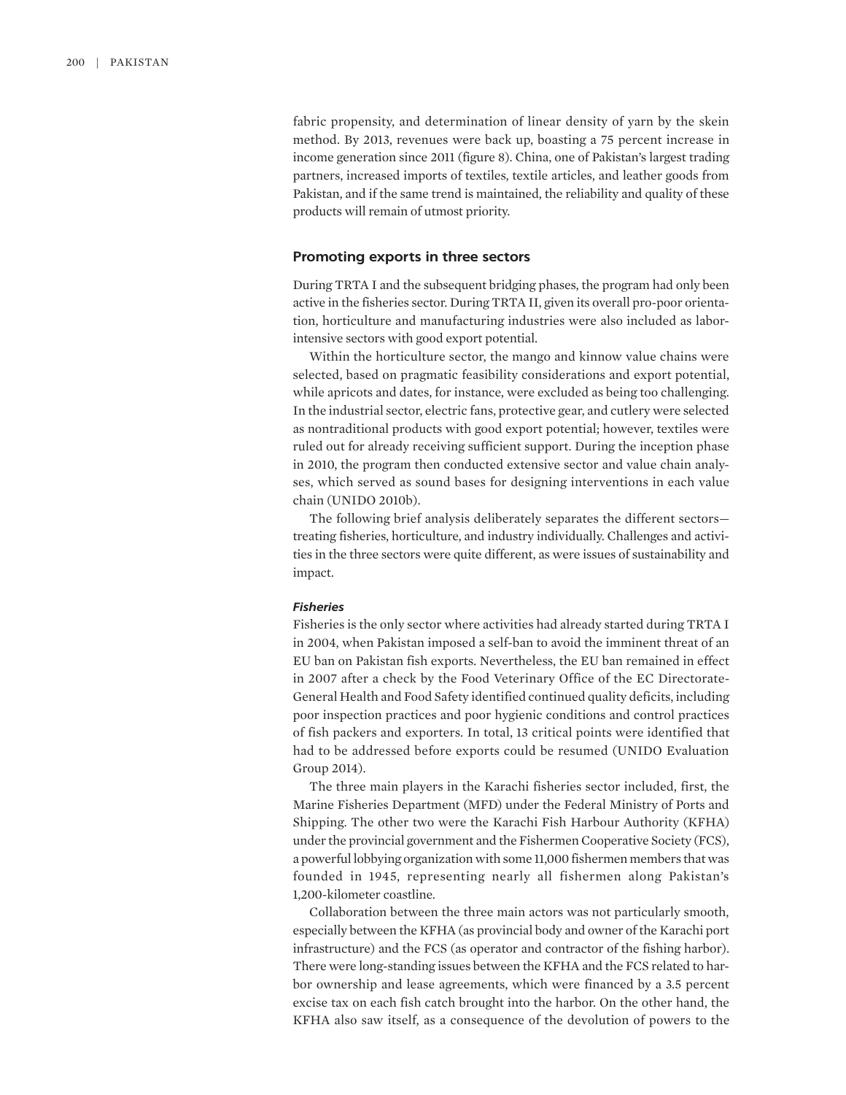fabric propensity, and determination of linear density of yarn by the skein method. By 2013, revenues were back up, boasting a 75 percent increase in income generation since 2011 (figure 8). China, one of Pakistan's largest trading partners, increased imports of textiles, textile articles, and leather goods from Pakistan, and if the same trend is maintained, the reliability and quality of these products will remain of utmost priority.

#### **Promoting exports in three sectors**

During TRTA I and the subsequent bridging phases, the program had only been active in the fisheries sector. During TRTA II, given its overall pro-poor orientation, horticulture and manufacturing industries were also included as laborintensive sectors with good export potential.

Within the horticulture sector, the mango and kinnow value chains were selected, based on pragmatic feasibility considerations and export potential, while apricots and dates, for instance, were excluded as being too challenging. In the industrial sector, electric fans, protective gear, and cutlery were selected as nontraditional products with good export potential; however, textiles were ruled out for already receiving sufficient support. During the inception phase in 2010, the program then conducted extensive sector and value chain analyses, which served as sound bases for designing interventions in each value chain (UNIDO 2010b).

The following brief analysis deliberately separates the different sectors treating fisheries, horticulture, and industry individually. Challenges and activities in the three sectors were quite different, as were issues of sustainability and impact.

#### *Fisheries*

Fisheries is the only sector where activities had already started during TRTA I in 2004, when Pakistan imposed a self-ban to avoid the imminent threat of an EU ban on Pakistan fish exports. Nevertheless, the EU ban remained in effect in 2007 after a check by the Food Veterinary Office of the EC Directorate-General Health and Food Safety identified continued quality deficits, including poor inspection practices and poor hygienic conditions and control practices of fish packers and exporters. In total, 13 critical points were identified that had to be addressed before exports could be resumed (UNIDO Evaluation Group 2014).

The three main players in the Karachi fisheries sector included, first, the Marine Fisheries Department (MFD) under the Federal Ministry of Ports and Shipping. The other two were the Karachi Fish Harbour Authority (KFHA) under the provincial government and the Fishermen Cooperative Society (FCS), a powerful lobbying organization with some 11,000 fishermen members that was founded in 1945, representing nearly all fishermen along Pakistan's 1,200-kilometer coastline.

Collaboration between the three main actors was not particularly smooth, especially between the KFHA (as provincial body and owner of the Karachi port infrastructure) and the FCS (as operator and contractor of the fishing harbor). There were long-standing issues between the KFHA and the FCS related to harbor ownership and lease agreements, which were financed by a 3.5 percent excise tax on each fish catch brought into the harbor. On the other hand, the KFHA also saw itself, as a consequence of the devolution of powers to the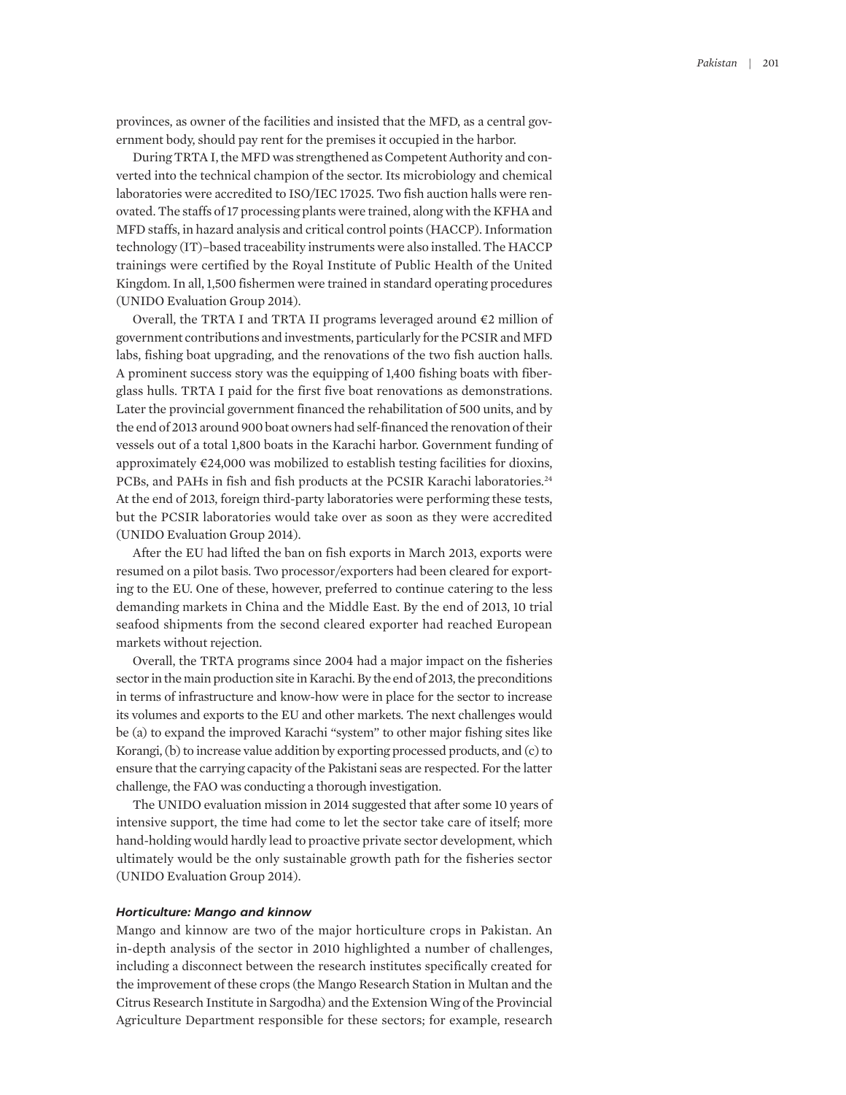provinces, as owner of the facilities and insisted that the MFD, as a central government body, should pay rent for the premises it occupied in the harbor.

During TRTA I, the MFD was strengthened as Competent Authority and converted into the technical champion of the sector. Its microbiology and chemical laboratories were accredited to ISO/IEC 17025. Two fish auction halls were renovated. The staffs of 17 processing plants were trained, along with the KFHA and MFD staffs, in hazard analysis and critical control points (HACCP). Information technology (IT)–based traceability instruments were also installed. The HACCP trainings were certified by the Royal Institute of Public Health of the United Kingdom. In all, 1,500 fishermen were trained in standard operating procedures (UNIDO Evaluation Group 2014).

Overall, the TRTA I and TRTA II programs leveraged around €2 million of government contributions and investments, particularly for the PCSIR and MFD labs, fishing boat upgrading, and the renovations of the two fish auction halls. A prominent success story was the equipping of 1,400 fishing boats with fiberglass hulls. TRTA I paid for the first five boat renovations as demonstrations. Later the provincial government financed the rehabilitation of 500 units, and by the end of 2013 around 900 boat owners had self-financed the renovation of their vessels out of a total 1,800 boats in the Karachi harbor. Government funding of approximately  $\epsilon$ 24,000 was mobilized to establish testing facilities for dioxins, PCBs, and PAHs in fish and fish products at the PCSIR Karachi laboratories.24 At the end of 2013, foreign third-party laboratories were performing these tests, but the PCSIR laboratories would take over as soon as they were accredited (UNIDO Evaluation Group 2014).

After the EU had lifted the ban on fish exports in March 2013, exports were resumed on a pilot basis. Two processor/exporters had been cleared for exporting to the EU. One of these, however, preferred to continue catering to the less demanding markets in China and the Middle East. By the end of 2013, 10 trial seafood shipments from the second cleared exporter had reached European markets without rejection.

Overall, the TRTA programs since 2004 had a major impact on the fisheries sector in the main production site in Karachi. By the end of 2013, the preconditions in terms of infrastructure and know-how were in place for the sector to increase its volumes and exports to the EU and other markets. The next challenges would be (a) to expand the improved Karachi "system" to other major fishing sites like Korangi, (b) to increase value addition by exporting processed products, and (c) to ensure that the carrying capacity of the Pakistani seas are respected. For the latter challenge, the FAO was conducting a thorough investigation.

The UNIDO evaluation mission in 2014 suggested that after some 10 years of intensive support, the time had come to let the sector take care of itself; more hand-holding would hardly lead to proactive private sector development, which ultimately would be the only sustainable growth path for the fisheries sector (UNIDO Evaluation Group 2014).

### *Horticulture: Mango and kinnow*

Mango and kinnow are two of the major horticulture crops in Pakistan. An in-depth analysis of the sector in 2010 highlighted a number of challenges, including a disconnect between the research institutes specifically created for the improvement of these crops (the Mango Research Station in Multan and the Citrus Research Institute in Sargodha) and the Extension Wing of the Provincial Agriculture Department responsible for these sectors; for example, research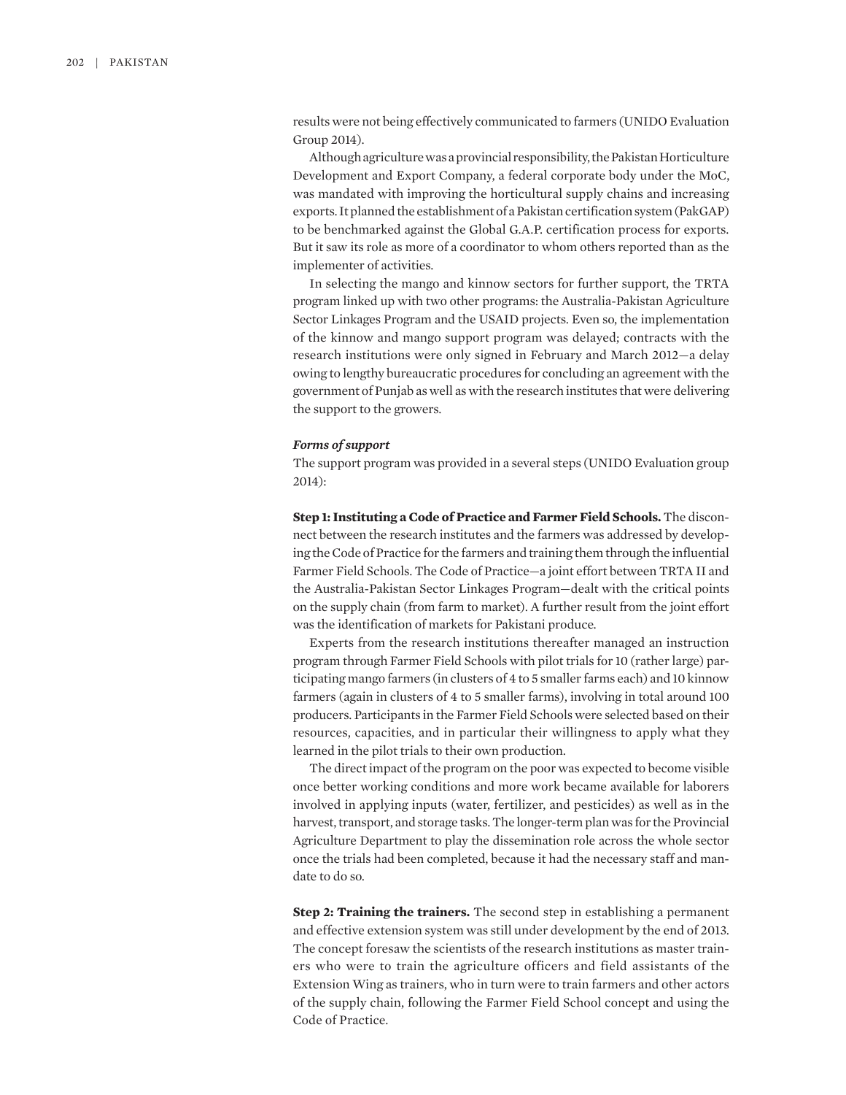results were not being effectively communicated to farmers (UNIDO Evaluation Group 2014).

Although agriculture was a provincial responsibility, the Pakistan Horticulture Development and Export Company, a federal corporate body under the MoC, was mandated with improving the horticultural supply chains and increasing exports. It planned the establishment of a Pakistan certification system (PakGAP) to be benchmarked against the Global G.A.P. certification process for exports. But it saw its role as more of a coordinator to whom others reported than as the implementer of activities.

In selecting the mango and kinnow sectors for further support, the TRTA program linked up with two other programs: the Australia-Pakistan Agriculture Sector Linkages Program and the USAID projects. Even so, the implementation of the kinnow and mango support program was delayed; contracts with the research institutions were only signed in February and March 2012—a delay owing to lengthy bureaucratic procedures for concluding an agreement with the government of Punjab as well as with the research institutes that were delivering the support to the growers.

#### *Forms of support*

The support program was provided in a several steps (UNIDO Evaluation group 2014):

**Step 1: Instituting a Code of Practice and Farmer Field Schools.** The disconnect between the research institutes and the farmers was addressed by developing the Code of Practice for the farmers and training them through the influential Farmer Field Schools. The Code of Practice—a joint effort between TRTA II and the Australia-Pakistan Sector Linkages Program—dealt with the critical points on the supply chain (from farm to market). A further result from the joint effort was the identification of markets for Pakistani produce.

Experts from the research institutions thereafter managed an instruction program through Farmer Field Schools with pilot trials for 10 (rather large) participating mango farmers (in clusters of 4 to 5 smaller farms each) and 10 kinnow farmers (again in clusters of 4 to 5 smaller farms), involving in total around 100 producers. Participants in the Farmer Field Schools were selected based on their resources, capacities, and in particular their willingness to apply what they learned in the pilot trials to their own production.

The direct impact of the program on the poor was expected to become visible once better working conditions and more work became available for laborers involved in applying inputs (water, fertilizer, and pesticides) as well as in the harvest, transport, and storage tasks. The longer-term plan was for the Provincial Agriculture Department to play the dissemination role across the whole sector once the trials had been completed, because it had the necessary staff and mandate to do so.

**Step 2: Training the trainers.** The second step in establishing a permanent and effective extension system was still under development by the end of 2013. The concept foresaw the scientists of the research institutions as master trainers who were to train the agriculture officers and field assistants of the Extension Wing as trainers, who in turn were to train farmers and other actors of the supply chain, following the Farmer Field School concept and using the Code of Practice.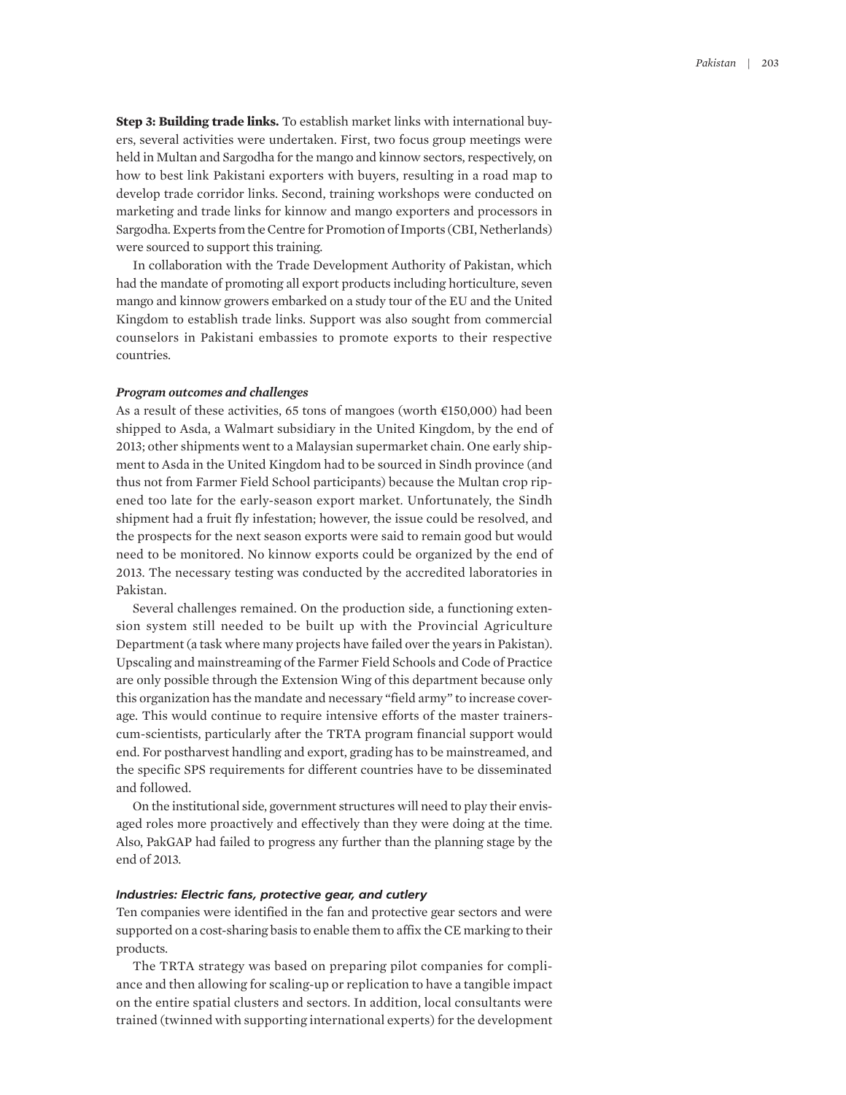**Step 3: Building trade links.** To establish market links with international buyers, several activities were undertaken. First, two focus group meetings were held in Multan and Sargodha for the mango and kinnow sectors, respectively, on how to best link Pakistani exporters with buyers, resulting in a road map to develop trade corridor links. Second, training workshops were conducted on marketing and trade links for kinnow and mango exporters and processors in Sargodha. Experts from the Centre for Promotion of Imports (CBI, Netherlands) were sourced to support this training.

In collaboration with the Trade Development Authority of Pakistan, which had the mandate of promoting all export products including horticulture, seven mango and kinnow growers embarked on a study tour of the EU and the United Kingdom to establish trade links. Support was also sought from commercial counselors in Pakistani embassies to promote exports to their respective countries.

#### *Program outcomes and challenges*

As a result of these activities, 65 tons of mangoes (worth €150,000) had been shipped to Asda, a Walmart subsidiary in the United Kingdom, by the end of 2013; other shipments went to a Malaysian supermarket chain. One early shipment to Asda in the United Kingdom had to be sourced in Sindh province (and thus not from Farmer Field School participants) because the Multan crop ripened too late for the early-season export market. Unfortunately, the Sindh shipment had a fruit fly infestation; however, the issue could be resolved, and the prospects for the next season exports were said to remain good but would need to be monitored. No kinnow exports could be organized by the end of 2013. The necessary testing was conducted by the accredited laboratories in Pakistan.

Several challenges remained. On the production side, a functioning extension system still needed to be built up with the Provincial Agriculture Department (a task where many projects have failed over the years in Pakistan). Upscaling and mainstreaming of the Farmer Field Schools and Code of Practice are only possible through the Extension Wing of this department because only this organization has the mandate and necessary "field army" to increase coverage. This would continue to require intensive efforts of the master trainerscum-scientists, particularly after the TRTA program financial support would end. For postharvest handling and export, grading has to be mainstreamed, and the specific SPS requirements for different countries have to be disseminated and followed.

On the institutional side, government structures will need to play their envisaged roles more proactively and effectively than they were doing at the time. Also, PakGAP had failed to progress any further than the planning stage by the end of 2013.

#### *Industries: Electric fans, protective gear, and cutlery*

Ten companies were identified in the fan and protective gear sectors and were supported on a cost-sharing basis to enable them to affix the CE marking to their products.

The TRTA strategy was based on preparing pilot companies for compliance and then allowing for scaling-up or replication to have a tangible impact on the entire spatial clusters and sectors. In addition, local consultants were trained (twinned with supporting international experts) for the development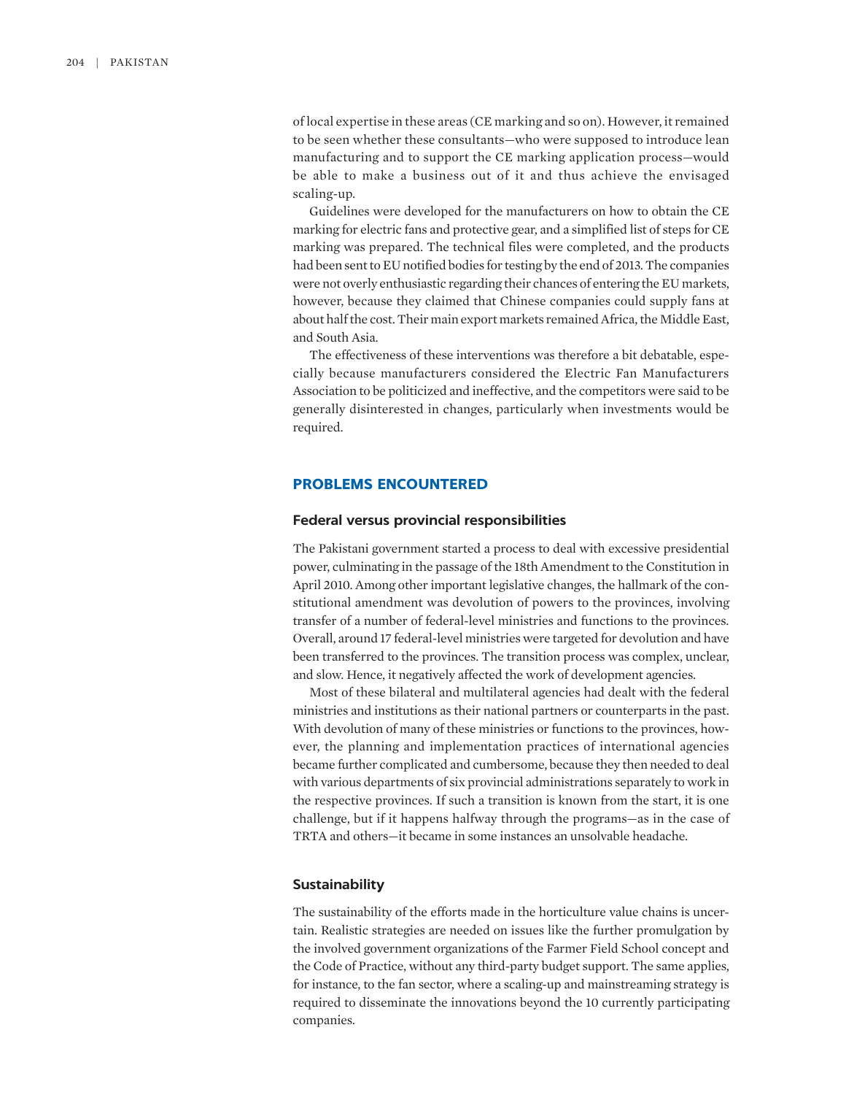of local expertise in these areas (CE marking and so on). However, it remained to be seen whether these consultants—who were supposed to introduce lean manufacturing and to support the CE marking application process—would be able to make a business out of it and thus achieve the envisaged scaling-up.

Guidelines were developed for the manufacturers on how to obtain the CE marking for electric fans and protective gear, and a simplified list of steps for CE marking was prepared. The technical files were completed, and the products had been sent to EU notified bodies for testing by the end of 2013. The companies were not overly enthusiastic regarding their chances of entering the EU markets, however, because they claimed that Chinese companies could supply fans at about half the cost. Their main export markets remained Africa, the Middle East, and South Asia.

The effectiveness of these interventions was therefore a bit debatable, especially because manufacturers considered the Electric Fan Manufacturers Association to be politicized and ineffective, and the competitors were said to be generally disinterested in changes, particularly when investments would be required.

## **PROBLEMS ENCOUNTERED**

#### **Federal versus provincial responsibilities**

The Pakistani government started a process to deal with excessive presidential power, culminating in the passage of the 18th Amendment to the Constitution in April 2010. Among other important legislative changes, the hallmark of the constitutional amendment was devolution of powers to the provinces, involving transfer of a number of federal-level ministries and functions to the provinces. Overall, around 17 federal-level ministries were targeted for devolution and have been transferred to the provinces. The transition process was complex, unclear, and slow. Hence, it negatively affected the work of development agencies.

Most of these bilateral and multilateral agencies had dealt with the federal ministries and institutions as their national partners or counterparts in the past. With devolution of many of these ministries or functions to the provinces, however, the planning and implementation practices of international agencies became further complicated and cumbersome, because they then needed to deal with various departments of six provincial administrations separately to work in the respective provinces. If such a transition is known from the start, it is one challenge, but if it happens halfway through the programs—as in the case of TRTA and others—it became in some instances an unsolvable headache.

#### **Sustainability**

The sustainability of the efforts made in the horticulture value chains is uncertain. Realistic strategies are needed on issues like the further promulgation by the involved government organizations of the Farmer Field School concept and the Code of Practice, without any third-party budget support. The same applies, for instance, to the fan sector, where a scaling-up and mainstreaming strategy is required to disseminate the innovations beyond the 10 currently participating companies.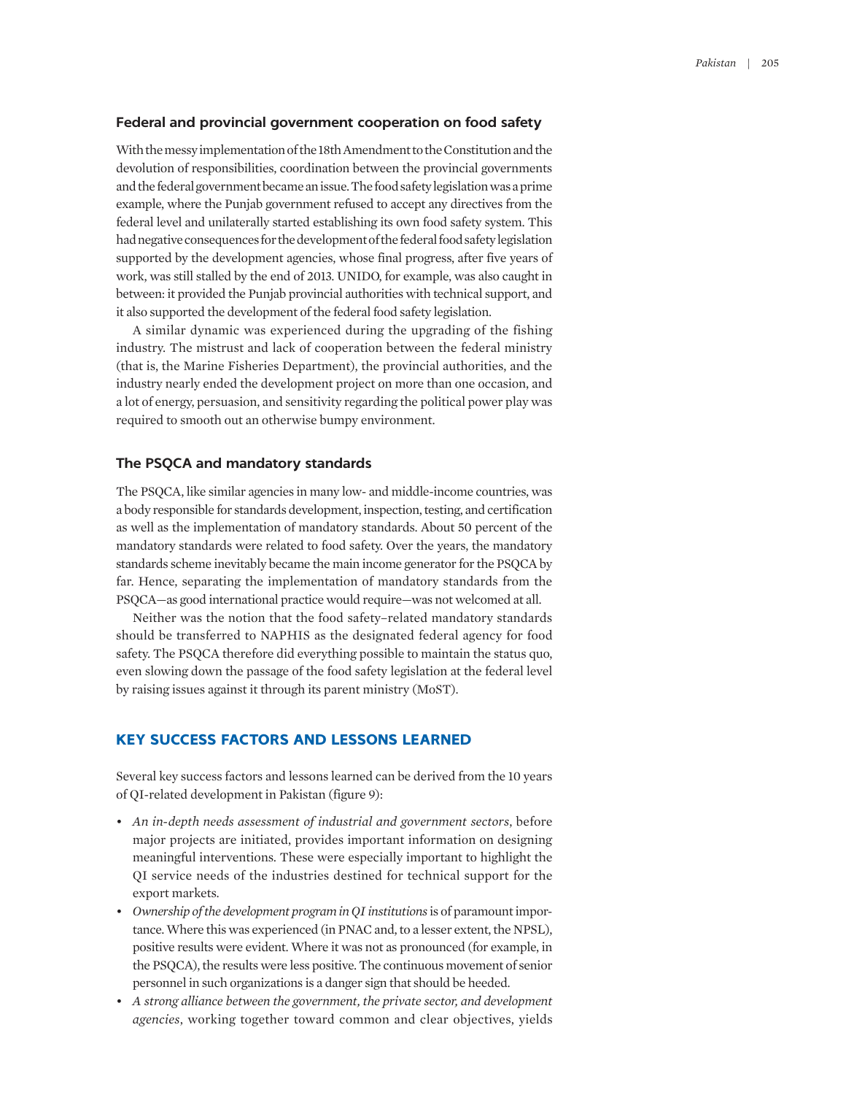#### **Federal and provincial government cooperation on food safety**

With the messy implementation of the 18th Amendment to the Constitution and the devolution of responsibilities, coordination between the provincial governments and the federal government became an issue. The food safety legislation was a prime example, where the Punjab government refused to accept any directives from the federal level and unilaterally started establishing its own food safety system. This had negative consequences for the development of the federal food safety legislation supported by the development agencies, whose final progress, after five years of work, was still stalled by the end of 2013. UNIDO, for example, was also caught in between: it provided the Punjab provincial authorities with technical support, and it also supported the development of the federal food safety legislation.

A similar dynamic was experienced during the upgrading of the fishing industry. The mistrust and lack of cooperation between the federal ministry (that is, the Marine Fisheries Department), the provincial authorities, and the industry nearly ended the development project on more than one occasion, and a lot of energy, persuasion, and sensitivity regarding the political power play was required to smooth out an otherwise bumpy environment.

## **The PSQCA and mandatory standards**

The PSQCA, like similar agencies in many low- and middle-income countries, was a body responsible for standards development, inspection, testing, and certification as well as the implementation of mandatory standards. About 50 percent of the mandatory standards were related to food safety. Over the years, the mandatory standards scheme inevitably became the main income generator for the PSQCA by far. Hence, separating the implementation of mandatory standards from the PSQCA—as good international practice would require—was not welcomed at all.

Neither was the notion that the food safety–related mandatory standards should be transferred to NAPHIS as the designated federal agency for food safety. The PSQCA therefore did everything possible to maintain the status quo, even slowing down the passage of the food safety legislation at the federal level by raising issues against it through its parent ministry (MoST).

## **KEY SUCCESS FACTORS AND LESSONS LEARNED**

Several key success factors and lessons learned can be derived from the 10 years of QI-related development in Pakistan (figure 9):

- *An in-depth needs assessment of industrial and government sectors*, before major projects are initiated, provides important information on designing meaningful interventions. These were especially important to highlight the QI service needs of the industries destined for technical support for the export markets.
- Ownership of the development program in QI institutions is of paramount importance. Where this was experienced (in PNAC and, to a lesser extent, the NPSL), positive results were evident. Where it was not as pronounced (for example, in the PSQCA), the results were less positive. The continuous movement of senior personnel in such organizations is a danger sign that should be heeded.
- *A strong alliance between the government, the private sector, and development agencies*, working together toward common and clear objectives, yields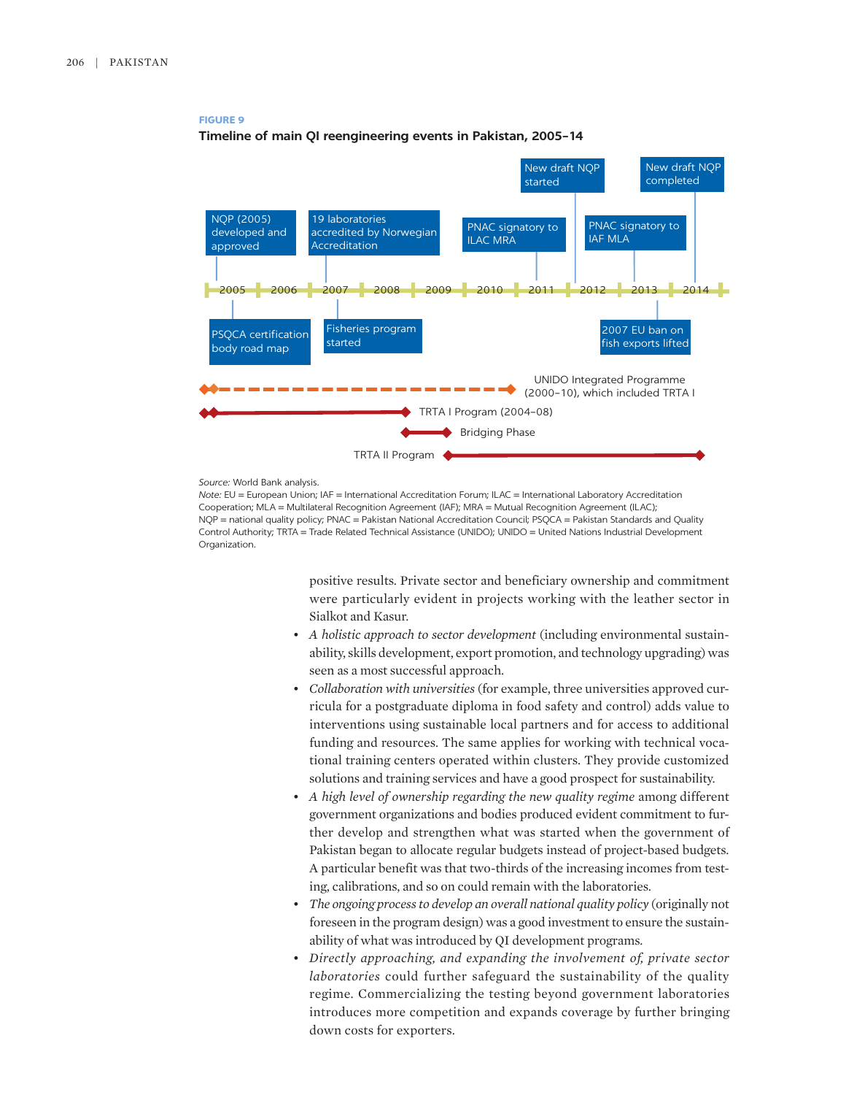## **FIGURE 9**



## **Timeline of main QI reengineering events in Pakistan, 2005–14**



*Note:* EU = European Union; IAF = International Accreditation Forum; ILAC = International Laboratory Accreditation Cooperation; MLA = Multilateral Recognition Agreement (IAF); MRA = Mutual Recognition Agreement (ILAC); NQP = national quality policy; PNAC = Pakistan National Accreditation Council; PSQCA = Pakistan Standards and Quality Control Authority; TRTA = Trade Related Technical Assistance (UNIDO); UNIDO = United Nations Industrial Development Organization.

> positive results. Private sector and beneficiary ownership and commitment were particularly evident in projects working with the leather sector in Sialkot and Kasur.

- *A holistic approach to sector development* (including environmental sustainability, skills development, export promotion, and technology upgrading) was seen as a most successful approach.
- *Collaboration with universities* (for example, three universities approved curricula for a postgraduate diploma in food safety and control) adds value to interventions using sustainable local partners and for access to additional funding and resources. The same applies for working with technical vocational training centers operated within clusters. They provide customized solutions and training services and have a good prospect for sustainability.
- A high level of ownership regarding the new quality regime among different government organizations and bodies produced evident commitment to further develop and strengthen what was started when the government of Pakistan began to allocate regular budgets instead of project-based budgets. A particular benefit was that two-thirds of the increasing incomes from testing, calibrations, and so on could remain with the laboratories.
- *The ongoing process to develop an overall national quality policy* (originally not foreseen in the program design) was a good investment to ensure the sustainability of what was introduced by QI development programs.
- *Directly approaching, and expanding the involvement of, private sector laboratories* could further safeguard the sustainability of the quality regime. Commercializing the testing beyond government laboratories introduces more competition and expands coverage by further bringing down costs for exporters.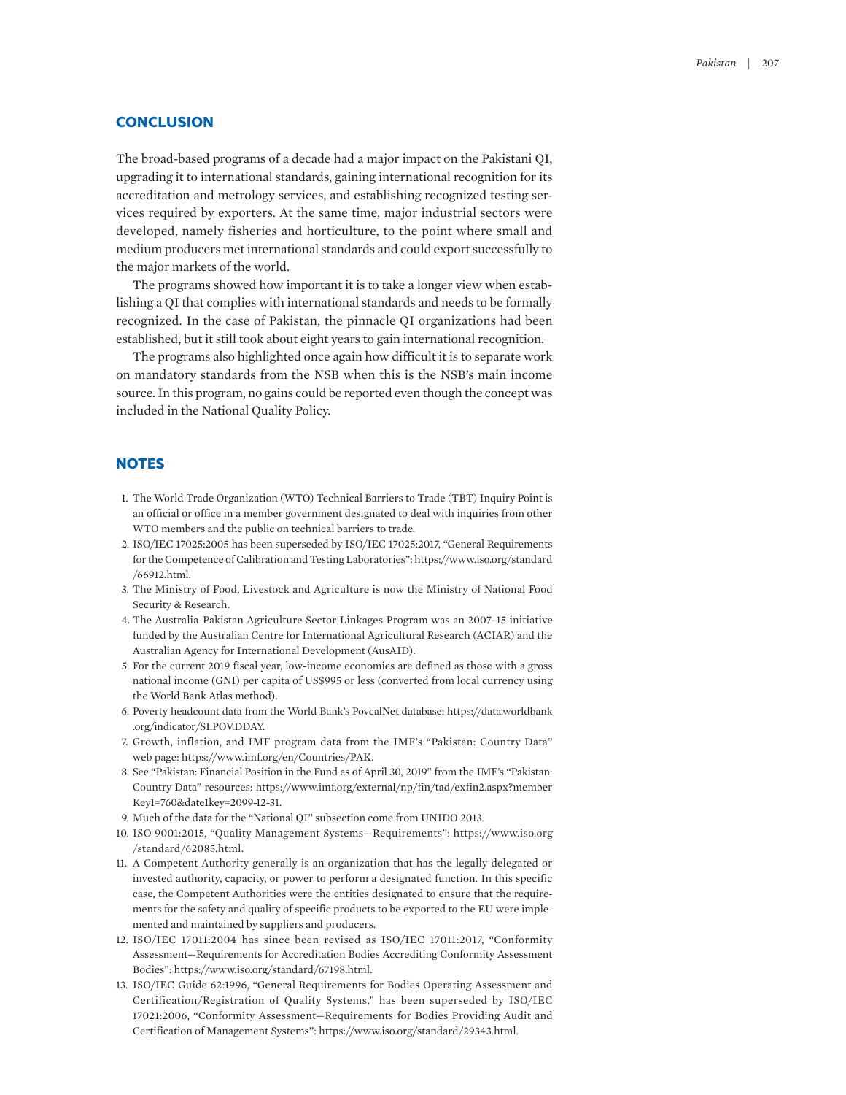## **CONCLUSION**

The broad-based programs of a decade had a major impact on the Pakistani QI, upgrading it to international standards, gaining international recognition for its accreditation and metrology services, and establishing recognized testing services required by exporters. At the same time, major industrial sectors were developed, namely fisheries and horticulture, to the point where small and medium producers met international standards and could export successfully to the major markets of the world.

The programs showed how important it is to take a longer view when establishing a QI that complies with international standards and needs to be formally recognized. In the case of Pakistan, the pinnacle QI organizations had been established, but it still took about eight years to gain international recognition.

The programs also highlighted once again how difficult it is to separate work on mandatory standards from the NSB when this is the NSB's main income source. In this program, no gains could be reported even though the concept was included in the National Quality Policy.

## **NOTES**

- 1. The World Trade Organization (WTO) Technical Barriers to Trade (TBT) Inquiry Point is an official or office in a member government designated to deal with inquiries from other WTO members and the public on technical barriers to trade.
- 2. ISO/IEC 17025:2005 has been superseded by ISO/IEC 17025:2017, "General Requirements for the Competence of Calibration and Testing Laboratories": https://www.iso.org/standard /66912.html.
- 3. The Ministry of Food, Livestock and Agriculture is now the Ministry of National Food Security & Research.
- 4. The Australia-Pakistan Agriculture Sector Linkages Program was an 2007–15 initiative funded by the Australian Centre for International Agricultural Research (ACIAR) and the Australian Agency for International Development (AusAID).
- 5. For the current 2019 fiscal year, low-income economies are defined as those with a gross national income (GNI) per capita of US\$995 or less (converted from local currency using the World Bank Atlas method).
- 6. Poverty headcount data from the World Bank's PovcalNet database: https://data.worldbank .org/indicator/SI.POV.DDAY.
- 7. Growth, inflation, and IMF program data from the IMF's "Pakistan: Country Data" web page: https://www.imf.org/en/Countries/PAK.
- 8. See "Pakistan: Financial Position in the Fund as of April 30, 2019" from the IMF's "Pakistan: Country Data" resources: https://www.imf.org/external/np/fin/tad/exfin2.aspx?member Key1=760&date1key=2099-12-31.
- 9. Much of the data for the "National QI" subsection come from UNIDO 2013.
- 10. ISO 9001:2015, "Quality Management Systems—Requirements": https://www.iso.org /standard/62085.html.
- 11. A Competent Authority generally is an organization that has the legally delegated or invested authority, capacity, or power to perform a designated function. In this specific case, the Competent Authorities were the entities designated to ensure that the requirements for the safety and quality of specific products to be exported to the EU were implemented and maintained by suppliers and producers.
- 12. ISO/IEC 17011:2004 has since been revised as ISO/IEC 17011:2017, "Conformity Assessment—Requirements for Accreditation Bodies Accrediting Conformity Assessment Bodies": https://www.iso.org/standard/67198.html.
- 13. ISO/IEC Guide 62:1996, "General Requirements for Bodies Operating Assessment and Certification/Registration of Quality Systems," has been superseded by ISO/IEC 17021:2006, "Conformity Assessment—Requirements for Bodies Providing Audit and Certification of Management Systems": https://www.iso.org/standard/29343.html.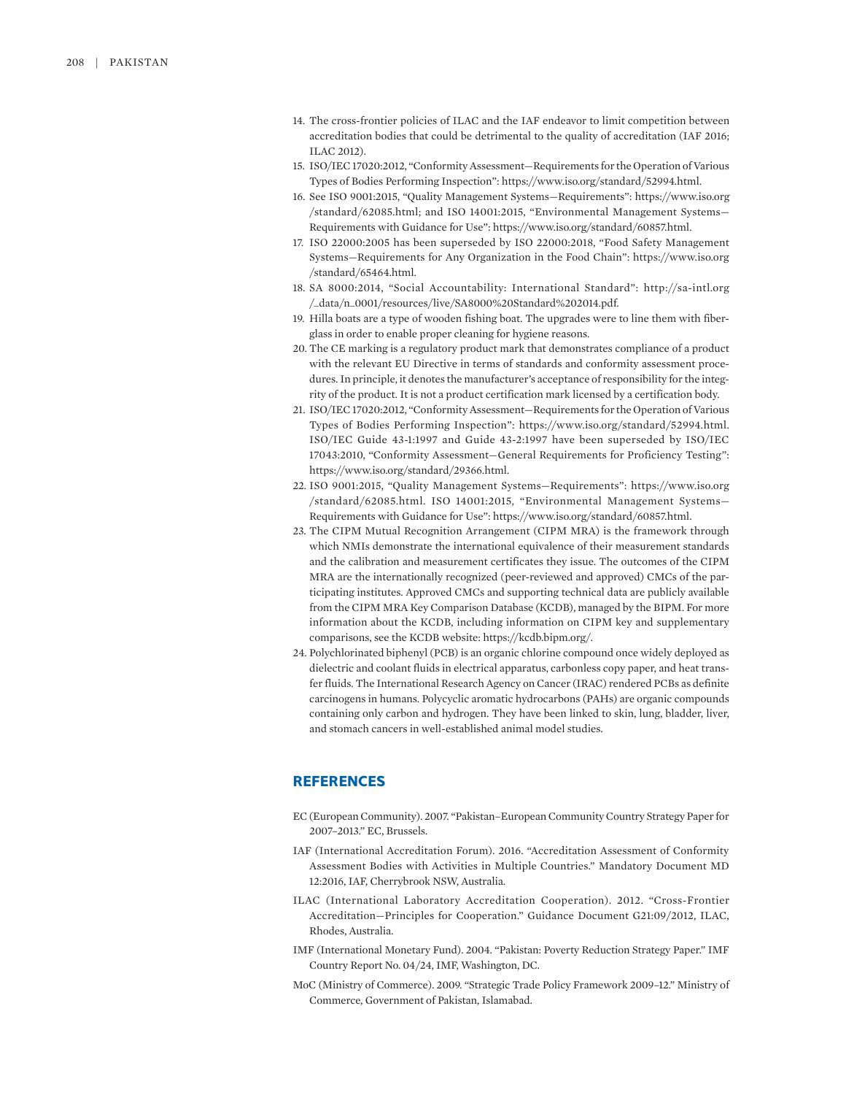- 14. The cross-frontier policies of ILAC and the IAF endeavor to limit competition between accreditation bodies that could be detrimental to the quality of accreditation (IAF 2016; ILAC 2012).
- 15. ISO/IEC 17020:2012, "Conformity Assessment—Requirements for the Operation of Various Types of Bodies Performing Inspection": https://www.iso.org/standard/52994.html.
- 16. See ISO 9001:2015, "Quality Management Systems—Requirements": https://www.iso.org /standard/62085.html; and ISO 14001:2015, "Environmental Management Systems— Requirements with Guidance for Use": https://www.iso.org/standard/60857.html.
- 17. ISO 22000:2005 has been superseded by ISO 22000:2018, "Food Safety Management Systems—Requirements for Any Organization in the Food Chain": https://www.iso.org /standard/65464.html.
- 18. SA 8000:2014, "Social Accountability: International Standard": http://sa-intl.org /\_data/n\_0001/resources/live/SA8000%20Standard%202014.pdf.
- 19. Hilla boats are a type of wooden fishing boat. The upgrades were to line them with fiberglass in order to enable proper cleaning for hygiene reasons.
- 20. The CE marking is a regulatory product mark that demonstrates compliance of a product with the relevant EU Directive in terms of standards and conformity assessment procedures. In principle, it denotes the manufacturer's acceptance of responsibility for the integrity of the product. It is not a product certification mark licensed by a certification body.
- 21. ISO/IEC 17020:2012, "Conformity Assessment—Requirements for the Operation of Various Types of Bodies Performing Inspection": https://www.iso.org/standard/52994.html. ISO/IEC Guide 43-1:1997 and Guide 43-2:1997 have been superseded by ISO/IEC 17043:2010, "Conformity Assessment—General Requirements for Proficiency Testing": https://www.iso.org/standard/29366.html.
- 22. ISO 9001:2015, "Quality Management Systems—Requirements": https://www.iso.org /standard/62085.html. ISO 14001:2015, "Environmental Management Systems— Requirements with Guidance for Use": https://www.iso.org/standard/60857.html.
- 23. The CIPM Mutual Recognition Arrangement (CIPM MRA) is the framework through which NMIs demonstrate the international equivalence of their measurement standards and the calibration and measurement certificates they issue. The outcomes of the CIPM MRA are the internationally recognized (peer-reviewed and approved) CMCs of the participating institutes. Approved CMCs and supporting technical data are publicly available from the CIPM MRA Key Comparison Database (KCDB), managed by the BIPM. For more information about the KCDB, including information on CIPM key and supplementary comparisons, see the KCDB website: https://kcdb.bipm.org/.
- 24. Polychlorinated biphenyl (PCB) is an organic chlorine compound once widely deployed as dielectric and coolant fluids in electrical apparatus, carbonless copy paper, and heat transfer fluids. The International Research Agency on Cancer (IRAC) rendered PCBs as definite carcinogens in humans. Polycyclic aromatic hydrocarbons (PAHs) are organic compounds containing only carbon and hydrogen. They have been linked to skin, lung, bladder, liver, and stomach cancers in well-established animal model studies.

## **REFERENCES**

- EC (European Community). 2007. "Pakistan–European Community Country Strategy Paper for 2007–2013." EC, Brussels.
- IAF (International Accreditation Forum). 2016. "Accreditation Assessment of Conformity Assessment Bodies with Activities in Multiple Countries." Mandatory Document MD 12:2016, IAF, Cherrybrook NSW, Australia.
- ILAC (International Laboratory Accreditation Cooperation). 2012. "Cross-Frontier Accreditation—Principles for Cooperation." Guidance Document G21:09/2012, ILAC, Rhodes, Australia.
- IMF (International Monetary Fund). 2004. "Pakistan: Poverty Reduction Strategy Paper." IMF Country Report No. 04/24, IMF, Washington, DC.
- MoC (Ministry of Commerce). 2009. "Strategic Trade Policy Framework 2009–12." Ministry of Commerce, Government of Pakistan, Islamabad.